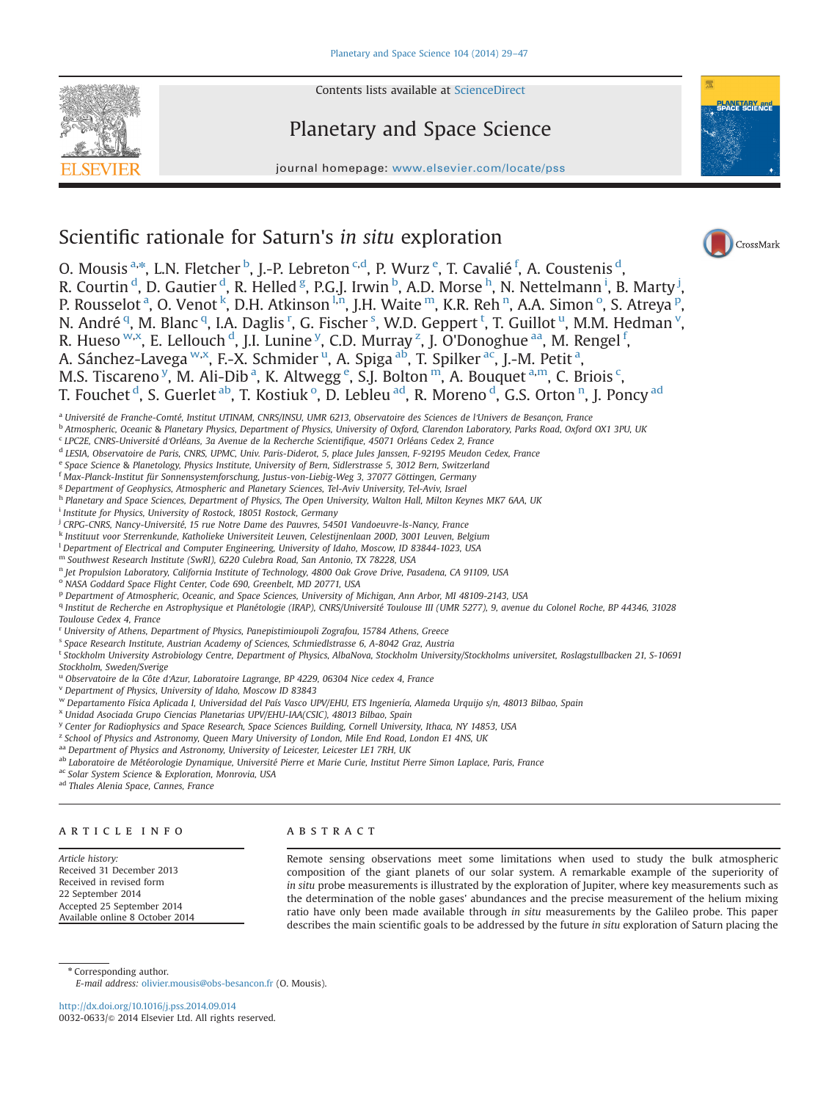

Contents lists available at [ScienceDirect](www.sciencedirect.com/science/journal/00320633)

# Planetary and Space Science

journal homepage: <www.elsevier.com/locate/pss>s/sevier.com/locate/psss/sevier.com/locate/psss/sevier.com/locate/psss/sevier.com/locate/psss/sevier.com/locate/psss/sevier.com/locate/psss/sevier.com/locate/psss/sevier.com/lo



CrossMark

# Scientific rationale for Saturn's in situ exploration

O. Mousis <sup>a,\*</sup>, L.N. Fletcher <sup>b</sup>, J.-P. Lebreton <sup>c,d</sup>, P. Wurz <sup>e</sup>, T. Cavalié <sup>f</sup>, A. Coustenis <sup>d</sup>,

R. Courtin <sup>d</sup>, D. Gautier <sup>d</sup>, R. Helled <sup>g</sup>, P.G.J. Irwin <sup>b</sup>, A.D. Morse <sup>h</sup>, N. Nettelmann <sup>i</sup>, B. Marty <sup>j</sup>,

P. Rousselot <sup>a</sup>, O. Venot <sup>k</sup>, D.H. Atkinson <sup>I,n</sup>, J.H. Waite <sup>m</sup>, K.R. Reh <sup>n</sup>, A.A. Simon <sup>o</sup>, S. Atreya <sup>p</sup>,

N. André <sup>q</sup>, M. Blanc <sup>q</sup>, I.A. Daglis <sup>r</sup>, G. Fischer <sup>s</sup>, W.D. Geppert <sup>t</sup>, T. Guillot <sup>u</sup>, M.M. Hedman <sup>v</sup>,

R. Hueso <sup>w,x</sup>, E. Lellouch <sup>d</sup>, J.I. Lunine <sup>y</sup>, C.D. Murray <sup>z</sup>, J. O'Donoghue <sup>aa</sup>, M. Rengel <sup>f</sup>,

A. Sánchez-Lavega <sup>w,x</sup>, F.-X. Schmider <sup>u</sup>, A. Spiga <sup>ab</sup>, T. Spilker <sup>ac</sup>, J.-M. Petit <sup>a</sup>,

M.S. Tiscareno<sup>y</sup>, M. Ali-Dib<sup>a</sup>, K. Altwegg<sup>e</sup>, S.J. Bolton<sup>m</sup>, A. Bouquet<sup>a,m</sup>, C. Briois<sup>c</sup>,

T. Fouchet <sup>d</sup>, S. Guerlet <sup>ab</sup>, T. Kostiuk <sup>o</sup>, D. Lebleu <sup>ad</sup>, R. Moreno <sup>d</sup>, G.S. Orton <sup>n</sup>, J. Poncy <sup>ad</sup>

<sup>a</sup> Université de Franche-Comté, Institut UTINAM, CNRS/INSU, UMR 6213, Observatoire des Sciences de l'Univers de Besançon, France

<sup>b</sup> Atmospheric, Oceanic & Planetary Physics, Department of Physics, University of Oxford, Clarendon Laboratory, Parks Road, Oxford OX1 3PU, UK

<sup>c</sup> LPC2E, CNRS-Université d'Orléans, 3a Avenue de la Recherche Scientifique, 45071 Orléans Cedex 2, France

- <sup>d</sup> LESIA, Observatoire de Paris, CNRS, UPMC, Univ. Paris-Diderot, 5, place Jules Janssen, F-92195 Meudon Cedex, France
- <sup>e</sup> Space Science & Planetology, Physics Institute, University of Bern, Sidlerstrasse 5, 3012 Bern, Switzerland
- <sup>f</sup> Max-Planck-Institut für Sonnensystemforschung, Justus-von-Liebig-Weg 3, 37077 Göttingen, Germany
- <sup>g</sup> Department of Geophysics, Atmospheric and Planetary Sciences, Tel-Aviv University, Tel-Aviv, Israel



- <sup>i</sup> Institute for Physics, University of Rostock, 18051 Rostock, Germany
- <sup>j</sup> CRPG-CNRS, Nancy-Université, 15 rue Notre Dame des Pauvres, 54501 Vandoeuvre-ls-Nancy, France
- <sup>k</sup> Instituut voor Sterrenkunde, Katholieke Universiteit Leuven, Celestijnenlaan 200D, 3001 Leuven, Belgium
- <sup>1</sup> Department of Electrical and Computer Engineering, University of Idaho, Moscow, ID 83844-1023, USA
- <sup>m</sup> Southwest Research Institute (SwRI), 6220 Culebra Road, San Antonio, TX 78228, USA
- n Jet Propulsion Laboratory, California Institute of Technology, 4800 Oak Grove Drive, Pasadena, CA 91109, USA
- <sup>o</sup> NASA Goddard Space Flight Center, Code 690, Greenbelt, MD 20771, USA
- <sup>p</sup> Department of Atmospheric, Oceanic, and Space Sciences, University of Michigan, Ann Arbor, MI 48109-2143, USA

<sup>q</sup> Institut de Recherche en Astrophysique et Planétologie (IRAP), CNRS/Université Toulouse III (UMR 5277), 9, avenue du Colonel Roche, BP 44346, 31028 Toulouse Cedex 4, France

- <sup>r</sup> University of Athens, Department of Physics, Panepistimioupoli Zografou, 15784 Athens, Greece
- <sup>s</sup> Space Research Institute, Austrian Academy of Sciences, Schmiedlstrasse 6, A-8042 Graz, Austria
- <sup>t</sup> Stockholm University Astrobiology Centre, Department of Physics, AlbaNova, Stockholm University/Stockholms universitet, Roslagstullbacken 21, S-10691 Stockholm, Sweden/Sverige
- <sup>u</sup> Observatoire de la Côte d'Azur, Laboratoire Lagrange, BP 4229, 06304 Nice cedex 4, France

<sup>v</sup> Department of Physics, University of Idaho, Moscow ID 83843

- <sup>w</sup> Departamento Física Aplicada I, Universidad del País Vasco UPV/EHU, ETS Ingeniería, Alameda Urquijo s/n, 48013 Bilbao, Spain
- <sup>x</sup> Unidad Asociada Grupo Ciencias Planetarias UPV/EHU-IAA(CSIC), 48013 Bilbao, Spain
- <sup>y</sup> Center for Radiophysics and Space Research, Space Sciences Building, Cornell University, Ithaca, NY 14853, USA
- <sup>z</sup> School of Physics and Astronomy, Queen Mary University of London, Mile End Road, London E1 4NS, UK
- aa Department of Physics and Astronomy, University of Leicester, Leicester LE1 7RH, UK
- ab Laboratoire de Météorologie Dynamique, Université Pierre et Marie Curie, Institut Pierre Simon Laplace, Paris, France
- ac Solar System Science & Exploration, Monrovia, USA

ad Thales Alenia Space, Cannes, France

### article info

# abstract

Article history: Received 31 December 2013 Received in revised form 22 September 2014 Accepted 25 September 2014 Available online 8 October 2014 Remote sensing observations meet some limitations when used to study the bulk atmospheric composition of the giant planets of our solar system. A remarkable example of the superiority of in situ probe measurements is illustrated by the exploration of Jupiter, where key measurements such as the determination of the noble gases' abundances and the precise measurement of the helium mixing ratio have only been made available through in situ measurements by the Galileo probe. This paper describes the main scientific goals to be addressed by the future in situ exploration of Saturn placing the

\* Corresponding author.

E-mail address: [olivier.mousis@obs-besancon.fr](mailto:olivier.mousis@obs-besancon.fr) (O. Mousis).

<http://dx.doi.org/10.1016/j.pss.2014.09.014> 0032-0633/© 2014 Elsevier Ltd. All rights reserved.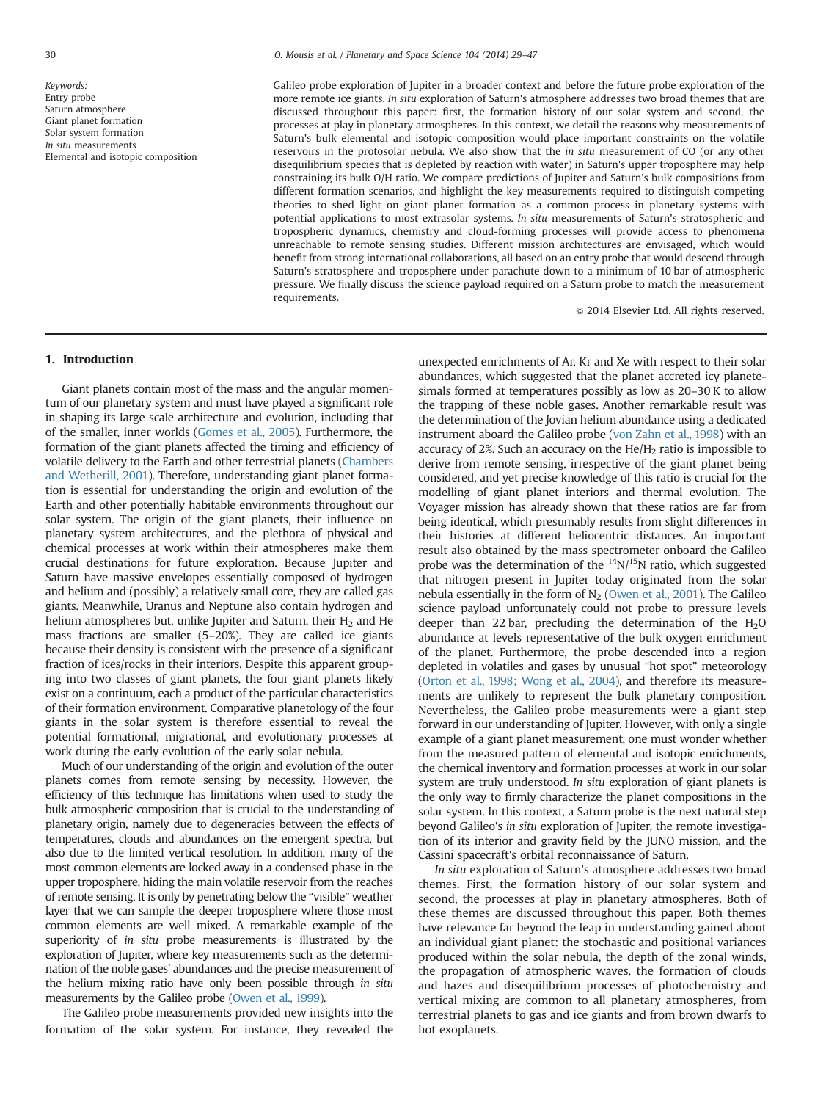Keywords: Entry probe Saturn atmosphere Giant planet formation Solar system formation In situ measurements Elemental and isotopic composition Galileo probe exploration of Jupiter in a broader context and before the future probe exploration of the more remote ice giants. In situ exploration of Saturn's atmosphere addresses two broad themes that are discussed throughout this paper: first, the formation history of our solar system and second, the processes at play in planetary atmospheres. In this context, we detail the reasons why measurements of Saturn's bulk elemental and isotopic composition would place important constraints on the volatile reservoirs in the protosolar nebula. We also show that the in situ measurement of CO (or any other disequilibrium species that is depleted by reaction with water) in Saturn's upper troposphere may help constraining its bulk O/H ratio. We compare predictions of Jupiter and Saturn's bulk compositions from different formation scenarios, and highlight the key measurements required to distinguish competing theories to shed light on giant planet formation as a common process in planetary systems with potential applications to most extrasolar systems. In situ measurements of Saturn's stratospheric and tropospheric dynamics, chemistry and cloud-forming processes will provide access to phenomena unreachable to remote sensing studies. Different mission architectures are envisaged, which would benefit from strong international collaborations, all based on an entry probe that would descend through Saturn's stratosphere and troposphere under parachute down to a minimum of 10 bar of atmospheric pressure. We finally discuss the science payload required on a Saturn probe to match the measurement requirements.

 $@$  2014 Elsevier Ltd. All rights reserved.

## 1. Introduction

Giant planets contain most of the mass and the angular momentum of our planetary system and must have played a significant role in shaping its large scale architecture and evolution, including that of the smaller, inner worlds ([Gomes et al., 2005\)](#page-17-0). Furthermore, the formation of the giant planets affected the timing and efficiency of volatile delivery to the Earth and other terrestrial planets ([Chambers](#page-16-0) [and Wetherill, 2001\)](#page-16-0). Therefore, understanding giant planet formation is essential for understanding the origin and evolution of the Earth and other potentially habitable environments throughout our solar system. The origin of the giant planets, their influence on planetary system architectures, and the plethora of physical and chemical processes at work within their atmospheres make them crucial destinations for future exploration. Because Jupiter and Saturn have massive envelopes essentially composed of hydrogen and helium and (possibly) a relatively small core, they are called gas giants. Meanwhile, Uranus and Neptune also contain hydrogen and helium atmospheres but, unlike Jupiter and Saturn, their  $H_2$  and He mass fractions are smaller (5–20%). They are called ice giants because their density is consistent with the presence of a significant fraction of ices/rocks in their interiors. Despite this apparent grouping into two classes of giant planets, the four giant planets likely exist on a continuum, each a product of the particular characteristics of their formation environment. Comparative planetology of the four giants in the solar system is therefore essential to reveal the potential formational, migrational, and evolutionary processes at work during the early evolution of the early solar nebula.

Much of our understanding of the origin and evolution of the outer planets comes from remote sensing by necessity. However, the efficiency of this technique has limitations when used to study the bulk atmospheric composition that is crucial to the understanding of planetary origin, namely due to degeneracies between the effects of temperatures, clouds and abundances on the emergent spectra, but also due to the limited vertical resolution. In addition, many of the most common elements are locked away in a condensed phase in the upper troposphere, hiding the main volatile reservoir from the reaches of remote sensing. It is only by penetrating below the "visible" weather layer that we can sample the deeper troposphere where those most common elements are well mixed. A remarkable example of the superiority of in situ probe measurements is illustrated by the exploration of Jupiter, where key measurements such as the determination of the noble gases' abundances and the precise measurement of the helium mixing ratio have only been possible through in situ measurements by the Galileo probe [\(Owen et al., 1999\)](#page-18-0).

The Galileo probe measurements provided new insights into the formation of the solar system. For instance, they revealed the unexpected enrichments of Ar, Kr and Xe with respect to their solar abundances, which suggested that the planet accreted icy planetesimals formed at temperatures possibly as low as 20–30 K to allow the trapping of these noble gases. Another remarkable result was the determination of the Jovian helium abundance using a dedicated instrument aboard the Galileo probe [\(von Zahn et al., 1998\)](#page-18-0) with an accuracy of 2%. Such an accuracy on the  $He/H<sub>2</sub>$  ratio is impossible to derive from remote sensing, irrespective of the giant planet being considered, and yet precise knowledge of this ratio is crucial for the modelling of giant planet interiors and thermal evolution. The Voyager mission has already shown that these ratios are far from being identical, which presumably results from slight differences in their histories at different heliocentric distances. An important result also obtained by the mass spectrometer onboard the Galileo probe was the determination of the  $\frac{14}{15}N$  ratio, which suggested that nitrogen present in Jupiter today originated from the solar nebula essentially in the form of  $N_2$  [\(Owen et al., 2001\)](#page-18-0). The Galileo science payload unfortunately could not probe to pressure levels deeper than 22 bar, precluding the determination of the  $H_2O$ abundance at levels representative of the bulk oxygen enrichment of the planet. Furthermore, the probe descended into a region depleted in volatiles and gases by unusual "hot spot" meteorology ([Orton et al., 1998; Wong et al., 2004\)](#page-18-0), and therefore its measurements are unlikely to represent the bulk planetary composition. Nevertheless, the Galileo probe measurements were a giant step forward in our understanding of Jupiter. However, with only a single example of a giant planet measurement, one must wonder whether from the measured pattern of elemental and isotopic enrichments, the chemical inventory and formation processes at work in our solar system are truly understood. In situ exploration of giant planets is the only way to firmly characterize the planet compositions in the solar system. In this context, a Saturn probe is the next natural step beyond Galileo's in situ exploration of Jupiter, the remote investigation of its interior and gravity field by the JUNO mission, and the Cassini spacecraft's orbital reconnaissance of Saturn.

In situ exploration of Saturn's atmosphere addresses two broad themes. First, the formation history of our solar system and second, the processes at play in planetary atmospheres. Both of these themes are discussed throughout this paper. Both themes have relevance far beyond the leap in understanding gained about an individual giant planet: the stochastic and positional variances produced within the solar nebula, the depth of the zonal winds, the propagation of atmospheric waves, the formation of clouds and hazes and disequilibrium processes of photochemistry and vertical mixing are common to all planetary atmospheres, from terrestrial planets to gas and ice giants and from brown dwarfs to hot exoplanets.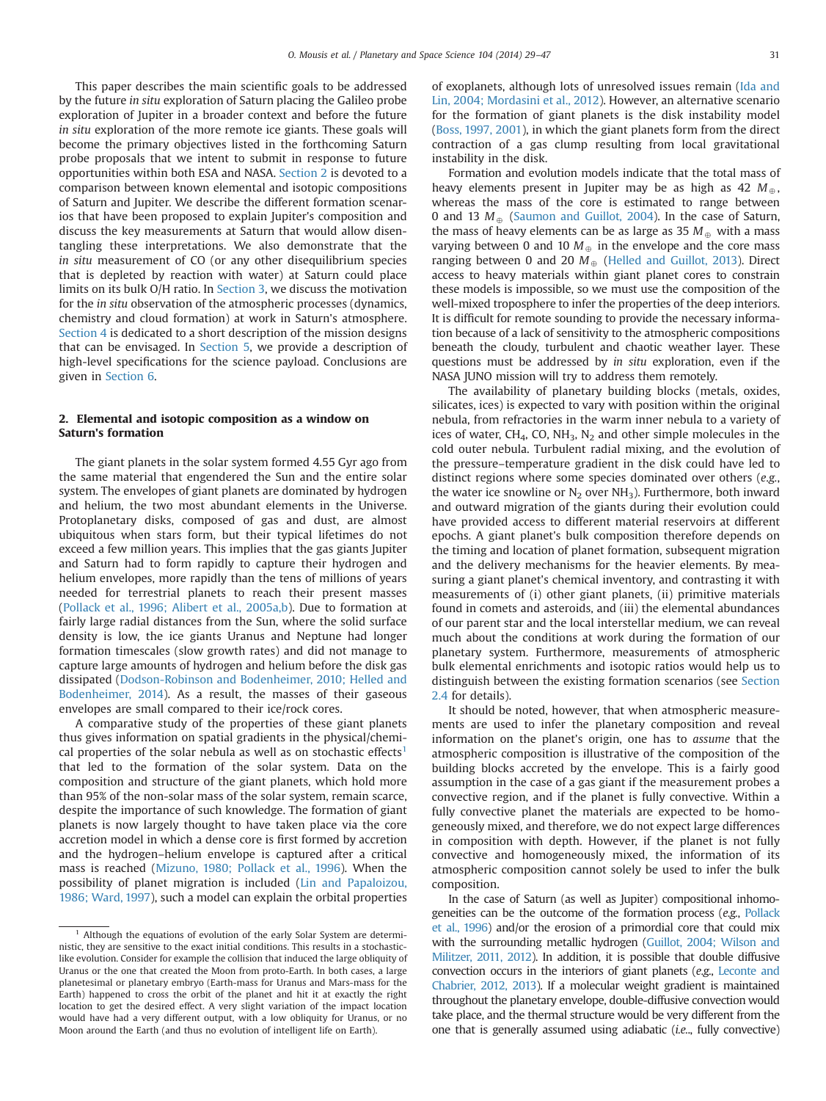<span id="page-2-0"></span>This paper describes the main scientific goals to be addressed by the future in situ exploration of Saturn placing the Galileo probe exploration of Jupiter in a broader context and before the future in situ exploration of the more remote ice giants. These goals will become the primary objectives listed in the forthcoming Saturn probe proposals that we intent to submit in response to future opportunities within both ESA and NASA. Section 2 is devoted to a comparison between known elemental and isotopic compositions of Saturn and Jupiter. We describe the different formation scenarios that have been proposed to explain Jupiter's composition and discuss the key measurements at Saturn that would allow disentangling these interpretations. We also demonstrate that the in situ measurement of CO (or any other disequilibrium species that is depleted by reaction with water) at Saturn could place limits on its bulk O/H ratio. In [Section 3](#page-8-0), we discuss the motivation for the in situ observation of the atmospheric processes (dynamics, chemistry and cloud formation) at work in Saturn's atmosphere. [Section 4](#page-11-0) is dedicated to a short description of the mission designs that can be envisaged. In [Section 5](#page-13-0), we provide a description of high-level specifications for the science payload. Conclusions are given in [Section 6](#page-16-0).

# 2. Elemental and isotopic composition as a window on Saturn's formation

The giant planets in the solar system formed 4.55 Gyr ago from the same material that engendered the Sun and the entire solar system. The envelopes of giant planets are dominated by hydrogen and helium, the two most abundant elements in the Universe. Protoplanetary disks, composed of gas and dust, are almost ubiquitous when stars form, but their typical lifetimes do not exceed a few million years. This implies that the gas giants Jupiter and Saturn had to form rapidly to capture their hydrogen and helium envelopes, more rapidly than the tens of millions of years needed for terrestrial planets to reach their present masses ([Pollack et al., 1996; Alibert et al., 2005a,b\)](#page-16-0). Due to formation at fairly large radial distances from the Sun, where the solid surface density is low, the ice giants Uranus and Neptune had longer formation timescales (slow growth rates) and did not manage to capture large amounts of hydrogen and helium before the disk gas dissipated ([Dodson-Robinson and Bodenheimer, 2010; Helled and](#page-17-0) [Bodenheimer, 2014\)](#page-17-0). As a result, the masses of their gaseous envelopes are small compared to their ice/rock cores.

A comparative study of the properties of these giant planets thus gives information on spatial gradients in the physical/chemical properties of the solar nebula as well as on stochastic effects<sup>1</sup> that led to the formation of the solar system. Data on the composition and structure of the giant planets, which hold more than 95% of the non-solar mass of the solar system, remain scarce, despite the importance of such knowledge. The formation of giant planets is now largely thought to have taken place via the core accretion model in which a dense core is first formed by accretion and the hydrogen–helium envelope is captured after a critical mass is reached [\(Mizuno, 1980; Pollack et al., 1996\)](#page-18-0). When the possibility of planet migration is included ([Lin and Papaloizou,](#page-17-0) [1986; Ward, 1997\)](#page-18-0), such a model can explain the orbital properties of exoplanets, although lots of unresolved issues remain ([Ida and](#page-17-0) [Lin, 2004; Mordasini et al., 2012](#page-17-0)). However, an alternative scenario for the formation of giant planets is the disk instability model ([Boss, 1997, 2001](#page-16-0)), in which the giant planets form from the direct contraction of a gas clump resulting from local gravitational instability in the disk.

Formation and evolution models indicate that the total mass of heavy elements present in Jupiter may be as high as 42  $M_{\oplus}$ , whereas the mass of the core is estimated to range between 0 and 13  $M_{\oplus}$  ([Saumon and Guillot, 2004](#page-18-0)). In the case of Saturn, the mass of heavy elements can be as large as 35  $M_{\oplus}$  with a mass varying between 0 and 10  $M_{\oplus}$  in the envelope and the core mass ranging between 0 and 20  $M_{\odot}$  ([Helled and Guillot, 2013\)](#page-17-0). Direct access to heavy materials within giant planet cores to constrain these models is impossible, so we must use the composition of the well-mixed troposphere to infer the properties of the deep interiors. It is difficult for remote sounding to provide the necessary information because of a lack of sensitivity to the atmospheric compositions beneath the cloudy, turbulent and chaotic weather layer. These questions must be addressed by in situ exploration, even if the NASA JUNO mission will try to address them remotely.

The availability of planetary building blocks (metals, oxides, silicates, ices) is expected to vary with position within the original nebula, from refractories in the warm inner nebula to a variety of ices of water,  $CH_4$ , CO,  $NH_3$ , N<sub>2</sub> and other simple molecules in the cold outer nebula. Turbulent radial mixing, and the evolution of the pressure–temperature gradient in the disk could have led to distinct regions where some species dominated over others (e.g., the water ice snowline or  $N_2$  over  $NH_3$ ). Furthermore, both inward and outward migration of the giants during their evolution could have provided access to different material reservoirs at different epochs. A giant planet's bulk composition therefore depends on the timing and location of planet formation, subsequent migration and the delivery mechanisms for the heavier elements. By measuring a giant planet's chemical inventory, and contrasting it with measurements of (i) other giant planets, (ii) primitive materials found in comets and asteroids, and (iii) the elemental abundances of our parent star and the local interstellar medium, we can reveal much about the conditions at work during the formation of our planetary system. Furthermore, measurements of atmospheric bulk elemental enrichments and isotopic ratios would help us to distinguish between the existing formation scenarios (see [Section](#page-6-0) [2.4](#page-6-0) for details).

It should be noted, however, that when atmospheric measurements are used to infer the planetary composition and reveal information on the planet's origin, one has to assume that the atmospheric composition is illustrative of the composition of the building blocks accreted by the envelope. This is a fairly good assumption in the case of a gas giant if the measurement probes a convective region, and if the planet is fully convective. Within a fully convective planet the materials are expected to be homogeneously mixed, and therefore, we do not expect large differences in composition with depth. However, if the planet is not fully convective and homogeneously mixed, the information of its atmospheric composition cannot solely be used to infer the bulk composition.

In the case of Saturn (as well as Jupiter) compositional inhomogeneities can be the outcome of the formation process (e.g., [Pollack](#page-18-0) [et al., 1996\)](#page-18-0) and/or the erosion of a primordial core that could mix with the surrounding metallic hydrogen [\(Guillot, 2004; Wilson and](#page-18-0) [Militzer, 2011, 2012](#page-18-0)). In addition, it is possible that double diffusive convection occurs in the interiors of giant planets (e.g., [Leconte and](#page-17-0) [Chabrier, 2012, 2013\)](#page-17-0). If a molecular weight gradient is maintained throughout the planetary envelope, double-diffusive convection would take place, and the thermal structure would be very different from the one that is generally assumed using adiabatic (i.e.., fully convective)

Although the equations of evolution of the early Solar System are deterministic, they are sensitive to the exact initial conditions. This results in a stochasticlike evolution. Consider for example the collision that induced the large obliquity of Uranus or the one that created the Moon from proto-Earth. In both cases, a large planetesimal or planetary embryo (Earth-mass for Uranus and Mars-mass for the Earth) happened to cross the orbit of the planet and hit it at exactly the right location to get the desired effect. A very slight variation of the impact location would have had a very different output, with a low obliquity for Uranus, or no Moon around the Earth (and thus no evolution of intelligent life on Earth).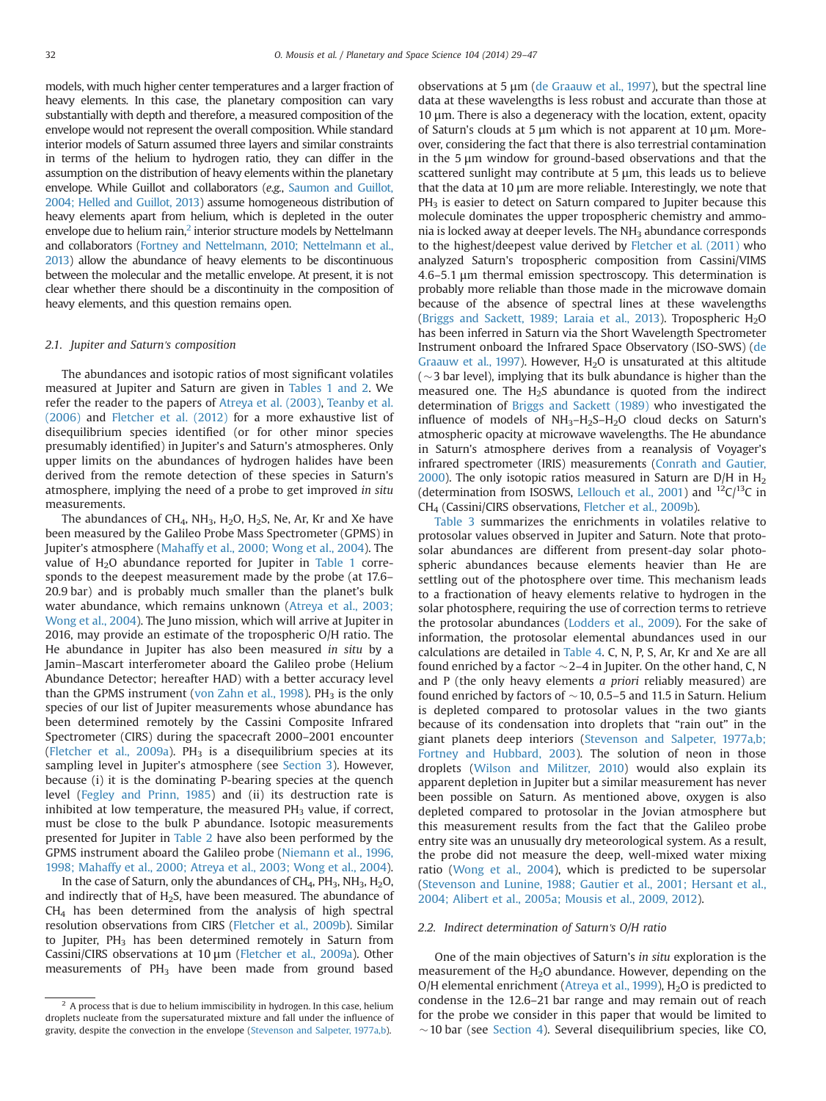<span id="page-3-0"></span>models, with much higher center temperatures and a larger fraction of heavy elements. In this case, the planetary composition can vary substantially with depth and therefore, a measured composition of the envelope would not represent the overall composition. While standard interior models of Saturn assumed three layers and similar constraints in terms of the helium to hydrogen ratio, they can differ in the assumption on the distribution of heavy elements within the planetary envelope. While Guillot and collaborators (e.g., [Saumon and Guillot,](#page-18-0) [2004; Helled and Guillot, 2013\)](#page-17-0) assume homogeneous distribution of heavy elements apart from helium, which is depleted in the outer envelope due to helium rain, $<sup>2</sup>$  interior structure models by Nettelmann</sup> and collaborators [\(Fortney and Nettelmann, 2010; Nettelmann et al.,](#page-18-0) [2013\)](#page-18-0) allow the abundance of heavy elements to be discontinuous between the molecular and the metallic envelope. At present, it is not clear whether there should be a discontinuity in the composition of heavy elements, and this question remains open.

## 2.1. Jupiter and Saturn's composition

The abundances and isotopic ratios of most significant volatiles measured at Jupiter and Saturn are given in [Tables 1 and 2.](#page-4-0) We refer the reader to the papers of [Atreya et al. \(2003\),](#page-16-0) [Teanby et al.](#page-18-0) [\(2006\)](#page-18-0) and [Fletcher et al. \(2012\)](#page-17-0) for a more exhaustive list of disequilibrium species identified (or for other minor species presumably identified) in Jupiter's and Saturn's atmospheres. Only upper limits on the abundances of hydrogen halides have been derived from the remote detection of these species in Saturn's atmosphere, implying the need of a probe to get improved in situ measurements.

The abundances of CH<sub>4</sub>, NH<sub>3</sub>, H<sub>2</sub>O, H<sub>2</sub>S, Ne, Ar, Kr and Xe have been measured by the Galileo Probe Mass Spectrometer (GPMS) in Jupiter's atmosphere [\(Mahaffy et al., 2000; Wong et al., 2004\)](#page-18-0). The value of H2O abundance reported for Jupiter in [Table 1](#page-4-0) corresponds to the deepest measurement made by the probe (at 17.6– 20.9 bar) and is probably much smaller than the planet's bulk water abundance, which remains unknown ([Atreya et al., 2003;](#page-16-0) [Wong et al., 2004](#page-18-0)). The Juno mission, which will arrive at Jupiter in 2016, may provide an estimate of the tropospheric O/H ratio. The He abundance in Jupiter has also been measured in situ by a Jamin–Mascart interferometer aboard the Galileo probe (Helium Abundance Detector; hereafter HAD) with a better accuracy level than the GPMS instrument [\(von Zahn et al., 1998](#page-18-0)). PH<sub>3</sub> is the only species of our list of Jupiter measurements whose abundance has been determined remotely by the Cassini Composite Infrared Spectrometer (CIRS) during the spacecraft 2000–2001 encounter ([Fletcher et al., 2009a\)](#page-17-0). PH<sub>3</sub> is a disequilibrium species at its sampling level in Jupiter's atmosphere (see [Section 3\)](#page-8-0). However, because (i) it is the dominating P-bearing species at the quench level ([Fegley and Prinn, 1985](#page-17-0)) and (ii) its destruction rate is inhibited at low temperature, the measured  $PH_3$  value, if correct, must be close to the bulk P abundance. Isotopic measurements presented for Jupiter in [Table 2](#page-4-0) have also been performed by the GPMS instrument aboard the Galileo probe [\(Niemann et al., 1996,](#page-18-0) [1998; Mahaffy et al., 2000; Atreya et al., 2003; Wong et al., 2004\)](#page-18-0).

In the case of Saturn, only the abundances of  $CH_4$ ,  $PH_3$ ,  $NH_3$ ,  $H_2O$ , and indirectly that of  $H_2S$ , have been measured. The abundance of  $CH<sub>4</sub>$  has been determined from the analysis of high spectral resolution observations from CIRS [\(Fletcher et al., 2009b](#page-17-0)). Similar to Jupiter,  $PH_3$  has been determined remotely in Saturn from Cassini/CIRS observations at 10 μm [\(Fletcher et al., 2009a](#page-17-0)). Other measurements of PH<sub>3</sub> have been made from ground based observations at 5  $\mu$ m [\(de Graauw et al., 1997\)](#page-16-0), but the spectral line data at these wavelengths is less robust and accurate than those at  $10 \mu$ m. There is also a degeneracy with the location, extent, opacity of Saturn's clouds at 5 μm which is not apparent at 10 μm. Moreover, considering the fact that there is also terrestrial contamination in the 5 μm window for ground-based observations and that the scattered sunlight may contribute at  $5 \mu m$ , this leads us to believe that the data at 10 μm are more reliable. Interestingly, we note that PH<sub>3</sub> is easier to detect on Saturn compared to Jupiter because this molecule dominates the upper tropospheric chemistry and ammonia is locked away at deeper levels. The NH<sub>3</sub> abundance corresponds to the highest/deepest value derived by [Fletcher et al. \(2011\)](#page-17-0) who analyzed Saturn's tropospheric composition from Cassini/VIMS 4:6–5:1 μm thermal emission spectroscopy. This determination is probably more reliable than those made in the microwave domain because of the absence of spectral lines at these wavelengths ([Briggs and Sackett, 1989; Laraia et al., 2013\)](#page-17-0). Tropospheric  $H_2O$ has been inferred in Saturn via the Short Wavelength Spectrometer Instrument onboard the Infrared Space Observatory (ISO-SWS) ([de](#page-16-0) [Graauw et al., 1997](#page-16-0)). However,  $H<sub>2</sub>O$  is unsaturated at this altitude  $(\sim$ 3 bar level), implying that its bulk abundance is higher than the measured one. The  $H_2S$  abundance is quoted from the indirect determination of [Briggs and Sackett \(1989\)](#page-16-0) who investigated the influence of models of  $NH_3-H_2S-H_2O$  cloud decks on Saturn's atmospheric opacity at microwave wavelengths. The He abundance in Saturn's atmosphere derives from a reanalysis of Voyager's infrared spectrometer (IRIS) measurements [\(Conrath and Gautier,](#page-16-0) [2000\)](#page-16-0). The only isotopic ratios measured in Saturn are  $D/H$  in  $H<sub>2</sub>$ (determination from ISOSWS, [Lellouch et al., 2001](#page-17-0)) and  ${}^{12}C/{}^{13}C$  in CH4 (Cassini/CIRS observations, [Fletcher et al., 2009b](#page-17-0)).

[Table 3](#page-4-0) summarizes the enrichments in volatiles relative to protosolar values observed in Jupiter and Saturn. Note that protosolar abundances are different from present-day solar photospheric abundances because elements heavier than He are settling out of the photosphere over time. This mechanism leads to a fractionation of heavy elements relative to hydrogen in the solar photosphere, requiring the use of correction terms to retrieve the protosolar abundances [\(Lodders et al., 2009\)](#page-17-0). For the sake of information, the protosolar elemental abundances used in our calculations are detailed in [Table 4](#page-4-0). C, N, P, S, Ar, Kr and Xe are all found enriched by a factor  $\sim$  2–4 in Jupiter. On the other hand, C, N and P (the only heavy elements a priori reliably measured) are found enriched by factors of  $\sim$  10, 0.5–5 and 11.5 in Saturn. Helium is depleted compared to protosolar values in the two giants because of its condensation into droplets that "rain out" in the giant planets deep interiors ([Stevenson and Salpeter, 1977a,b;](#page-18-0) [Fortney and Hubbard, 2003](#page-18-0)). The solution of neon in those droplets ([Wilson and Militzer, 2010](#page-18-0)) would also explain its apparent depletion in Jupiter but a similar measurement has never been possible on Saturn. As mentioned above, oxygen is also depleted compared to protosolar in the Jovian atmosphere but this measurement results from the fact that the Galileo probe entry site was an unusually dry meteorological system. As a result, the probe did not measure the deep, well-mixed water mixing ratio ([Wong et al., 2004\)](#page-18-0), which is predicted to be supersolar ([Stevenson and Lunine, 1988; Gautier et al., 2001; Hersant et al.,](#page-17-0) [2004; Alibert et al., 2005a; Mousis et al., 2009, 2012](#page-17-0)).

## 2.2. Indirect determination of Saturn's O/H ratio

One of the main objectives of Saturn's in situ exploration is the measurement of the  $H<sub>2</sub>O$  abundance. However, depending on the  $O/H$  elemental enrichment ([Atreya et al., 1999](#page-16-0)),  $H<sub>2</sub>O$  is predicted to condense in the 12.6–21 bar range and may remain out of reach for the probe we consider in this paper that would be limited to  $\sim$  10 bar (see [Section 4\)](#page-11-0). Several disequilibrium species, like CO,

<sup>2</sup> A process that is due to helium immiscibility in hydrogen. In this case, helium droplets nucleate from the supersaturated mixture and fall under the influence of gravity, despite the convection in the envelope ([Stevenson and Salpeter, 1977a,b](#page-18-0)).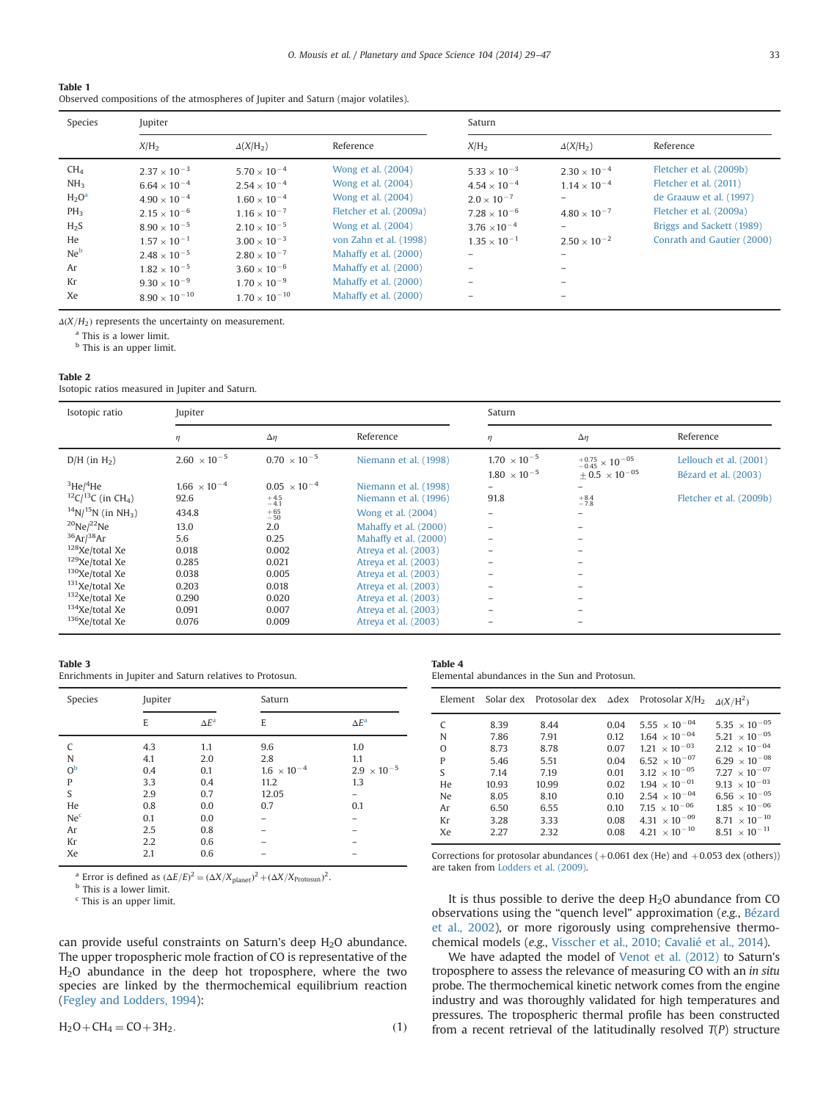<span id="page-4-0"></span>

| Table 1                                                                           |
|-----------------------------------------------------------------------------------|
| Observed compositions of the atmospheres of Jupiter and Saturn (major volatiles). |

| Species                                                                                                                | Jupiter                                                                                                                                                                                              |                                                                                                                                                                                                      | Saturn                                                                                                                                                                                      |                                                                                                                                                                                    |                                                                                                                                                                    |                                                                                                                                                                    |
|------------------------------------------------------------------------------------------------------------------------|------------------------------------------------------------------------------------------------------------------------------------------------------------------------------------------------------|------------------------------------------------------------------------------------------------------------------------------------------------------------------------------------------------------|---------------------------------------------------------------------------------------------------------------------------------------------------------------------------------------------|------------------------------------------------------------------------------------------------------------------------------------------------------------------------------------|--------------------------------------------------------------------------------------------------------------------------------------------------------------------|--------------------------------------------------------------------------------------------------------------------------------------------------------------------|
|                                                                                                                        | X/H <sub>2</sub>                                                                                                                                                                                     | $\Delta(X/H_2)$                                                                                                                                                                                      | Reference                                                                                                                                                                                   | X/H <sub>2</sub>                                                                                                                                                                   | $\Delta(X/H_2)$                                                                                                                                                    | Reference                                                                                                                                                          |
| CH <sub>4</sub><br>NH <sub>3</sub><br>H <sub>2</sub> O <sup>a</sup><br>$PH_3$<br>$H_2S$<br>He<br>Ne <sup>b</sup><br>Ar | $2.37 \times 10^{-3}$<br>$6.64 \times 10^{-4}$<br>$4.90 \times 10^{-4}$<br>$2.15 \times 10^{-6}$<br>$8.90 \times 10^{-5}$<br>$1.57 \times 10^{-1}$<br>$2.48 \times 10^{-5}$<br>$1.82 \times 10^{-5}$ | $5.70 \times 10^{-4}$<br>$2.54 \times 10^{-4}$<br>$1.60 \times 10^{-4}$<br>$1.16 \times 10^{-7}$<br>$2.10 \times 10^{-5}$<br>$3.00 \times 10^{-3}$<br>$2.80 \times 10^{-7}$<br>$3.60 \times 10^{-6}$ | Wong et al. (2004)<br>Wong et al. (2004)<br>Wong et al. (2004)<br>Fletcher et al. (2009a)<br>Wong et al. (2004)<br>von Zahn et al. (1998)<br>Mahaffy et al. (2000)<br>Mahaffy et al. (2000) | $5.33 \times 10^{-3}$<br>$4.54 \times 10^{-4}$<br>$2.0 \times 10^{-7}$<br>$7.28 \times 10^{-6}$<br>$3.76 \times 10^{-4}$<br>$1.35 \times 10^{-1}$<br>-<br>$\overline{\phantom{m}}$ | $2.30 \times 10^{-4}$<br>$1.14 \times 10^{-4}$<br>$\overline{\phantom{a}}$<br>$4.80 \times 10^{-7}$<br>$\overline{\phantom{a}}$<br>$2.50 \times 10^{-2}$<br>-<br>- | Fletcher et al. (2009b)<br>Fletcher et al. (2011)<br>de Graauw et al. (1997)<br>Fletcher et al. (2009a)<br>Briggs and Sackett (1989)<br>Conrath and Gautier (2000) |
| Kr<br>Xe                                                                                                               | $9.30 \times 10^{-9}$<br>$8.90 \times 10^{-10}$                                                                                                                                                      | $1.70 \times 10^{-9}$<br>$1.70\times10^{-10}$                                                                                                                                                        | Mahaffy et al. (2000)<br>Mahaffy et al. (2000)                                                                                                                                              | $\qquad \qquad =$<br>$\qquad \qquad =$                                                                                                                                             | $\overline{\phantom{m}}$<br>$\overline{\phantom{m}}$                                                                                                               |                                                                                                                                                                    |

 $\Delta(X/H_2)$  represents the uncertainty on measurement.

<sup>a</sup> This is a lower limit.

<sup>b</sup> This is an upper limit.

### Table 2

Isotopic ratios measured in Jupiter and Saturn.

| Isotopic ratio                                                                                                                                                                              | Jupiter                                                        |                                                                                     |                                                                                                                                                | Saturn                                         |                                                            |                                                |
|---------------------------------------------------------------------------------------------------------------------------------------------------------------------------------------------|----------------------------------------------------------------|-------------------------------------------------------------------------------------|------------------------------------------------------------------------------------------------------------------------------------------------|------------------------------------------------|------------------------------------------------------------|------------------------------------------------|
|                                                                                                                                                                                             | $\eta$                                                         | $\Delta\eta$                                                                        | Reference                                                                                                                                      | $\eta$                                         | $\Delta \eta$                                              | Reference                                      |
| $D/H$ (in $H_2$ )                                                                                                                                                                           | $2.60 \times 10^{-5}$                                          | $0.70 \times 10^{-5}$                                                               | Niemann et al. (1998)                                                                                                                          | $1.70 \times 10^{-5}$<br>$1.80 \times 10^{-5}$ | $^{+0.75}_{-0.45}\times10^{-05}$<br>$+0.5 \times 10^{-05}$ | Lellouch et al. (2001)<br>Bézard et al. (2003) |
| ${}^{3}$ He/ <sup>4</sup> He<br>${}^{12}C/{}^{13}C$ (in CH <sub>4</sub> )<br>$^{14}N/^{15}N$ (in NH <sub>3</sub> )<br>$^{20}$ Ne/ $^{22}$ Ne<br>$36Ar^{38}Ar$<br><sup>128</sup> Xe/total Xe | $1.66 \times 10^{-4}$<br>92.6<br>434.8<br>13.0<br>5.6<br>0.018 | $0.05 \times 10^{-4}$<br>$+4.5$<br>$-4.1$<br>$+65$<br>$-50$<br>2.0<br>0.25<br>0.002 | Niemann et al. (1998)<br>Niemann et al. (1996)<br>Wong et al. (2004)<br>Mahaffy et al. (2000)<br>Mahaffy et al. (2000)<br>Atreya et al. (2003) | 91.8                                           | $+8.4$<br>$-7.8$<br>-<br>-                                 | Fletcher et al. (2009b)                        |
| $129$ Xe/total Xe<br><sup>130</sup> Xe/total Xe<br><sup>131</sup> Xe/total Xe<br><sup>132</sup> Xe/total Xe<br><sup>134</sup> Xe/total Xe<br><sup>136</sup> Xe/total Xe                     | 0.285<br>0.038<br>0.203<br>0.290<br>0.091<br>0.076             | 0.021<br>0.005<br>0.018<br>0.020<br>0.007<br>0.009                                  | Atreya et al. (2003)<br>Atreya et al. (2003)<br>Atreya et al. (2003)<br>Atreya et al. (2003)<br>Atreya et al. (2003)<br>Atreya et al. (2003)   |                                                | -<br>-                                                     |                                                |

## Table 3

Enrichments in Jupiter and Saturn relatives to Protosun.

| Species         | Jupiter |                    | Saturn               |                      |
|-----------------|---------|--------------------|----------------------|----------------------|
|                 | E       | $\Delta E^{\rm a}$ | E                    | $\Delta E^{\rm a}$   |
|                 | 4.3     | 1.1                | 9.6                  | 1.0                  |
| N               | 4.1     | 2.0                | 2.8                  | 1.1                  |
| O <sub>p</sub>  | 0.4     | 0.1                | $1.6 \times 10^{-4}$ | $2.9 \times 10^{-5}$ |
| P               | 3.3     | 0.4                | 11.2                 | 1.3                  |
| S               | 2.9     | 0.7                | 12.05                |                      |
| He              | 0.8     | 0.0                | 0.7                  | 0.1                  |
| Ne <sup>c</sup> | 0.1     | 0.0                |                      |                      |
| Ar              | 2.5     | 0.8                |                      |                      |
| Kr              | 2.2     | 0.6                |                      |                      |
| Xe              | 2.1     | 0.6                |                      |                      |

<sup>a</sup> Error is defined as  $(\Delta E/E)^2 = (\Delta X/X_{\text{planet}})^2 + (\Delta X/X_{\text{Protosun}})^2$ .

<sup>b</sup> This is a lower limit.

<sup>c</sup> This is an upper limit.

can provide useful constraints on Saturn's deep  $H_2O$  abundance. The upper tropospheric mole fraction of CO is representative of the H2O abundance in the deep hot troposphere, where the two species are linked by the thermochemical equilibrium reaction ([Fegley and Lodders, 1994\)](#page-17-0):

$$
H_2O + CH_4 = CO + 3H_2.
$$
 (1)

| Table 4 |                                               |  |
|---------|-----------------------------------------------|--|
|         | Elemental abundances in the Sun and Protosun. |  |

|          |       |       |      | Element Solar dex Protosolar dex $\Delta$ dex Protosolar X/H <sub>2</sub> | $\Delta(X/H^2)$                 |
|----------|-------|-------|------|---------------------------------------------------------------------------|---------------------------------|
| C        | 8.39  | 8.44  | 0.04 | 5.55 $\times$ 10 <sup>-04</sup>                                           | $5.35 \times 10^{-05}$          |
| N        | 7.86  | 7.91  | 0.12 | $1.64 \times 10^{-04}$                                                    | $5.21 \times 10^{-05}$          |
| $\Omega$ | 8.73  | 8.78  | 0.07 | $1.21 \times 10^{-03}$                                                    | $2.12 \times 10^{-04}$          |
| P        | 5.46  | 5.51  | 0.04 | $6.52 \times 10^{-07}$                                                    | $6.29 \times 10^{-08}$          |
| S        | 7.14  | 7.19  | 0.01 | $3.12 \times 10^{-05}$                                                    | $7.27 \times 10^{-07}$          |
| He       | 10.93 | 10.99 | 0.02 | $1.94 \times 10^{-01}$                                                    | $9.13 \times 10^{-03}$          |
| Ne       | 8.05  | 8.10  | 0.10 | $2.54 \times 10^{-04}$                                                    | $6.56 \times 10^{-05}$          |
| Ar       | 6.50  | 6.55  | 0.10 | 7.15 $\times$ 10 <sup>-06</sup>                                           | $1.85 \times 10^{-06}$          |
| Кr       | 3.28  | 3.33  | 0.08 | 4.31 $\times$ 10 <sup>-09</sup>                                           | 8.71 $\times$ 10 <sup>-10</sup> |
| Xe       | 2.27  | 2.32  | 0.08 | 4.21 $\times$ 10 <sup>-10</sup>                                           | 8.51 $\times$ 10 <sup>-11</sup> |

Corrections for protosolar abundances ( $+0.061$  dex (He) and  $+0.053$  dex (others)) are taken from [Lodders et al. \(2009\).](#page-17-0)

It is thus possible to derive the deep  $H_2O$  abundance from  $CO$ observations using the "quench level" approximation (e.g., [Bézard](#page-16-0) [et al., 2002\)](#page-16-0), or more rigorously using comprehensive thermochemical models (e.g., [Visscher et al., 2010; Cavalié et al., 2014\)](#page-16-0).

We have adapted the model of [Venot et al. \(2012\)](#page-18-0) to Saturn's troposphere to assess the relevance of measuring CO with an in situ probe. The thermochemical kinetic network comes from the engine industry and was thoroughly validated for high temperatures and pressures. The tropospheric thermal profile has been constructed from a recent retrieval of the latitudinally resolved  $T(P)$  structure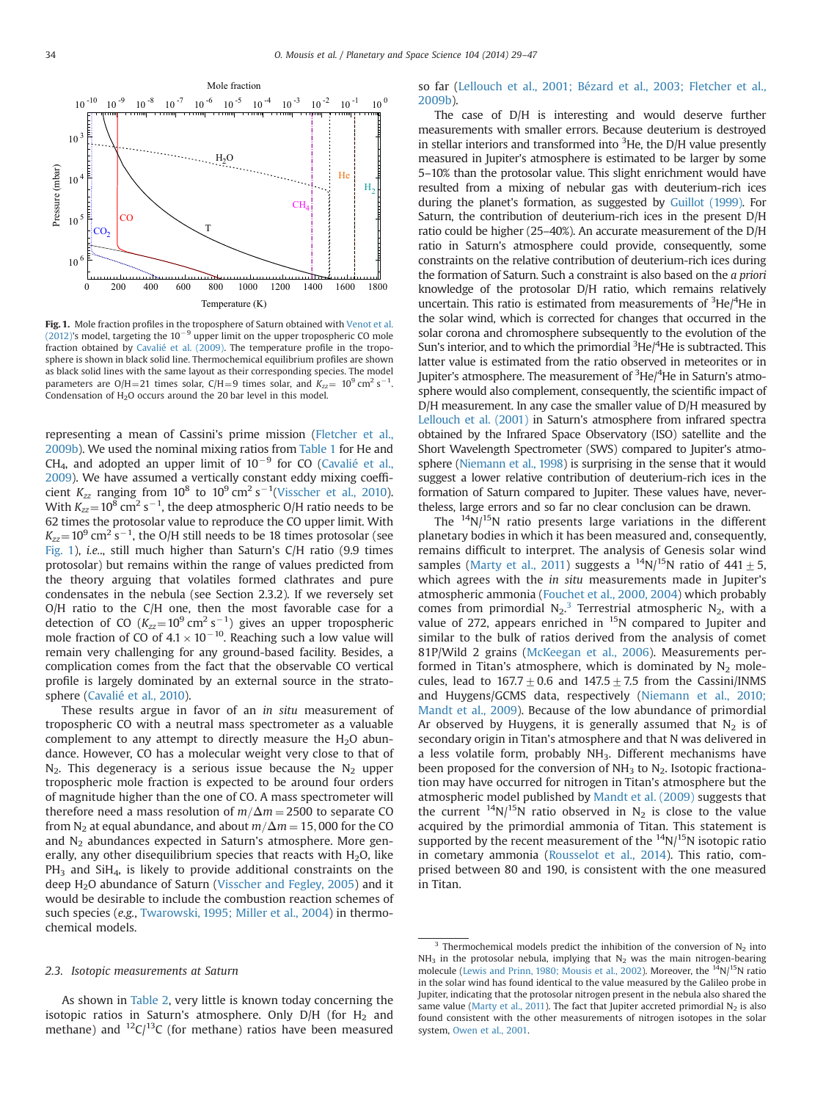

Fig. 1. Mole fraction profiles in the troposphere of Saturn obtained with [Venot et al.](#page-18-0)  $(2012)$ 's model, targeting the  $10^{-9}$  upper limit on the upper tropospheric CO mole fraction obtained by [Cavalié et al. \(2009\).](#page-16-0) The temperature profile in the troposphere is shown in black solid line. Thermochemical equilibrium profiles are shown as black solid lines with the same layout as their corresponding species. The model parameters are  $O/H = 21$  times solar,  $C/H = 9$  times solar, and  $K_{zz} = 10^9 \text{ cm}^2 \text{ s}^{-1}$ . Condensation of H<sub>2</sub>O occurs around the 20 bar level in this model.

representing a mean of Cassini's prime mission ([Fletcher et al.,](#page-17-0) [2009b](#page-17-0)). We used the nominal mixing ratios from [Table 1](#page-4-0) for He and CH<sub>4</sub>, and adopted an upper limit of  $10^{-9}$  for CO [\(Cavalié et al.,](#page-16-0) [2009\)](#page-16-0). We have assumed a vertically constant eddy mixing coefficient  $K_{zz}$  ranging from  $10^8$  to  $10^9 \text{ cm}^2 \text{ s}^{-1}$ [\(Visscher et al., 2010\)](#page-18-0). With  $K_{zz}$  = 10<sup>8</sup> cm<sup>2</sup> s<sup>-1</sup>, the deep atmospheric O/H ratio needs to be 62 times the protosolar value to reproduce the CO upper limit. With  $K_{zz}$  = 10<sup>9</sup> cm<sup>2</sup> s<sup>-1</sup>, the O/H still needs to be 18 times protosolar (see Fig. 1), *i.e..*, still much higher than Saturn's  $C/H$  ratio (9.9 times protosolar) but remains within the range of values predicted from the theory arguing that volatiles formed clathrates and pure condensates in the nebula (see Section 2.3.2). If we reversely set O/H ratio to the C/H one, then the most favorable case for a detection of CO  $(K_{zz} = 10^9 \text{ cm}^2 \text{ s}^{-1})$  gives an upper tropospheric mole fraction of CO of  $4.1 \times 10^{-10}$ . Reaching such a low value will remain very challenging for any ground-based facility. Besides, a complication comes from the fact that the observable CO vertical profile is largely dominated by an external source in the stratosphere [\(Cavalié et al., 2010](#page-16-0)).

These results argue in favor of an in situ measurement of tropospheric CO with a neutral mass spectrometer as a valuable complement to any attempt to directly measure the  $H_2O$  abundance. However, CO has a molecular weight very close to that of  $N_2$ . This degeneracy is a serious issue because the  $N_2$  upper tropospheric mole fraction is expected to be around four orders of magnitude higher than the one of CO. A mass spectrometer will therefore need a mass resolution of  $m/\Delta m = 2500$  to separate CO from N<sub>2</sub> at equal abundance, and about  $m/\Delta m = 15,000$  for the CO and  $N_2$  abundances expected in Saturn's atmosphere. More generally, any other disequilibrium species that reacts with  $H_2O$ , like  $PH_3$  and SiH<sub>4</sub>, is likely to provide additional constraints on the deep H2O abundance of Saturn ([Visscher and Fegley, 2005\)](#page-18-0) and it would be desirable to include the combustion reaction schemes of such species (e.g., [Twarowski, 1995; Miller et al., 2004](#page-17-0)) in thermochemical models.

#### 2.3. Isotopic measurements at Saturn

As shown in [Table 2,](#page-4-0) very little is known today concerning the isotopic ratios in Saturn's atmosphere. Only  $D/H$  (for  $H<sub>2</sub>$  and methane) and  ${}^{12}C/{}^{13}C$  (for methane) ratios have been measured

so far ([Lellouch et al., 2001; Bézard et al., 2003; Fletcher et al.,](#page-17-0) [2009b\)](#page-17-0).

The case of D/H is interesting and would deserve further measurements with smaller errors. Because deuterium is destroyed in stellar interiors and transformed into  ${}^{3}$ He, the D/H value presently measured in Jupiter's atmosphere is estimated to be larger by some 5–10% than the protosolar value. This slight enrichment would have resulted from a mixing of nebular gas with deuterium-rich ices during the planet's formation, as suggested by [Guillot \(1999\)](#page-17-0). For Saturn, the contribution of deuterium-rich ices in the present D/H ratio could be higher (25–40%). An accurate measurement of the D/H ratio in Saturn's atmosphere could provide, consequently, some constraints on the relative contribution of deuterium-rich ices during the formation of Saturn. Such a constraint is also based on the a priori knowledge of the protosolar D/H ratio, which remains relatively uncertain. This ratio is estimated from measurements of  $3He/4He$  in the solar wind, which is corrected for changes that occurred in the solar corona and chromosphere subsequently to the evolution of the Sun's interior, and to which the primordial <sup>3</sup>He/<sup>4</sup>He is subtracted. This latter value is estimated from the ratio observed in meteorites or in Jupiter's atmosphere. The measurement of <sup>3</sup>He/<sup>4</sup>He in Saturn's atmosphere would also complement, consequently, the scientific impact of D/H measurement. In any case the smaller value of D/H measured by [Lellouch et al. \(2001\)](#page-17-0) in Saturn's atmosphere from infrared spectra obtained by the Infrared Space Observatory (ISO) satellite and the Short Wavelength Spectrometer (SWS) compared to Jupiter's atmosphere [\(Niemann et al., 1998](#page-18-0)) is surprising in the sense that it would suggest a lower relative contribution of deuterium-rich ices in the formation of Saturn compared to Jupiter. These values have, nevertheless, large errors and so far no clear conclusion can be drawn.

The  $\frac{14}{15}$ N ratio presents large variations in the different planetary bodies in which it has been measured and, consequently, remains difficult to interpret. The analysis of Genesis solar wind samples [\(Marty et al., 2011](#page-17-0)) suggests a <sup>14</sup>N/<sup>15</sup>N ratio of 441  $\pm$  5, which agrees with the in situ measurements made in Jupiter's atmospheric ammonia ([Fouchet et al., 2000, 2004\)](#page-17-0) which probably comes from primordial  $N_2$ .<sup>3</sup> Terrestrial atmospheric  $N_2$ , with a value of 272, appears enriched in  $15N$  compared to Jupiter and similar to the bulk of ratios derived from the analysis of comet 81P/Wild 2 grains ([McKeegan et al., 2006](#page-17-0)). Measurements performed in Titan's atmosphere, which is dominated by  $N_2$  molecules, lead to  $167.7 + 0.6$  and  $147.5 + 7.5$  from the Cassini/INMS and Huygens/GCMS data, respectively ([Niemann et al., 2010;](#page-18-0) [Mandt et al., 2009\)](#page-17-0). Because of the low abundance of primordial Ar observed by Huygens, it is generally assumed that  $N_2$  is of secondary origin in Titan's atmosphere and that N was delivered in a less volatile form, probably  $NH<sub>3</sub>$ . Different mechanisms have been proposed for the conversion of  $NH<sub>3</sub>$  to  $N<sub>2</sub>$ . Isotopic fractionation may have occurred for nitrogen in Titan's atmosphere but the atmospheric model published by [Mandt et al. \(2009\)](#page-17-0) suggests that the current  $^{14}N/^{15}N$  ratio observed in N<sub>2</sub> is close to the value acquired by the primordial ammonia of Titan. This statement is supported by the recent measurement of the  $\frac{14}{15}$ N isotopic ratio in cometary ammonia ([Rousselot et al., 2014\)](#page-18-0). This ratio, comprised between 80 and 190, is consistent with the one measured in Titan.

<sup>&</sup>lt;sup>3</sup> Thermochemical models predict the inhibition of the conversion of  $N_2$  into  $NH<sub>3</sub>$  in the protosolar nebula, implying that  $N<sub>2</sub>$  was the main nitrogen-bearing molecule ([Lewis and Prinn, 1980; Mousis et al., 2002](#page-18-0)). Moreover, the <sup>14</sup>N/<sup>15</sup>N ratio in the solar wind has found identical to the value measured by the Galileo probe in Jupiter, indicating that the protosolar nitrogen present in the nebula also shared the same value [\(Marty et al., 2011](#page-17-0)). The fact that Jupiter accreted primordial  $N_2$  is also found consistent with the other measurements of nitrogen isotopes in the solar system, [Owen et al., 2001.](#page-18-0)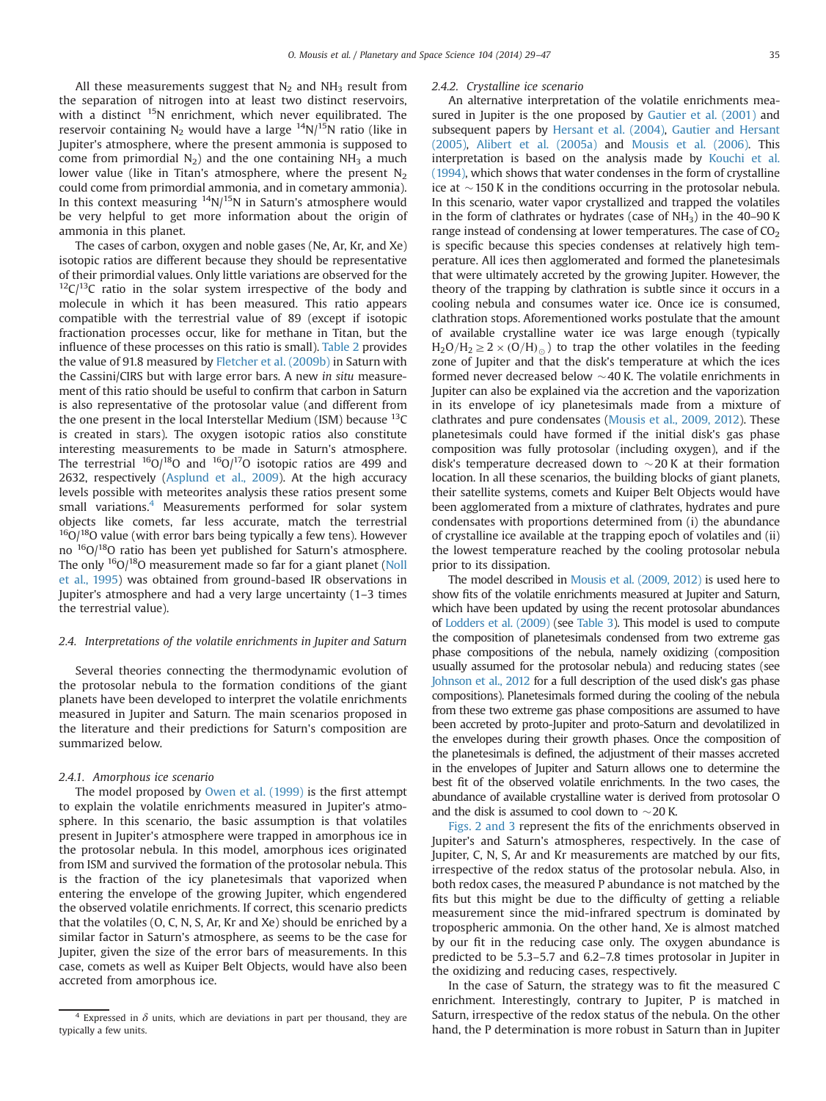<span id="page-6-0"></span>All these measurements suggest that  $N_2$  and  $NH_3$  result from the separation of nitrogen into at least two distinct reservoirs, with a distinct <sup>15</sup>N enrichment, which never equilibrated. The reservoir containing N<sub>2</sub> would have a large  $^{14}N/^{15}N$  ratio (like in Jupiter's atmosphere, where the present ammonia is supposed to come from primordial  $N_2$ ) and the one containing NH<sub>3</sub> a much lower value (like in Titan's atmosphere, where the present  $N<sub>2</sub>$ could come from primordial ammonia, and in cometary ammonia). In this context measuring  $^{14}N/^{15}N$  in Saturn's atmosphere would be very helpful to get more information about the origin of ammonia in this planet.

The cases of carbon, oxygen and noble gases (Ne, Ar, Kr, and Xe) isotopic ratios are different because they should be representative of their primordial values. Only little variations are observed for the  $12C/13C$  ratio in the solar system irrespective of the body and molecule in which it has been measured. This ratio appears compatible with the terrestrial value of 89 (except if isotopic fractionation processes occur, like for methane in Titan, but the influence of these processes on this ratio is small). [Table 2](#page-4-0) provides the value of 91.8 measured by [Fletcher et al. \(2009b\)](#page-17-0) in Saturn with the Cassini/CIRS but with large error bars. A new in situ measurement of this ratio should be useful to confirm that carbon in Saturn is also representative of the protosolar value (and different from the one present in the local Interstellar Medium (ISM) because  $^{13}$ C is created in stars). The oxygen isotopic ratios also constitute interesting measurements to be made in Saturn's atmosphere. The terrestrial  ${}^{16}O/{}^{18}O$  and  ${}^{16}O/{}^{17}O$  isotopic ratios are 499 and 2632, respectively ([Asplund et al., 2009\)](#page-16-0). At the high accuracy levels possible with meteorites analysis these ratios present some small variations.<sup>4</sup> Measurements performed for solar system objects like comets, far less accurate, match the terrestrial  $160/18$ O value (with error bars being typically a few tens). However no <sup>16</sup>O/<sup>18</sup>O ratio has been yet published for Saturn's atmosphere. The only <sup>16</sup>O/<sup>18</sup>O measurement made so far for a giant planet [\(Noll](#page-18-0) [et al., 1995](#page-18-0)) was obtained from ground-based IR observations in Jupiter's atmosphere and had a very large uncertainty (1–3 times the terrestrial value).

## 2.4. Interpretations of the volatile enrichments in Jupiter and Saturn

Several theories connecting the thermodynamic evolution of the protosolar nebula to the formation conditions of the giant planets have been developed to interpret the volatile enrichments measured in Jupiter and Saturn. The main scenarios proposed in the literature and their predictions for Saturn's composition are summarized below.

## 2.4.1. Amorphous ice scenario

The model proposed by [Owen et al. \(1999\)](#page-18-0) is the first attempt to explain the volatile enrichments measured in Jupiter's atmosphere. In this scenario, the basic assumption is that volatiles present in Jupiter's atmosphere were trapped in amorphous ice in the protosolar nebula. In this model, amorphous ices originated from ISM and survived the formation of the protosolar nebula. This is the fraction of the icy planetesimals that vaporized when entering the envelope of the growing Jupiter, which engendered the observed volatile enrichments. If correct, this scenario predicts that the volatiles (O, C, N, S, Ar, Kr and Xe) should be enriched by a similar factor in Saturn's atmosphere, as seems to be the case for Jupiter, given the size of the error bars of measurements. In this case, comets as well as Kuiper Belt Objects, would have also been accreted from amorphous ice.

## 2.4.2. Crystalline ice scenario

An alternative interpretation of the volatile enrichments measured in Jupiter is the one proposed by [Gautier et al. \(2001\)](#page-17-0) and subsequent papers by [Hersant et al. \(2004\)](#page-17-0), [Gautier and Hersant](#page-17-0) [\(2005\)](#page-17-0), [Alibert et al. \(2005a\)](#page-16-0) and [Mousis et al. \(2006\).](#page-18-0) This interpretation is based on the analysis made by [Kouchi et al.](#page-17-0) [\(1994\),](#page-17-0) which shows that water condenses in the form of crystalline ice at  $\sim$  150 K in the conditions occurring in the protosolar nebula. In this scenario, water vapor crystallized and trapped the volatiles in the form of clathrates or hydrates (case of  $NH<sub>3</sub>$ ) in the 40–90 K range instead of condensing at lower temperatures. The case of  $CO<sub>2</sub>$ is specific because this species condenses at relatively high temperature. All ices then agglomerated and formed the planetesimals that were ultimately accreted by the growing Jupiter. However, the theory of the trapping by clathration is subtle since it occurs in a cooling nebula and consumes water ice. Once ice is consumed, clathration stops. Aforementioned works postulate that the amount of available crystalline water ice was large enough (typically  $H_2O/H_2 \geq 2 \times (O/H)_{\odot}$ ) to trap the other volatiles in the feeding zone of Jupiter and that the disk's temperature at which the ices formed never decreased below  $\sim$  40 K. The volatile enrichments in Jupiter can also be explained via the accretion and the vaporization in its envelope of icy planetesimals made from a mixture of clathrates and pure condensates [\(Mousis et al., 2009, 2012](#page-17-0)). These planetesimals could have formed if the initial disk's gas phase composition was fully protosolar (including oxygen), and if the disk's temperature decreased down to  $\sim$  20 K at their formation location. In all these scenarios, the building blocks of giant planets, their satellite systems, comets and Kuiper Belt Objects would have been agglomerated from a mixture of clathrates, hydrates and pure condensates with proportions determined from (i) the abundance of crystalline ice available at the trapping epoch of volatiles and (ii) the lowest temperature reached by the cooling protosolar nebula prior to its dissipation.

The model described in [Mousis et al. \(2009, 2012\)](#page-17-0) is used here to show fits of the volatile enrichments measured at Jupiter and Saturn, which have been updated by using the recent protosolar abundances of [Lodders et al. \(2009\)](#page-17-0) (see [Table 3](#page-4-0)). This model is used to compute the composition of planetesimals condensed from two extreme gas phase compositions of the nebula, namely oxidizing (composition usually assumed for the protosolar nebula) and reducing states (see [Johnson et al., 2012](#page-17-0) for a full description of the used disk's gas phase compositions). Planetesimals formed during the cooling of the nebula from these two extreme gas phase compositions are assumed to have been accreted by proto-Jupiter and proto-Saturn and devolatilized in the envelopes during their growth phases. Once the composition of the planetesimals is defined, the adjustment of their masses accreted in the envelopes of Jupiter and Saturn allows one to determine the best fit of the observed volatile enrichments. In the two cases, the abundance of available crystalline water is derived from protosolar O and the disk is assumed to cool down to  $\sim$  20 K.

[Figs. 2 and 3](#page-7-0) represent the fits of the enrichments observed in Jupiter's and Saturn's atmospheres, respectively. In the case of Jupiter, C, N, S, Ar and Kr measurements are matched by our fits, irrespective of the redox status of the protosolar nebula. Also, in both redox cases, the measured P abundance is not matched by the fits but this might be due to the difficulty of getting a reliable measurement since the mid-infrared spectrum is dominated by tropospheric ammonia. On the other hand, Xe is almost matched by our fit in the reducing case only. The oxygen abundance is predicted to be 5.3–5.7 and 6.2–7.8 times protosolar in Jupiter in the oxidizing and reducing cases, respectively.

In the case of Saturn, the strategy was to fit the measured C enrichment. Interestingly, contrary to Jupiter, P is matched in Saturn, irrespective of the redox status of the nebula. On the other hand, the P determination is more robust in Saturn than in Jupiter

<sup>&</sup>lt;sup>4</sup> Expressed in  $\delta$  units, which are deviations in part per thousand, they are typically a few units.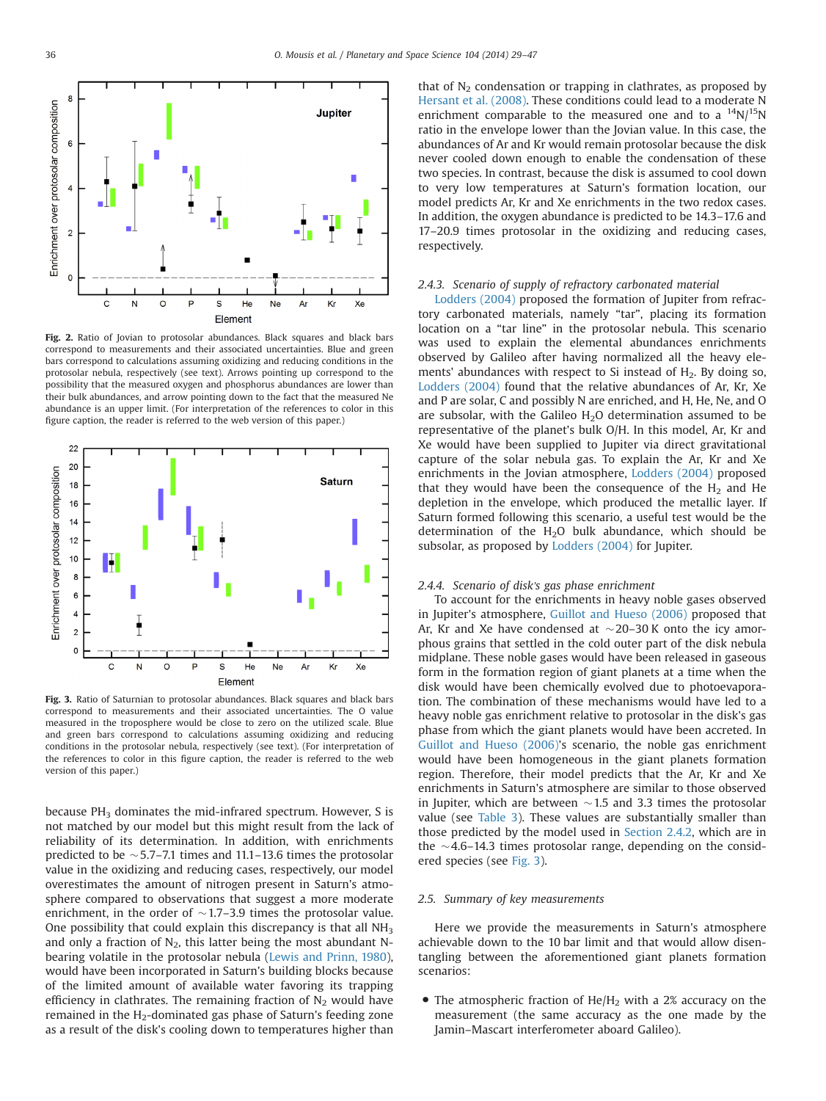<span id="page-7-0"></span>

Fig. 2. Ratio of Jovian to protosolar abundances. Black squares and black bars correspond to measurements and their associated uncertainties. Blue and green bars correspond to calculations assuming oxidizing and reducing conditions in the protosolar nebula, respectively (see text). Arrows pointing up correspond to the possibility that the measured oxygen and phosphorus abundances are lower than their bulk abundances, and arrow pointing down to the fact that the measured Ne abundance is an upper limit. (For interpretation of the references to color in this figure caption, the reader is referred to the web version of this paper.)



Fig. 3. Ratio of Saturnian to protosolar abundances. Black squares and black bars correspond to measurements and their associated uncertainties. The O value measured in the troposphere would be close to zero on the utilized scale. Blue and green bars correspond to calculations assuming oxidizing and reducing conditions in the protosolar nebula, respectively (see text). (For interpretation of the references to color in this figure caption, the reader is referred to the web version of this paper.)

because PH<sub>3</sub> dominates the mid-infrared spectrum. However, S is not matched by our model but this might result from the lack of reliability of its determination. In addition, with enrichments predicted to be  $\sim$  5.7–7.1 times and 11.1–13.6 times the protosolar value in the oxidizing and reducing cases, respectively, our model overestimates the amount of nitrogen present in Saturn's atmosphere compared to observations that suggest a more moderate enrichment, in the order of  $\sim$  1.7–3.9 times the protosolar value. One possibility that could explain this discrepancy is that all  $NH<sub>3</sub>$ and only a fraction of  $N_2$ , this latter being the most abundant Nbearing volatile in the protosolar nebula [\(Lewis and Prinn, 1980\)](#page-17-0), would have been incorporated in Saturn's building blocks because of the limited amount of available water favoring its trapping efficiency in clathrates. The remaining fraction of  $N_2$  would have remained in the  $H_2$ -dominated gas phase of Saturn's feeding zone as a result of the disk's cooling down to temperatures higher than that of  $N_2$  condensation or trapping in clathrates, as proposed by [Hersant et al. \(2008\).](#page-17-0) These conditions could lead to a moderate N enrichment comparable to the measured one and to a  $^{14}N/^{15}N$ ratio in the envelope lower than the Jovian value. In this case, the abundances of Ar and Kr would remain protosolar because the disk never cooled down enough to enable the condensation of these two species. In contrast, because the disk is assumed to cool down to very low temperatures at Saturn's formation location, our model predicts Ar, Kr and Xe enrichments in the two redox cases. In addition, the oxygen abundance is predicted to be 14.3–17.6 and 17–20.9 times protosolar in the oxidizing and reducing cases, respectively.

#### 2.4.3. Scenario of supply of refractory carbonated material

[Lodders \(2004\)](#page-17-0) proposed the formation of Jupiter from refractory carbonated materials, namely "tar", placing its formation location on a "tar line" in the protosolar nebula. This scenario was used to explain the elemental abundances enrichments observed by Galileo after having normalized all the heavy elements' abundances with respect to Si instead of  $H_2$ . By doing so, [Lodders \(2004\)](#page-17-0) found that the relative abundances of Ar, Kr, Xe and P are solar, C and possibly N are enriched, and H, He, Ne, and O are subsolar, with the Galileo  $H<sub>2</sub>O$  determination assumed to be representative of the planet's bulk O/H. In this model, Ar, Kr and Xe would have been supplied to Jupiter via direct gravitational capture of the solar nebula gas. To explain the Ar, Kr and Xe enrichments in the Jovian atmosphere, [Lodders \(2004\)](#page-17-0) proposed that they would have been the consequence of the  $H<sub>2</sub>$  and He depletion in the envelope, which produced the metallic layer. If Saturn formed following this scenario, a useful test would be the determination of the  $H<sub>2</sub>O$  bulk abundance, which should be subsolar, as proposed by [Lodders \(2004\)](#page-17-0) for Jupiter.

## 2.4.4. Scenario of disk's gas phase enrichment

To account for the enrichments in heavy noble gases observed in Jupiter's atmosphere, [Guillot and Hueso \(2006\)](#page-17-0) proposed that Ar, Kr and Xe have condensed at  $\sim$  20–30 K onto the icy amorphous grains that settled in the cold outer part of the disk nebula midplane. These noble gases would have been released in gaseous form in the formation region of giant planets at a time when the disk would have been chemically evolved due to photoevaporation. The combination of these mechanisms would have led to a heavy noble gas enrichment relative to protosolar in the disk's gas phase from which the giant planets would have been accreted. In [Guillot and Hueso \(2006\)](#page-17-0)'s scenario, the noble gas enrichment would have been homogeneous in the giant planets formation region. Therefore, their model predicts that the Ar, Kr and Xe enrichments in Saturn's atmosphere are similar to those observed in Jupiter, which are between  $\sim$  1.5 and 3.3 times the protosolar value (see [Table 3\)](#page-4-0). These values are substantially smaller than those predicted by the model used in [Section 2.4.2](#page-6-0), which are in the  $\sim$ 4.6–14.3 times protosolar range, depending on the considered species (see Fig. 3).

## 2.5. Summary of key measurements

Here we provide the measurements in Saturn's atmosphere achievable down to the 10 bar limit and that would allow disentangling between the aforementioned giant planets formation scenarios:

• The atmospheric fraction of  $He/H<sub>2</sub>$  with a 2% accuracy on the measurement (the same accuracy as the one made by the Jamin–Mascart interferometer aboard Galileo).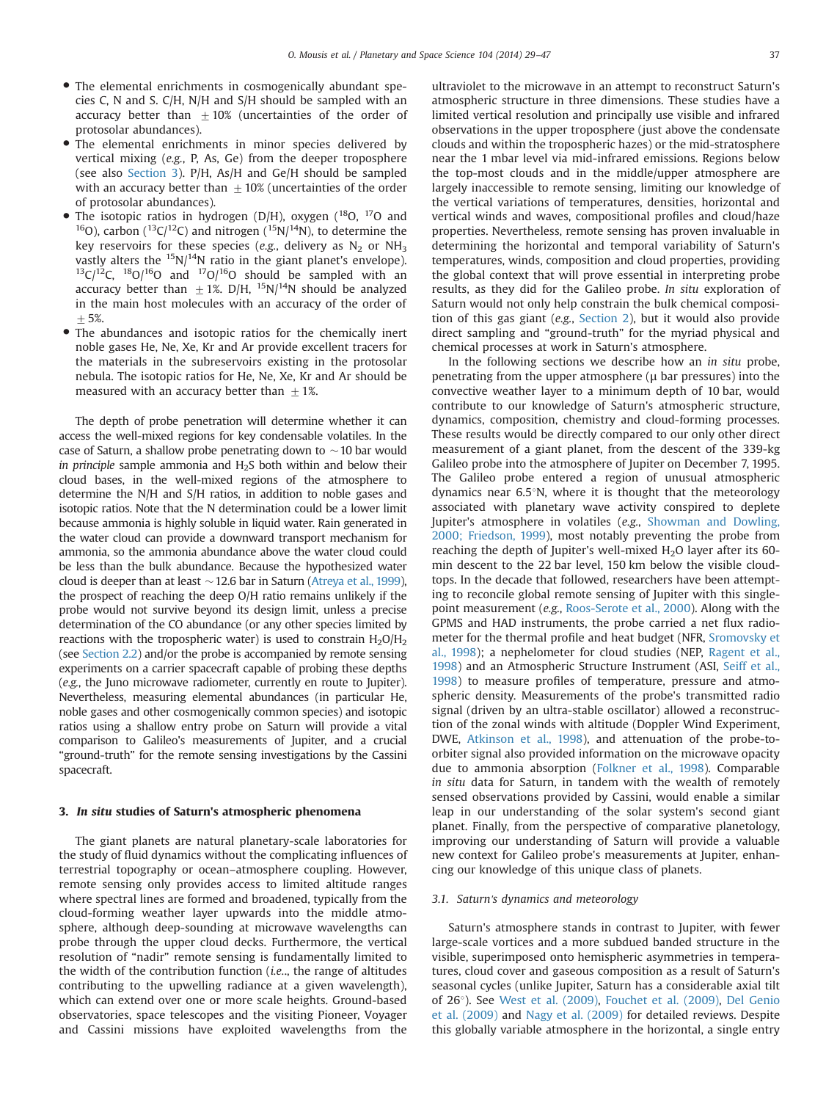- <span id="page-8-0"></span> The elemental enrichments in cosmogenically abundant species C, N and S. C/H, N/H and S/H should be sampled with an accuracy better than  $\pm 10%$  (uncertainties of the order of protosolar abundances).
- The elemental enrichments in minor species delivered by vertical mixing (e.g., P, As, Ge) from the deeper troposphere (see also Section 3). P/H, As/H and Ge/H should be sampled with an accuracy better than  $\pm 10\%$  (uncertainties of the order of protosolar abundances).
- The isotopic ratios in hydrogen (D/H), oxygen (<sup>18</sup>O, <sup>17</sup>O and <sup>16</sup>O), carbon (<sup>13</sup>C/<sup>12</sup>C) and nitrogen (<sup>15</sup>N/<sup>14</sup>N), to determine the key reservoirs for these species (e.g., delivery as  $N_2$  or  $NH_3$ ) vastly alters the  $^{15}$ N/ $^{14}$ N ratio in the giant planet's envelope).  $^{13}C/^{12}C$ ,  $^{18}O/^{16}O$  and  $^{17}O/^{16}O$  should be sampled with an accuracy better than  $\pm$  1%. D/H, <sup>15</sup>N/<sup>14</sup>N should be analyzed in the main host molecules with an accuracy of the order of  $+5%$ .
- The abundances and isotopic ratios for the chemically inert noble gases He, Ne, Xe, Kr and Ar provide excellent tracers for the materials in the subreservoirs existing in the protosolar nebula. The isotopic ratios for He, Ne, Xe, Kr and Ar should be measured with an accuracy better than  $\pm$  1%.

The depth of probe penetration will determine whether it can access the well-mixed regions for key condensable volatiles. In the case of Saturn, a shallow probe penetrating down to  $\sim$  10 bar would in principle sample ammonia and  $H<sub>2</sub>S$  both within and below their cloud bases, in the well-mixed regions of the atmosphere to determine the N/H and S/H ratios, in addition to noble gases and isotopic ratios. Note that the N determination could be a lower limit because ammonia is highly soluble in liquid water. Rain generated in the water cloud can provide a downward transport mechanism for ammonia, so the ammonia abundance above the water cloud could be less than the bulk abundance. Because the hypothesized water cloud is deeper than at least  $\sim$  12.6 bar in Saturn ([Atreya et al., 1999\)](#page-16-0), the prospect of reaching the deep O/H ratio remains unlikely if the probe would not survive beyond its design limit, unless a precise determination of the CO abundance (or any other species limited by reactions with the tropospheric water) is used to constrain  $H_2O/H_2$ (see [Section 2.2](#page-3-0)) and/or the probe is accompanied by remote sensing experiments on a carrier spacecraft capable of probing these depths (e.g., the Juno microwave radiometer, currently en route to Jupiter). Nevertheless, measuring elemental abundances (in particular He, noble gases and other cosmogenically common species) and isotopic ratios using a shallow entry probe on Saturn will provide a vital comparison to Galileo's measurements of Jupiter, and a crucial "ground-truth" for the remote sensing investigations by the Cassini spacecraft.

## 3. In situ studies of Saturn's atmospheric phenomena

The giant planets are natural planetary-scale laboratories for the study of fluid dynamics without the complicating influences of terrestrial topography or ocean–atmosphere coupling. However, remote sensing only provides access to limited altitude ranges where spectral lines are formed and broadened, typically from the cloud-forming weather layer upwards into the middle atmosphere, although deep-sounding at microwave wavelengths can probe through the upper cloud decks. Furthermore, the vertical resolution of "nadir" remote sensing is fundamentally limited to the width of the contribution function (i.e.., the range of altitudes contributing to the upwelling radiance at a given wavelength), which can extend over one or more scale heights. Ground-based observatories, space telescopes and the visiting Pioneer, Voyager and Cassini missions have exploited wavelengths from the

ultraviolet to the microwave in an attempt to reconstruct Saturn's atmospheric structure in three dimensions. These studies have a limited vertical resolution and principally use visible and infrared observations in the upper troposphere (just above the condensate clouds and within the tropospheric hazes) or the mid-stratosphere near the 1 mbar level via mid-infrared emissions. Regions below the top-most clouds and in the middle/upper atmosphere are largely inaccessible to remote sensing, limiting our knowledge of the vertical variations of temperatures, densities, horizontal and vertical winds and waves, compositional profiles and cloud/haze properties. Nevertheless, remote sensing has proven invaluable in determining the horizontal and temporal variability of Saturn's temperatures, winds, composition and cloud properties, providing the global context that will prove essential in interpreting probe results, as they did for the Galileo probe. In situ exploration of Saturn would not only help constrain the bulk chemical composition of this gas giant (e.g., [Section 2\)](#page-2-0), but it would also provide direct sampling and "ground-truth" for the myriad physical and chemical processes at work in Saturn's atmosphere.

In the following sections we describe how an in situ probe, penetrating from the upper atmosphere  $(\mu$  bar pressures) into the convective weather layer to a minimum depth of 10 bar, would contribute to our knowledge of Saturn's atmospheric structure, dynamics, composition, chemistry and cloud-forming processes. These results would be directly compared to our only other direct measurement of a giant planet, from the descent of the 339-kg Galileo probe into the atmosphere of Jupiter on December 7, 1995. The Galileo probe entered a region of unusual atmospheric dynamics near  $6.5^{\circ}$ N, where it is thought that the meteorology associated with planetary wave activity conspired to deplete Jupiter's atmosphere in volatiles (e.g., [Showman and Dowling,](#page-18-0) [2000; Friedson, 1999\)](#page-17-0), most notably preventing the probe from reaching the depth of Jupiter's well-mixed  $H_2O$  layer after its 60min descent to the 22 bar level, 150 km below the visible cloudtops. In the decade that followed, researchers have been attempting to reconcile global remote sensing of Jupiter with this singlepoint measurement (e.g., [Roos-Serote et al., 2000](#page-18-0)). Along with the GPMS and HAD instruments, the probe carried a net flux radiometer for the thermal profile and heat budget (NFR, [Sromovsky et](#page-18-0) [al., 1998\)](#page-18-0); a nephelometer for cloud studies (NEP, [Ragent et al.,](#page-18-0) [1998](#page-18-0)) and an Atmospheric Structure Instrument (ASI, [Seiff et al.,](#page-18-0) [1998](#page-18-0)) to measure profiles of temperature, pressure and atmospheric density. Measurements of the probe's transmitted radio signal (driven by an ultra-stable oscillator) allowed a reconstruction of the zonal winds with altitude (Doppler Wind Experiment, DWE, [Atkinson et al., 1998](#page-16-0)), and attenuation of the probe-toorbiter signal also provided information on the microwave opacity due to ammonia absorption [\(Folkner et al., 1998\)](#page-17-0). Comparable in situ data for Saturn, in tandem with the wealth of remotely sensed observations provided by Cassini, would enable a similar leap in our understanding of the solar system's second giant planet. Finally, from the perspective of comparative planetology, improving our understanding of Saturn will provide a valuable new context for Galileo probe's measurements at Jupiter, enhancing our knowledge of this unique class of planets.

## 3.1. Saturn's dynamics and meteorology

Saturn's atmosphere stands in contrast to Jupiter, with fewer large-scale vortices and a more subdued banded structure in the visible, superimposed onto hemispheric asymmetries in temperatures, cloud cover and gaseous composition as a result of Saturn's seasonal cycles (unlike Jupiter, Saturn has a considerable axial tilt of  $26^\circ$ ). See [West et al. \(2009\)](#page-18-0), [Fouchet et al. \(2009\),](#page-17-0) [Del Genio](#page-16-0) [et al. \(2009\)](#page-16-0) and [Nagy et al. \(2009\)](#page-18-0) for detailed reviews. Despite this globally variable atmosphere in the horizontal, a single entry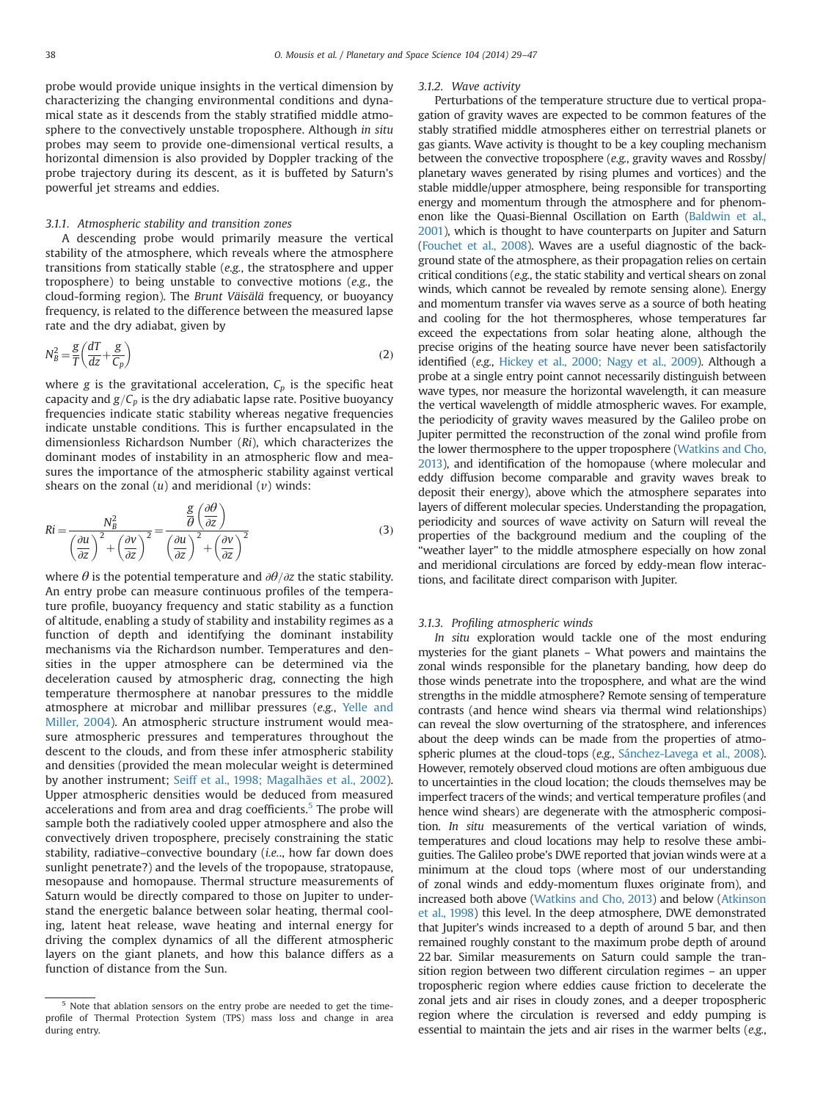probe would provide unique insights in the vertical dimension by characterizing the changing environmental conditions and dynamical state as it descends from the stably stratified middle atmosphere to the convectively unstable troposphere. Although in situ probes may seem to provide one-dimensional vertical results, a horizontal dimension is also provided by Doppler tracking of the probe trajectory during its descent, as it is buffeted by Saturn's powerful jet streams and eddies.

## 3.1.1. Atmospheric stability and transition zones

A descending probe would primarily measure the vertical stability of the atmosphere, which reveals where the atmosphere transitions from statically stable (e.g., the stratosphere and upper troposphere) to being unstable to convective motions (e.g., the cloud-forming region). The Brunt Väisälä frequency, or buoyancy frequency, is related to the difference between the measured lapse rate and the dry adiabat, given by

$$
N_B^2 = \frac{g}{T} \left( \frac{dT}{dz} + \frac{g}{C_p} \right) \tag{2}
$$

where g is the gravitational acceleration,  $C_p$  is the specific heat capacity and  $g/C_p$  is the dry adiabatic lapse rate. Positive buoyancy frequencies indicate static stability whereas negative frequencies indicate unstable conditions. This is further encapsulated in the dimensionless Richardson Number (Ri), which characterizes the dominant modes of instability in an atmospheric flow and measures the importance of the atmospheric stability against vertical shears on the zonal  $(u)$  and meridional  $(v)$  winds:

$$
Ri = \frac{N_B^2}{\left(\frac{\partial u}{\partial z}\right)^2 + \left(\frac{\partial v}{\partial z}\right)^2} = \frac{\frac{g}{\theta}\left(\frac{\partial \theta}{\partial z}\right)}{\left(\frac{\partial u}{\partial z}\right)^2 + \left(\frac{\partial v}{\partial z}\right)^2}
$$
(3)

where  $\theta$  is the potential temperature and  $\frac{\partial \theta}{\partial z}$  the static stability. An entry probe can measure continuous profiles of the temperature profile, buoyancy frequency and static stability as a function of altitude, enabling a study of stability and instability regimes as a function of depth and identifying the dominant instability mechanisms via the Richardson number. Temperatures and densities in the upper atmosphere can be determined via the deceleration caused by atmospheric drag, connecting the high temperature thermosphere at nanobar pressures to the middle atmosphere at microbar and millibar pressures (e.g., [Yelle and](#page-18-0) [Miller, 2004\)](#page-18-0). An atmospheric structure instrument would measure atmospheric pressures and temperatures throughout the descent to the clouds, and from these infer atmospheric stability and densities (provided the mean molecular weight is determined by another instrument; [Seiff et al., 1998; Magalhães et al., 2002\)](#page-17-0). Upper atmospheric densities would be deduced from measured accelerations and from area and drag coefficients. $5$  The probe will sample both the radiatively cooled upper atmosphere and also the convectively driven troposphere, precisely constraining the static stability, radiative–convective boundary (i.e.., how far down does sunlight penetrate?) and the levels of the tropopause, stratopause, mesopause and homopause. Thermal structure measurements of Saturn would be directly compared to those on Jupiter to understand the energetic balance between solar heating, thermal cooling, latent heat release, wave heating and internal energy for driving the complex dynamics of all the different atmospheric layers on the giant planets, and how this balance differs as a function of distance from the Sun.

## 3.1.2. Wave activity

Perturbations of the temperature structure due to vertical propagation of gravity waves are expected to be common features of the stably stratified middle atmospheres either on terrestrial planets or gas giants. Wave activity is thought to be a key coupling mechanism between the convective troposphere (e.g., gravity waves and Rossby/ planetary waves generated by rising plumes and vortices) and the stable middle/upper atmosphere, being responsible for transporting energy and momentum through the atmosphere and for phenomenon like the Quasi-Biennal Oscillation on Earth [\(Baldwin et al.,](#page-16-0) [2001](#page-16-0)), which is thought to have counterparts on Jupiter and Saturn ([Fouchet et al., 2008](#page-17-0)). Waves are a useful diagnostic of the background state of the atmosphere, as their propagation relies on certain critical conditions (e.g., the static stability and vertical shears on zonal winds, which cannot be revealed by remote sensing alone). Energy and momentum transfer via waves serve as a source of both heating and cooling for the hot thermospheres, whose temperatures far exceed the expectations from solar heating alone, although the precise origins of the heating source have never been satisfactorily identified (e.g., [Hickey et al., 2000; Nagy et al., 2009\)](#page-18-0). Although a probe at a single entry point cannot necessarily distinguish between wave types, nor measure the horizontal wavelength, it can measure the vertical wavelength of middle atmospheric waves. For example, the periodicity of gravity waves measured by the Galileo probe on Jupiter permitted the reconstruction of the zonal wind profile from the lower thermosphere to the upper troposphere ([Watkins and Cho,](#page-18-0) [2013](#page-18-0)), and identification of the homopause (where molecular and eddy diffusion become comparable and gravity waves break to deposit their energy), above which the atmosphere separates into layers of different molecular species. Understanding the propagation, periodicity and sources of wave activity on Saturn will reveal the properties of the background medium and the coupling of the "weather layer" to the middle atmosphere especially on how zonal and meridional circulations are forced by eddy-mean flow interactions, and facilitate direct comparison with Jupiter.

## 3.1.3. Profiling atmospheric winds

In situ exploration would tackle one of the most enduring mysteries for the giant planets – What powers and maintains the zonal winds responsible for the planetary banding, how deep do those winds penetrate into the troposphere, and what are the wind strengths in the middle atmosphere? Remote sensing of temperature contrasts (and hence wind shears via thermal wind relationships) can reveal the slow overturning of the stratosphere, and inferences about the deep winds can be made from the properties of atmospheric plumes at the cloud-tops (e.g., [Sánchez-Lavega et al., 2008\)](#page-18-0). However, remotely observed cloud motions are often ambiguous due to uncertainties in the cloud location; the clouds themselves may be imperfect tracers of the winds; and vertical temperature profiles (and hence wind shears) are degenerate with the atmospheric composition. In situ measurements of the vertical variation of winds, temperatures and cloud locations may help to resolve these ambiguities. The Galileo probe's DWE reported that jovian winds were at a minimum at the cloud tops (where most of our understanding of zonal winds and eddy-momentum fluxes originate from), and increased both above [\(Watkins and Cho, 2013](#page-18-0)) and below [\(Atkinson](#page-16-0) [et al., 1998\)](#page-16-0) this level. In the deep atmosphere, DWE demonstrated that Jupiter's winds increased to a depth of around 5 bar, and then remained roughly constant to the maximum probe depth of around 22 bar. Similar measurements on Saturn could sample the transition region between two different circulation regimes – an upper tropospheric region where eddies cause friction to decelerate the zonal jets and air rises in cloudy zones, and a deeper tropospheric region where the circulation is reversed and eddy pumping is essential to maintain the jets and air rises in the warmer belts (e.g.,

Note that ablation sensors on the entry probe are needed to get the timeprofile of Thermal Protection System (TPS) mass loss and change in area during entry.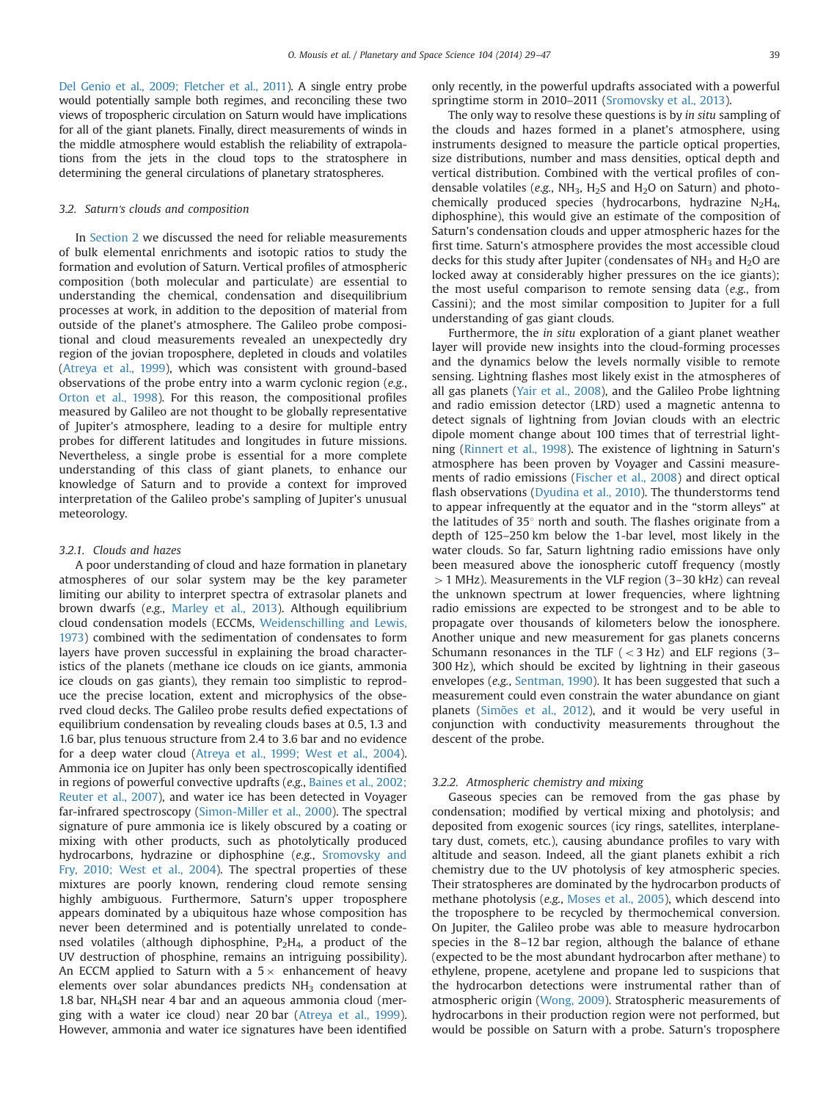[Del Genio et al., 2009; Fletcher et al., 2011\)](#page-17-0). A single entry probe would potentially sample both regimes, and reconciling these two views of tropospheric circulation on Saturn would have implications for all of the giant planets. Finally, direct measurements of winds in the middle atmosphere would establish the reliability of extrapolations from the jets in the cloud tops to the stratosphere in determining the general circulations of planetary stratospheres.

## 3.2. Saturn's clouds and composition

In [Section 2](#page-2-0) we discussed the need for reliable measurements of bulk elemental enrichments and isotopic ratios to study the formation and evolution of Saturn. Vertical profiles of atmospheric composition (both molecular and particulate) are essential to understanding the chemical, condensation and disequilibrium processes at work, in addition to the deposition of material from outside of the planet's atmosphere. The Galileo probe compositional and cloud measurements revealed an unexpectedly dry region of the jovian troposphere, depleted in clouds and volatiles ([Atreya et al., 1999](#page-16-0)), which was consistent with ground-based observations of the probe entry into a warm cyclonic region (e.g., [Orton et al., 1998\)](#page-18-0). For this reason, the compositional profiles measured by Galileo are not thought to be globally representative of Jupiter's atmosphere, leading to a desire for multiple entry probes for different latitudes and longitudes in future missions. Nevertheless, a single probe is essential for a more complete understanding of this class of giant planets, to enhance our knowledge of Saturn and to provide a context for improved interpretation of the Galileo probe's sampling of Jupiter's unusual meteorology.

## 3.2.1. Clouds and hazes

A poor understanding of cloud and haze formation in planetary atmospheres of our solar system may be the key parameter limiting our ability to interpret spectra of extrasolar planets and brown dwarfs (e.g., [Marley et al., 2013](#page-17-0)). Although equilibrium cloud condensation models (ECCMs, [Weidenschilling and Lewis,](#page-18-0) [1973\)](#page-18-0) combined with the sedimentation of condensates to form layers have proven successful in explaining the broad characteristics of the planets (methane ice clouds on ice giants, ammonia ice clouds on gas giants), they remain too simplistic to reproduce the precise location, extent and microphysics of the observed cloud decks. The Galileo probe results defied expectations of equilibrium condensation by revealing clouds bases at 0.5, 1.3 and 1.6 bar, plus tenuous structure from 2.4 to 3.6 bar and no evidence for a deep water cloud [\(Atreya et al., 1999; West et al., 2004\)](#page-18-0). Ammonia ice on Jupiter has only been spectroscopically identified in regions of powerful convective updrafts (e.g., [Baines et al., 2002;](#page-16-0) [Reuter et al., 2007](#page-18-0)), and water ice has been detected in Voyager far-infrared spectroscopy ([Simon-Miller et al., 2000](#page-18-0)). The spectral signature of pure ammonia ice is likely obscured by a coating or mixing with other products, such as photolytically produced hydrocarbons, hydrazine or diphosphine (e.g., [Sromovsky and](#page-18-0) [Fry, 2010; West et al., 2004\)](#page-18-0). The spectral properties of these mixtures are poorly known, rendering cloud remote sensing highly ambiguous. Furthermore, Saturn's upper troposphere appears dominated by a ubiquitous haze whose composition has never been determined and is potentially unrelated to condensed volatiles (although diphosphine,  $P_2H_4$ , a product of the UV destruction of phosphine, remains an intriguing possibility). An ECCM applied to Saturn with a  $5 \times$  enhancement of heavy elements over solar abundances predicts  $NH<sub>3</sub>$  condensation at 1.8 bar,  $NH<sub>4</sub>SH$  near 4 bar and an aqueous ammonia cloud (merging with a water ice cloud) near 20 bar [\(Atreya et al., 1999\)](#page-16-0). However, ammonia and water ice signatures have been identified

only recently, in the powerful updrafts associated with a powerful springtime storm in 2010–2011 [\(Sromovsky et al., 2013](#page-18-0)).

The only way to resolve these questions is by in situ sampling of the clouds and hazes formed in a planet's atmosphere, using instruments designed to measure the particle optical properties, size distributions, number and mass densities, optical depth and vertical distribution. Combined with the vertical profiles of condensable volatiles (e.g.,  $NH_3$ ,  $H_2S$  and  $H_2O$  on Saturn) and photochemically produced species (hydrocarbons, hydrazine  $N_2H_4$ , diphosphine), this would give an estimate of the composition of Saturn's condensation clouds and upper atmospheric hazes for the first time. Saturn's atmosphere provides the most accessible cloud decks for this study after Jupiter (condensates of  $NH<sub>3</sub>$  and  $H<sub>2</sub>O$  are locked away at considerably higher pressures on the ice giants); the most useful comparison to remote sensing data (e.g., from Cassini); and the most similar composition to Jupiter for a full understanding of gas giant clouds.

Furthermore, the in situ exploration of a giant planet weather layer will provide new insights into the cloud-forming processes and the dynamics below the levels normally visible to remote sensing. Lightning flashes most likely exist in the atmospheres of all gas planets ([Yair et al., 2008](#page-18-0)), and the Galileo Probe lightning and radio emission detector (LRD) used a magnetic antenna to detect signals of lightning from Jovian clouds with an electric dipole moment change about 100 times that of terrestrial lightning ([Rinnert et al., 1998\)](#page-18-0). The existence of lightning in Saturn's atmosphere has been proven by Voyager and Cassini measurements of radio emissions [\(Fischer et al., 2008\)](#page-17-0) and direct optical flash observations ([Dyudina et al., 2010\)](#page-17-0). The thunderstorms tend to appear infrequently at the equator and in the "storm alleys" at the latitudes of  $35^\circ$  north and south. The flashes originate from a depth of 125–250 km below the 1-bar level, most likely in the water clouds. So far, Saturn lightning radio emissions have only been measured above the ionospheric cutoff frequency (mostly  $>$  1 MHz). Measurements in the VLF region (3–30 kHz) can reveal the unknown spectrum at lower frequencies, where lightning radio emissions are expected to be strongest and to be able to propagate over thousands of kilometers below the ionosphere. Another unique and new measurement for gas planets concerns Schumann resonances in the TLF ( $<$ 3 Hz) and ELF regions (3– 300 Hz), which should be excited by lightning in their gaseous envelopes (e.g., [Sentman, 1990\)](#page-18-0). It has been suggested that such a measurement could even constrain the water abundance on giant planets ([Simões et al., 2012](#page-18-0)), and it would be very useful in conjunction with conductivity measurements throughout the descent of the probe.

### 3.2.2. Atmospheric chemistry and mixing

Gaseous species can be removed from the gas phase by condensation; modified by vertical mixing and photolysis; and deposited from exogenic sources (icy rings, satellites, interplanetary dust, comets, etc.), causing abundance profiles to vary with altitude and season. Indeed, all the giant planets exhibit a rich chemistry due to the UV photolysis of key atmospheric species. Their stratospheres are dominated by the hydrocarbon products of methane photolysis (e.g., [Moses et al., 2005](#page-17-0)), which descend into the troposphere to be recycled by thermochemical conversion. On Jupiter, the Galileo probe was able to measure hydrocarbon species in the 8–12 bar region, although the balance of ethane (expected to be the most abundant hydrocarbon after methane) to ethylene, propene, acetylene and propane led to suspicions that the hydrocarbon detections were instrumental rather than of atmospheric origin ([Wong, 2009](#page-18-0)). Stratospheric measurements of hydrocarbons in their production region were not performed, but would be possible on Saturn with a probe. Saturn's troposphere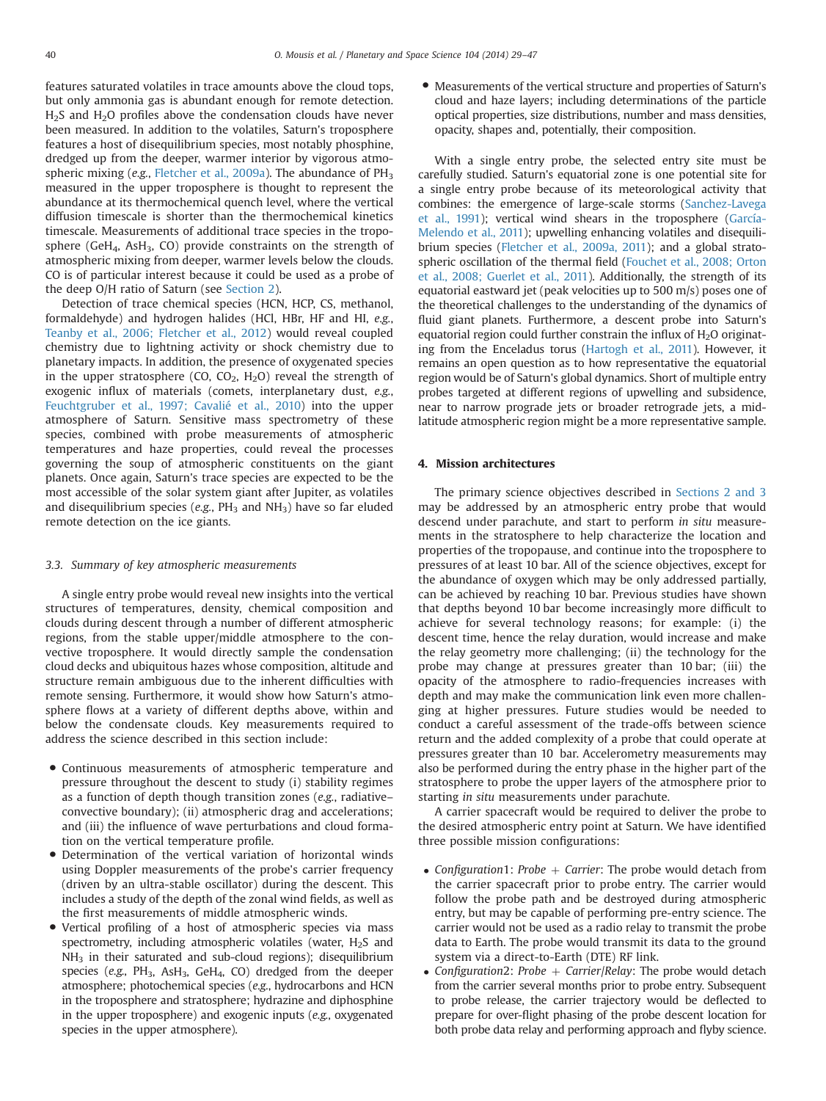<span id="page-11-0"></span>features saturated volatiles in trace amounts above the cloud tops, but only ammonia gas is abundant enough for remote detection. H2S and H2O profiles above the condensation clouds have never been measured. In addition to the volatiles, Saturn's troposphere features a host of disequilibrium species, most notably phosphine, dredged up from the deeper, warmer interior by vigorous atmo-spheric mixing (e.g., [Fletcher et al., 2009a](#page-17-0)). The abundance of  $PH_3$ measured in the upper troposphere is thought to represent the abundance at its thermochemical quench level, where the vertical diffusion timescale is shorter than the thermochemical kinetics timescale. Measurements of additional trace species in the troposphere (GeH<sub>4</sub>, AsH<sub>3</sub>, CO) provide constraints on the strength of atmospheric mixing from deeper, warmer levels below the clouds. CO is of particular interest because it could be used as a probe of the deep O/H ratio of Saturn (see [Section 2](#page-2-0)).

Detection of trace chemical species (HCN, HCP, CS, methanol, formaldehyde) and hydrogen halides (HCl, HBr, HF and HI, e.g., [Teanby et al., 2006; Fletcher et al., 2012](#page-17-0)) would reveal coupled chemistry due to lightning activity or shock chemistry due to planetary impacts. In addition, the presence of oxygenated species in the upper stratosphere (CO,  $CO<sub>2</sub>$ , H<sub>2</sub>O) reveal the strength of exogenic influx of materials (comets, interplanetary dust, e.g., [Feuchtgruber et al., 1997; Cavalié et al., 2010\)](#page-16-0) into the upper atmosphere of Saturn. Sensitive mass spectrometry of these species, combined with probe measurements of atmospheric temperatures and haze properties, could reveal the processes governing the soup of atmospheric constituents on the giant planets. Once again, Saturn's trace species are expected to be the most accessible of the solar system giant after Jupiter, as volatiles and disequilibrium species (e.g.,  $PH_3$  and  $NH_3$ ) have so far eluded remote detection on the ice giants.

## 3.3. Summary of key atmospheric measurements

A single entry probe would reveal new insights into the vertical structures of temperatures, density, chemical composition and clouds during descent through a number of different atmospheric regions, from the stable upper/middle atmosphere to the convective troposphere. It would directly sample the condensation cloud decks and ubiquitous hazes whose composition, altitude and structure remain ambiguous due to the inherent difficulties with remote sensing. Furthermore, it would show how Saturn's atmosphere flows at a variety of different depths above, within and below the condensate clouds. Key measurements required to address the science described in this section include:

- Continuous measurements of atmospheric temperature and pressure throughout the descent to study (i) stability regimes as a function of depth though transition zones (e.g., radiative– convective boundary); (ii) atmospheric drag and accelerations; and (iii) the influence of wave perturbations and cloud formation on the vertical temperature profile.
- Determination of the vertical variation of horizontal winds using Doppler measurements of the probe's carrier frequency (driven by an ultra-stable oscillator) during the descent. This includes a study of the depth of the zonal wind fields, as well as the first measurements of middle atmospheric winds.
- Vertical profiling of a host of atmospheric species via mass spectrometry, including atmospheric volatiles (water,  $H_2S$  and  $NH<sub>3</sub>$  in their saturated and sub-cloud regions); disequilibrium species (e.g.,  $PH_3$ , AsH<sub>3</sub>, GeH<sub>4</sub>, CO) dredged from the deeper atmosphere; photochemical species (e.g., hydrocarbons and HCN in the troposphere and stratosphere; hydrazine and diphosphine in the upper troposphere) and exogenic inputs (e.g., oxygenated species in the upper atmosphere).

 Measurements of the vertical structure and properties of Saturn's cloud and haze layers; including determinations of the particle optical properties, size distributions, number and mass densities, opacity, shapes and, potentially, their composition.

With a single entry probe, the selected entry site must be carefully studied. Saturn's equatorial zone is one potential site for a single entry probe because of its meteorological activity that combines: the emergence of large-scale storms [\(Sanchez-Lavega](#page-18-0) [et al., 1991\)](#page-18-0); vertical wind shears in the troposphere [\(García-](#page-17-0)[Melendo et al., 2011\)](#page-17-0); upwelling enhancing volatiles and disequilibrium species ([Fletcher et al., 2009a, 2011](#page-17-0)); and a global stratospheric oscillation of the thermal field ([Fouchet et al., 2008; Orton](#page-18-0) [et al., 2008; Guerlet et al., 2011](#page-17-0)). Additionally, the strength of its equatorial eastward jet (peak velocities up to 500 m/s) poses one of the theoretical challenges to the understanding of the dynamics of fluid giant planets. Furthermore, a descent probe into Saturn's equatorial region could further constrain the influx of  $H<sub>2</sub>O$  originating from the Enceladus torus ([Hartogh et al., 2011\)](#page-17-0). However, it remains an open question as to how representative the equatorial region would be of Saturn's global dynamics. Short of multiple entry probes targeted at different regions of upwelling and subsidence, near to narrow prograde jets or broader retrograde jets, a midlatitude atmospheric region might be a more representative sample.

# 4. Mission architectures

The primary science objectives described in [Sections 2 and 3](#page-8-0) may be addressed by an atmospheric entry probe that would descend under parachute, and start to perform in situ measurements in the stratosphere to help characterize the location and properties of the tropopause, and continue into the troposphere to pressures of at least 10 bar. All of the science objectives, except for the abundance of oxygen which may be only addressed partially, can be achieved by reaching 10 bar. Previous studies have shown that depths beyond 10 bar become increasingly more difficult to achieve for several technology reasons; for example: (i) the descent time, hence the relay duration, would increase and make the relay geometry more challenging; (ii) the technology for the probe may change at pressures greater than 10 bar; (iii) the opacity of the atmosphere to radio-frequencies increases with depth and may make the communication link even more challenging at higher pressures. Future studies would be needed to conduct a careful assessment of the trade-offs between science return and the added complexity of a probe that could operate at pressures greater than 10 bar. Accelerometry measurements may also be performed during the entry phase in the higher part of the stratosphere to probe the upper layers of the atmosphere prior to starting in situ measurements under parachute.

A carrier spacecraft would be required to deliver the probe to the desired atmospheric entry point at Saturn. We have identified three possible mission configurations:

- Configuration1: Probe  $+$  Carrier: The probe would detach from the carrier spacecraft prior to probe entry. The carrier would follow the probe path and be destroyed during atmospheric entry, but may be capable of performing pre-entry science. The carrier would not be used as a radio relay to transmit the probe data to Earth. The probe would transmit its data to the ground system via a direct-to-Earth (DTE) RF link.
- Configuration2: Probe  $+$  Carrier/Relay: The probe would detach from the carrier several months prior to probe entry. Subsequent to probe release, the carrier trajectory would be deflected to prepare for over-flight phasing of the probe descent location for both probe data relay and performing approach and flyby science.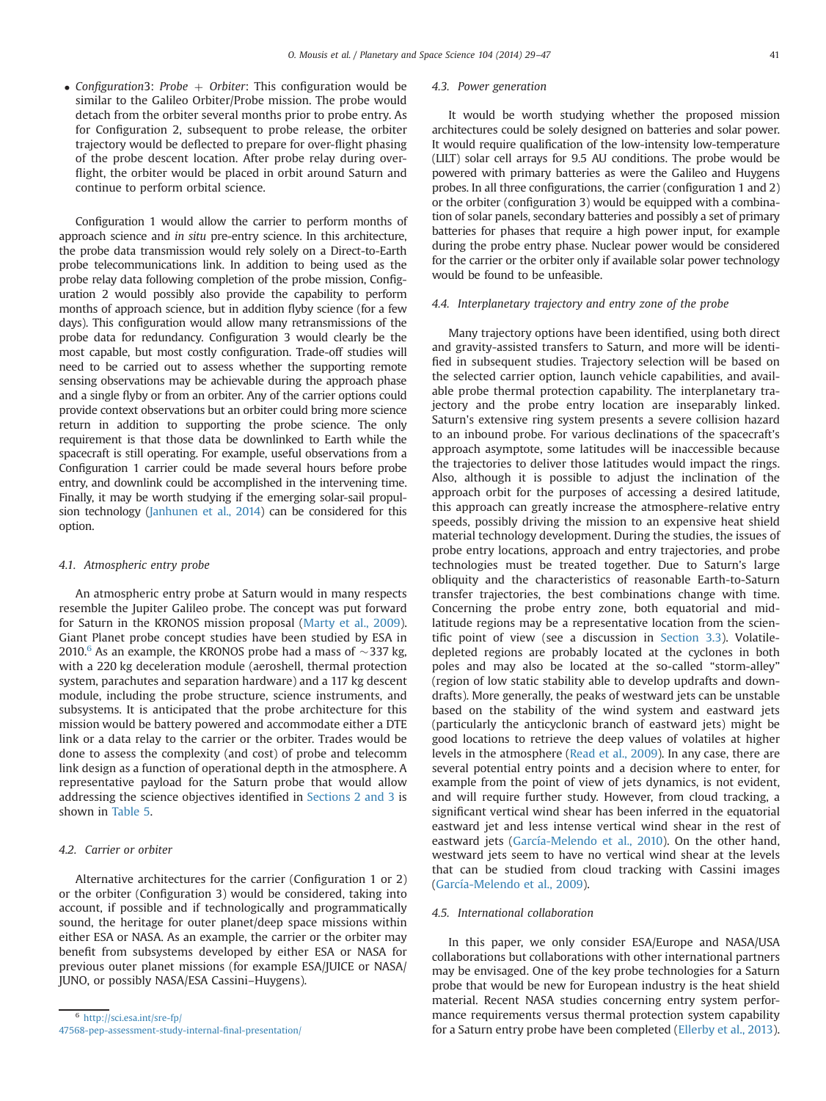• Configuration3: Probe  $+$  Orbiter: This configuration would be similar to the Galileo Orbiter/Probe mission. The probe would detach from the orbiter several months prior to probe entry. As for Configuration 2, subsequent to probe release, the orbiter trajectory would be deflected to prepare for over-flight phasing of the probe descent location. After probe relay during overflight, the orbiter would be placed in orbit around Saturn and continue to perform orbital science.

Configuration 1 would allow the carrier to perform months of approach science and in situ pre-entry science. In this architecture, the probe data transmission would rely solely on a Direct-to-Earth probe telecommunications link. In addition to being used as the probe relay data following completion of the probe mission, Configuration 2 would possibly also provide the capability to perform months of approach science, but in addition flyby science (for a few days). This configuration would allow many retransmissions of the probe data for redundancy. Configuration 3 would clearly be the most capable, but most costly configuration. Trade-off studies will need to be carried out to assess whether the supporting remote sensing observations may be achievable during the approach phase and a single flyby or from an orbiter. Any of the carrier options could provide context observations but an orbiter could bring more science return in addition to supporting the probe science. The only requirement is that those data be downlinked to Earth while the spacecraft is still operating. For example, useful observations from a Configuration 1 carrier could be made several hours before probe entry, and downlink could be accomplished in the intervening time. Finally, it may be worth studying if the emerging solar-sail propulsion technology [\(Janhunen et al., 2014\)](#page-17-0) can be considered for this option.

## 4.1. Atmospheric entry probe

An atmospheric entry probe at Saturn would in many respects resemble the Jupiter Galileo probe. The concept was put forward for Saturn in the KRONOS mission proposal ([Marty et al., 2009\)](#page-17-0). Giant Planet probe concept studies have been studied by ESA in 2010.<sup>6</sup> As an example, the KRONOS probe had a mass of  $\sim$ 337 kg, with a 220 kg deceleration module (aeroshell, thermal protection system, parachutes and separation hardware) and a 117 kg descent module, including the probe structure, science instruments, and subsystems. It is anticipated that the probe architecture for this mission would be battery powered and accommodate either a DTE link or a data relay to the carrier or the orbiter. Trades would be done to assess the complexity (and cost) of probe and telecomm link design as a function of operational depth in the atmosphere. A representative payload for the Saturn probe that would allow addressing the science objectives identified in [Sections 2 and 3](#page-8-0) is shown in [Table 5](#page-13-0).

## 4.2. Carrier or orbiter

Alternative architectures for the carrier (Configuration 1 or 2) or the orbiter (Configuration 3) would be considered, taking into account, if possible and if technologically and programmatically sound, the heritage for outer planet/deep space missions within either ESA or NASA. As an example, the carrier or the orbiter may benefit from subsystems developed by either ESA or NASA for previous outer planet missions (for example ESA/JUICE or NASA/ JUNO, or possibly NASA/ESA Cassini–Huygens).

#### 4.3. Power generation

It would be worth studying whether the proposed mission architectures could be solely designed on batteries and solar power. It would require qualification of the low-intensity low-temperature (LILT) solar cell arrays for 9.5 AU conditions. The probe would be powered with primary batteries as were the Galileo and Huygens probes. In all three configurations, the carrier (configuration 1 and 2) or the orbiter (configuration 3) would be equipped with a combination of solar panels, secondary batteries and possibly a set of primary batteries for phases that require a high power input, for example during the probe entry phase. Nuclear power would be considered for the carrier or the orbiter only if available solar power technology would be found to be unfeasible.

## 4.4. Interplanetary trajectory and entry zone of the probe

Many trajectory options have been identified, using both direct and gravity-assisted transfers to Saturn, and more will be identified in subsequent studies. Trajectory selection will be based on the selected carrier option, launch vehicle capabilities, and available probe thermal protection capability. The interplanetary trajectory and the probe entry location are inseparably linked. Saturn's extensive ring system presents a severe collision hazard to an inbound probe. For various declinations of the spacecraft's approach asymptote, some latitudes will be inaccessible because the trajectories to deliver those latitudes would impact the rings. Also, although it is possible to adjust the inclination of the approach orbit for the purposes of accessing a desired latitude, this approach can greatly increase the atmosphere-relative entry speeds, possibly driving the mission to an expensive heat shield material technology development. During the studies, the issues of probe entry locations, approach and entry trajectories, and probe technologies must be treated together. Due to Saturn's large obliquity and the characteristics of reasonable Earth-to-Saturn transfer trajectories, the best combinations change with time. Concerning the probe entry zone, both equatorial and midlatitude regions may be a representative location from the scientific point of view (see a discussion in [Section 3.3](#page-11-0)). Volatiledepleted regions are probably located at the cyclones in both poles and may also be located at the so-called "storm-alley" (region of low static stability able to develop updrafts and downdrafts). More generally, the peaks of westward jets can be unstable based on the stability of the wind system and eastward jets (particularly the anticyclonic branch of eastward jets) might be good locations to retrieve the deep values of volatiles at higher levels in the atmosphere [\(Read et al., 2009](#page-18-0)). In any case, there are several potential entry points and a decision where to enter, for example from the point of view of jets dynamics, is not evident, and will require further study. However, from cloud tracking, a significant vertical wind shear has been inferred in the equatorial eastward jet and less intense vertical wind shear in the rest of eastward jets [\(García-Melendo et al., 2010\)](#page-17-0). On the other hand, westward jets seem to have no vertical wind shear at the levels that can be studied from cloud tracking with Cassini images ([García-Melendo et al., 2009](#page-17-0)).

## 4.5. International collaboration

In this paper, we only consider ESA/Europe and NASA/USA collaborations but collaborations with other international partners may be envisaged. One of the key probe technologies for a Saturn probe that would be new for European industry is the heat shield material. Recent NASA studies concerning entry system performance requirements versus thermal protection system capability for a Saturn entry probe have been completed [\(Ellerby et al., 2013\)](#page-17-0).

<sup>6</sup> [http://sci.esa.int/sre-fp/](http://sci.esa.int/sre-fp/47568-pep-assessment-study-internal-final-presentation/) [47568-pep-assessment-study-internal-](http://sci.esa.int/sre-fp/47568-pep-assessment-study-internal-final-presentation/)final-presentation/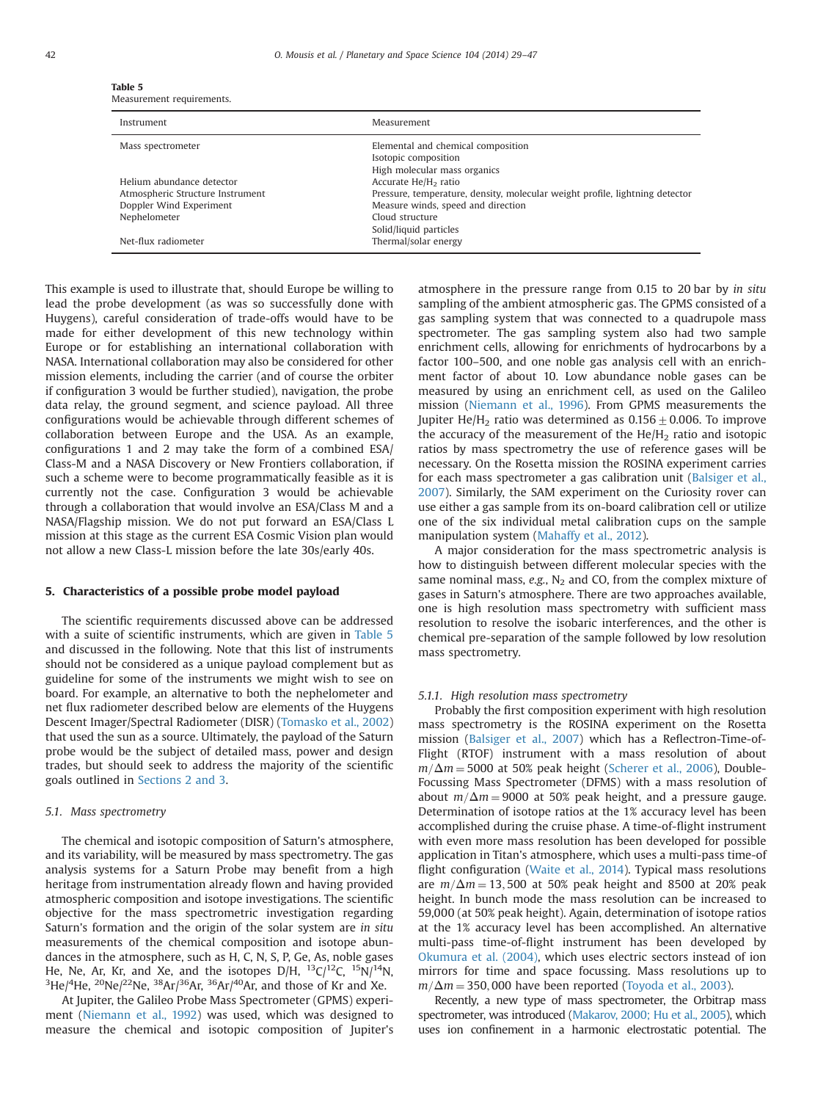| -lable 5                  |  |
|---------------------------|--|
| Measurement requirements. |  |

<span id="page-13-0"></span> $T = 1$ 

| Instrument                       | Measurement                                                                  |
|----------------------------------|------------------------------------------------------------------------------|
| Mass spectrometer                | Elemental and chemical composition                                           |
|                                  | Isotopic composition                                                         |
|                                  | High molecular mass organics                                                 |
| Helium abundance detector        | Accurate He/H <sub>2</sub> ratio                                             |
| Atmospheric Structure Instrument | Pressure, temperature, density, molecular weight profile, lightning detector |
| Doppler Wind Experiment          | Measure winds, speed and direction                                           |
| Nephelometer                     | Cloud structure                                                              |
|                                  | Solid/liquid particles                                                       |
| Net-flux radiometer              | Thermal/solar energy                                                         |
|                                  |                                                                              |

This example is used to illustrate that, should Europe be willing to lead the probe development (as was so successfully done with Huygens), careful consideration of trade-offs would have to be made for either development of this new technology within Europe or for establishing an international collaboration with NASA. International collaboration may also be considered for other mission elements, including the carrier (and of course the orbiter if configuration 3 would be further studied), navigation, the probe data relay, the ground segment, and science payload. All three configurations would be achievable through different schemes of collaboration between Europe and the USA. As an example, configurations 1 and 2 may take the form of a combined ESA/ Class-M and a NASA Discovery or New Frontiers collaboration, if such a scheme were to become programmatically feasible as it is currently not the case. Configuration 3 would be achievable through a collaboration that would involve an ESA/Class M and a NASA/Flagship mission. We do not put forward an ESA/Class L mission at this stage as the current ESA Cosmic Vision plan would not allow a new Class-L mission before the late 30s/early 40s.

# 5. Characteristics of a possible probe model payload

The scientific requirements discussed above can be addressed with a suite of scientific instruments, which are given in Table 5 and discussed in the following. Note that this list of instruments should not be considered as a unique payload complement but as guideline for some of the instruments we might wish to see on board. For example, an alternative to both the nephelometer and net flux radiometer described below are elements of the Huygens Descent Imager/Spectral Radiometer (DISR) ([Tomasko et al., 2002\)](#page-18-0) that used the sun as a source. Ultimately, the payload of the Saturn probe would be the subject of detailed mass, power and design trades, but should seek to address the majority of the scientific goals outlined in [Sections 2 and 3.](#page-8-0)

## 5.1. Mass spectrometry

The chemical and isotopic composition of Saturn's atmosphere, and its variability, will be measured by mass spectrometry. The gas analysis systems for a Saturn Probe may benefit from a high heritage from instrumentation already flown and having provided atmospheric composition and isotope investigations. The scientific objective for the mass spectrometric investigation regarding Saturn's formation and the origin of the solar system are in situ measurements of the chemical composition and isotope abundances in the atmosphere, such as H, C, N, S, P, Ge, As, noble gases He, Ne, Ar, Kr, and Xe, and the isotopes  $D/H$ ,  $^{13}C/^{12}C$ ,  $^{15}N/^{14}N$ , <sup>3</sup>He/<sup>4</sup>He, <sup>20</sup>Ne/<sup>22</sup>Ne, <sup>38</sup>Ar/<sup>36</sup>Ar, <sup>36</sup>Ar/<sup>40</sup>Ar, and those of Kr and Xe.

At Jupiter, the Galileo Probe Mass Spectrometer (GPMS) experiment ([Niemann et al., 1992](#page-18-0)) was used, which was designed to measure the chemical and isotopic composition of Jupiter's

atmosphere in the pressure range from 0.15 to 20 bar by in situ sampling of the ambient atmospheric gas. The GPMS consisted of a gas sampling system that was connected to a quadrupole mass spectrometer. The gas sampling system also had two sample enrichment cells, allowing for enrichments of hydrocarbons by a factor 100–500, and one noble gas analysis cell with an enrichment factor of about 10. Low abundance noble gases can be measured by using an enrichment cell, as used on the Galileo mission [\(Niemann et al., 1996](#page-18-0)). From GPMS measurements the Jupiter He/H<sub>2</sub> ratio was determined as  $0.156 \pm 0.006$ . To improve the accuracy of the measurement of the  $He/H<sub>2</sub>$  ratio and isotopic ratios by mass spectrometry the use of reference gases will be necessary. On the Rosetta mission the ROSINA experiment carries for each mass spectrometer a gas calibration unit [\(Balsiger et al.,](#page-16-0) [2007\)](#page-16-0). Similarly, the SAM experiment on the Curiosity rover can use either a gas sample from its on-board calibration cell or utilize one of the six individual metal calibration cups on the sample manipulation system ([Mahaffy et al., 2012](#page-17-0)).

A major consideration for the mass spectrometric analysis is how to distinguish between different molecular species with the same nominal mass, e.g.,  $N_2$  and CO, from the complex mixture of gases in Saturn's atmosphere. There are two approaches available, one is high resolution mass spectrometry with sufficient mass resolution to resolve the isobaric interferences, and the other is chemical pre-separation of the sample followed by low resolution mass spectrometry.

### 5.1.1. High resolution mass spectrometry

Probably the first composition experiment with high resolution mass spectrometry is the ROSINA experiment on the Rosetta mission [\(Balsiger et al., 2007\)](#page-16-0) which has a Reflectron-Time-of-Flight (RTOF) instrument with a mass resolution of about  $m/\Delta m = 5000$  at 50% peak height [\(Scherer et al., 2006](#page-18-0)), Double-Focussing Mass Spectrometer (DFMS) with a mass resolution of about  $m/\Delta m = 9000$  at 50% peak height, and a pressure gauge. Determination of isotope ratios at the 1% accuracy level has been accomplished during the cruise phase. A time-of-flight instrument with even more mass resolution has been developed for possible application in Titan's atmosphere, which uses a multi-pass time-of flight configuration [\(Waite et al., 2014](#page-18-0)). Typical mass resolutions are  $m/\Delta m = 13,500$  at 50% peak height and 8500 at 20% peak height. In bunch mode the mass resolution can be increased to 59,000 (at 50% peak height). Again, determination of isotope ratios at the 1% accuracy level has been accomplished. An alternative multi-pass time-of-flight instrument has been developed by [Okumura et al. \(2004\),](#page-18-0) which uses electric sectors instead of ion mirrors for time and space focussing. Mass resolutions up to  $m/\Delta m = 350,000$  have been reported ([Toyoda et al., 2003](#page-18-0)).

Recently, a new type of mass spectrometer, the Orbitrap mass spectrometer, was introduced [\(Makarov, 2000; Hu et al., 2005\)](#page-17-0), which uses ion confinement in a harmonic electrostatic potential. The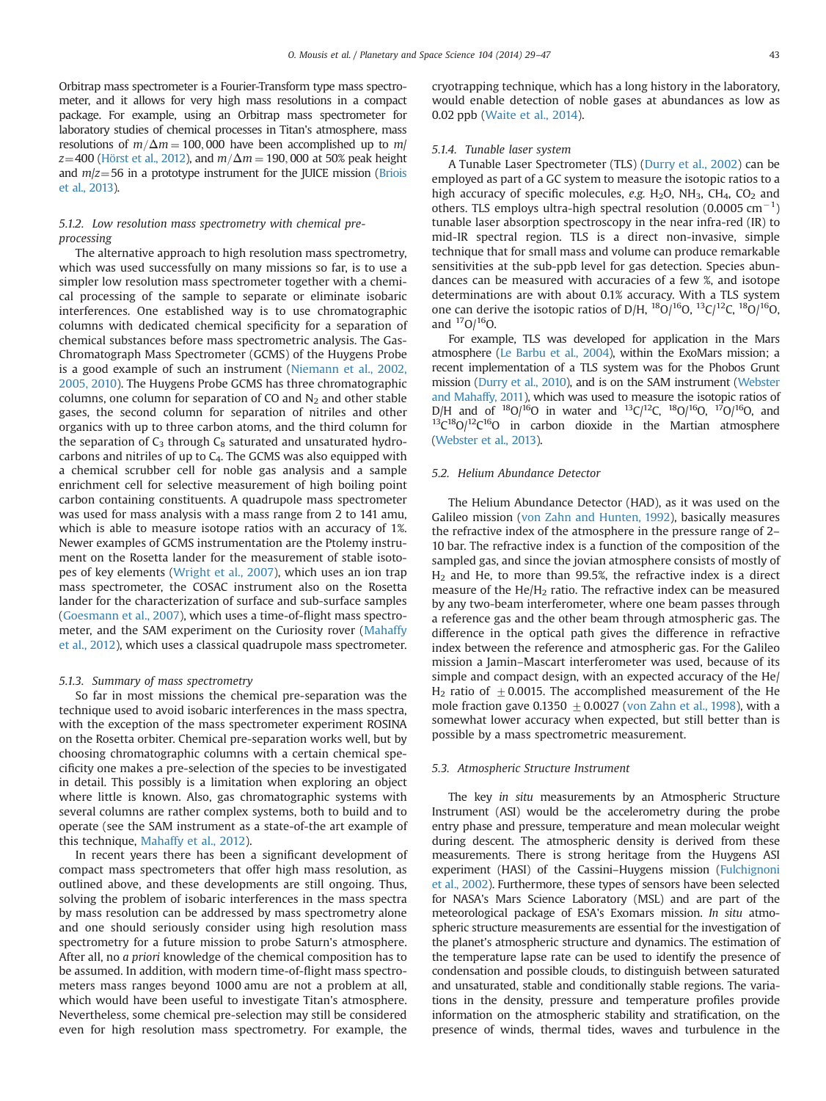Orbitrap mass spectrometer is a Fourier-Transform type mass spectrometer, and it allows for very high mass resolutions in a compact package. For example, using an Orbitrap mass spectrometer for laboratory studies of chemical processes in Titan's atmosphere, mass resolutions of  $m/\Delta m = 100,000$  have been accomplished up to m/  $z=400$  [\(Hörst et al., 2012\)](#page-17-0), and  $m/\Delta m = 190,000$  at 50% peak height and  $m/z = 56$  in a prototype instrument for the JUICE mission [\(Briois](#page-16-0) [et al., 2013\)](#page-16-0).

# 5.1.2. Low resolution mass spectrometry with chemical preprocessing

The alternative approach to high resolution mass spectrometry, which was used successfully on many missions so far, is to use a simpler low resolution mass spectrometer together with a chemical processing of the sample to separate or eliminate isobaric interferences. One established way is to use chromatographic columns with dedicated chemical specificity for a separation of chemical substances before mass spectrometric analysis. The Gas-Chromatograph Mass Spectrometer (GCMS) of the Huygens Probe is a good example of such an instrument ([Niemann et al., 2002,](#page-18-0) [2005, 2010](#page-18-0)). The Huygens Probe GCMS has three chromatographic columns, one column for separation of CO and  $N_2$  and other stable gases, the second column for separation of nitriles and other organics with up to three carbon atoms, and the third column for the separation of  $C_3$  through  $C_8$  saturated and unsaturated hydrocarbons and nitriles of up to  $C_4$ . The GCMS was also equipped with a chemical scrubber cell for noble gas analysis and a sample enrichment cell for selective measurement of high boiling point carbon containing constituents. A quadrupole mass spectrometer was used for mass analysis with a mass range from 2 to 141 amu, which is able to measure isotope ratios with an accuracy of 1%. Newer examples of GCMS instrumentation are the Ptolemy instrument on the Rosetta lander for the measurement of stable isotopes of key elements [\(Wright et al., 2007](#page-18-0)), which uses an ion trap mass spectrometer, the COSAC instrument also on the Rosetta lander for the characterization of surface and sub-surface samples ([Goesmann et al., 2007](#page-17-0)), which uses a time-of-flight mass spectrometer, and the SAM experiment on the Curiosity rover ([Mahaffy](#page-17-0) [et al., 2012](#page-17-0)), which uses a classical quadrupole mass spectrometer.

### 5.1.3. Summary of mass spectrometry

So far in most missions the chemical pre-separation was the technique used to avoid isobaric interferences in the mass spectra, with the exception of the mass spectrometer experiment ROSINA on the Rosetta orbiter. Chemical pre-separation works well, but by choosing chromatographic columns with a certain chemical specificity one makes a pre-selection of the species to be investigated in detail. This possibly is a limitation when exploring an object where little is known. Also, gas chromatographic systems with several columns are rather complex systems, both to build and to operate (see the SAM instrument as a state-of-the art example of this technique, [Mahaffy et al., 2012\)](#page-17-0).

In recent years there has been a significant development of compact mass spectrometers that offer high mass resolution, as outlined above, and these developments are still ongoing. Thus, solving the problem of isobaric interferences in the mass spectra by mass resolution can be addressed by mass spectrometry alone and one should seriously consider using high resolution mass spectrometry for a future mission to probe Saturn's atmosphere. After all, no a priori knowledge of the chemical composition has to be assumed. In addition, with modern time-of-flight mass spectrometers mass ranges beyond 1000 amu are not a problem at all, which would have been useful to investigate Titan's atmosphere. Nevertheless, some chemical pre-selection may still be considered even for high resolution mass spectrometry. For example, the

cryotrapping technique, which has a long history in the laboratory, would enable detection of noble gases at abundances as low as 0.02 ppb [\(Waite et al., 2014\)](#page-18-0).

## 5.1.4. Tunable laser system

A Tunable Laser Spectrometer (TLS) [\(Durry et al., 2002\)](#page-16-0) can be employed as part of a GC system to measure the isotopic ratios to a high accuracy of specific molecules, e.g.  $H_2O$ ,  $NH_3$ ,  $CH_4$ ,  $CO_2$  and others. TLS employs ultra-high spectral resolution (0.0005  $\text{cm}^{-1}$ ) tunable laser absorption spectroscopy in the near infra-red (IR) to mid-IR spectral region. TLS is a direct non-invasive, simple technique that for small mass and volume can produce remarkable sensitivities at the sub-ppb level for gas detection. Species abundances can be measured with accuracies of a few %, and isotope determinations are with about 0.1% accuracy. With a TLS system one can derive the isotopic ratios of D/H,  $^{18}O/^{16}O$ ,  $^{13}C/^{12}C$ ,  $^{18}O/^{16}O$ , and  $170/16$ O.

For example, TLS was developed for application in the Mars atmosphere ([Le Barbu et al., 2004](#page-17-0)), within the ExoMars mission; a recent implementation of a TLS system was for the Phobos Grunt mission [\(Durry et al., 2010](#page-16-0)), and is on the SAM instrument [\(Webster](#page-18-0) [and Mahaffy, 2011\)](#page-18-0), which was used to measure the isotopic ratios of D/H and of  $^{18}O/^{16}O$  in water and  $^{13}C/^{12}C$ ,  $^{18}O/^{16}O$ ,  $^{17}O/^{16}O$ , and  $13C^{18}O/12C^{16}O$  in carbon dioxide in the Martian atmosphere [\(Webster et al., 2013\)](#page-18-0).

# 5.2. Helium Abundance Detector

The Helium Abundance Detector (HAD), as it was used on the Galileo mission [\(von Zahn and Hunten, 1992](#page-18-0)), basically measures the refractive index of the atmosphere in the pressure range of 2– 10 bar. The refractive index is a function of the composition of the sampled gas, and since the jovian atmosphere consists of mostly of H2 and He, to more than 99.5%, the refractive index is a direct measure of the He/H<sub>2</sub> ratio. The refractive index can be measured by any two-beam interferometer, where one beam passes through a reference gas and the other beam through atmospheric gas. The difference in the optical path gives the difference in refractive index between the reference and atmospheric gas. For the Galileo mission a Jamin–Mascart interferometer was used, because of its simple and compact design, with an expected accuracy of the He/  $H_2$  ratio of  $\pm$  0.0015. The accomplished measurement of the He mole fraction gave 0.1350  $\pm$  0.0027 [\(von Zahn et al., 1998\)](#page-18-0), with a somewhat lower accuracy when expected, but still better than is possible by a mass spectrometric measurement.

#### 5.3. Atmospheric Structure Instrument

The key in situ measurements by an Atmospheric Structure Instrument (ASI) would be the accelerometry during the probe entry phase and pressure, temperature and mean molecular weight during descent. The atmospheric density is derived from these measurements. There is strong heritage from the Huygens ASI experiment (HASI) of the Cassini–Huygens mission ([Fulchignoni](#page-17-0) [et al., 2002\)](#page-17-0). Furthermore, these types of sensors have been selected for NASA's Mars Science Laboratory (MSL) and are part of the meteorological package of ESA's Exomars mission. In situ atmospheric structure measurements are essential for the investigation of the planet's atmospheric structure and dynamics. The estimation of the temperature lapse rate can be used to identify the presence of condensation and possible clouds, to distinguish between saturated and unsaturated, stable and conditionally stable regions. The variations in the density, pressure and temperature profiles provide information on the atmospheric stability and stratification, on the presence of winds, thermal tides, waves and turbulence in the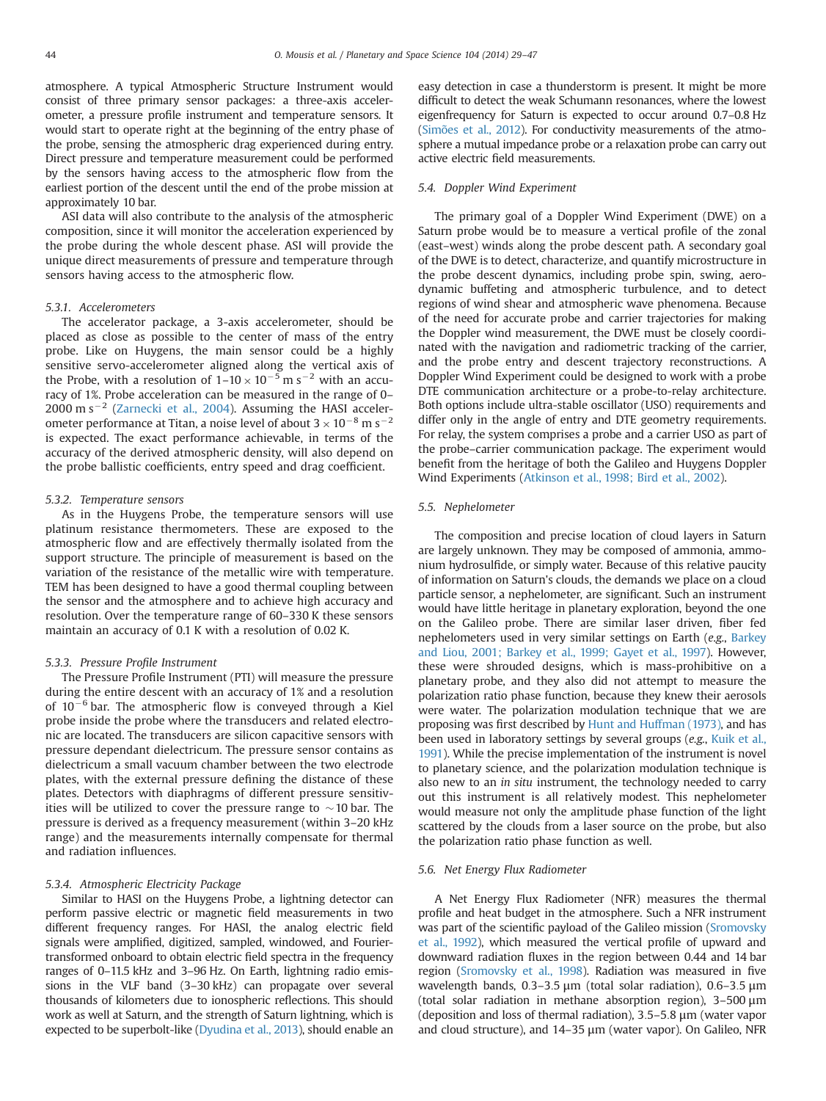atmosphere. A typical Atmospheric Structure Instrument would consist of three primary sensor packages: a three-axis accelerometer, a pressure profile instrument and temperature sensors. It would start to operate right at the beginning of the entry phase of the probe, sensing the atmospheric drag experienced during entry. Direct pressure and temperature measurement could be performed by the sensors having access to the atmospheric flow from the earliest portion of the descent until the end of the probe mission at approximately 10 bar.

ASI data will also contribute to the analysis of the atmospheric composition, since it will monitor the acceleration experienced by the probe during the whole descent phase. ASI will provide the unique direct measurements of pressure and temperature through sensors having access to the atmospheric flow.

## 5.3.1. Accelerometers

The accelerator package, a 3-axis accelerometer, should be placed as close as possible to the center of mass of the entry probe. Like on Huygens, the main sensor could be a highly sensitive servo-accelerometer aligned along the vertical axis of the Probe, with a resolution of  $1-10 \times 10^{-5}$  m s<sup>-2</sup> with an accuracy of 1%. Probe acceleration can be measured in the range of 0–  $2000$  m s<sup>-2</sup> [\(Zarnecki et al., 2004\)](#page-18-0). Assuming the HASI accelerometer performance at Titan, a noise level of about  $3 \times 10^{-8}$  m s<sup>-2</sup> is expected. The exact performance achievable, in terms of the accuracy of the derived atmospheric density, will also depend on the probe ballistic coefficients, entry speed and drag coefficient.

## 5.3.2. Temperature sensors

As in the Huygens Probe, the temperature sensors will use platinum resistance thermometers. These are exposed to the atmospheric flow and are effectively thermally isolated from the support structure. The principle of measurement is based on the variation of the resistance of the metallic wire with temperature. TEM has been designed to have a good thermal coupling between the sensor and the atmosphere and to achieve high accuracy and resolution. Over the temperature range of 60–330 K these sensors maintain an accuracy of 0.1 K with a resolution of 0.02 K.

## 5.3.3. Pressure Profile Instrument

The Pressure Profile Instrument (PTI) will measure the pressure during the entire descent with an accuracy of 1% and a resolution of  $10^{-6}$  bar. The atmospheric flow is conveyed through a Kiel probe inside the probe where the transducers and related electronic are located. The transducers are silicon capacitive sensors with pressure dependant dielectricum. The pressure sensor contains as dielectricum a small vacuum chamber between the two electrode plates, with the external pressure defining the distance of these plates. Detectors with diaphragms of different pressure sensitivities will be utilized to cover the pressure range to  $\sim$  10 bar. The pressure is derived as a frequency measurement (within 3–20 kHz range) and the measurements internally compensate for thermal and radiation influences.

## 5.3.4. Atmospheric Electricity Package

Similar to HASI on the Huygens Probe, a lightning detector can perform passive electric or magnetic field measurements in two different frequency ranges. For HASI, the analog electric field signals were amplified, digitized, sampled, windowed, and Fouriertransformed onboard to obtain electric field spectra in the frequency ranges of 0–11.5 kHz and 3–96 Hz. On Earth, lightning radio emissions in the VLF band (3–30 kHz) can propagate over several thousands of kilometers due to ionospheric reflections. This should work as well at Saturn, and the strength of Saturn lightning, which is expected to be superbolt-like ([Dyudina et al., 2013](#page-16-0)), should enable an easy detection in case a thunderstorm is present. It might be more difficult to detect the weak Schumann resonances, where the lowest eigenfrequency for Saturn is expected to occur around 0.7–0.8 Hz ([Simões et al., 2012\)](#page-18-0). For conductivity measurements of the atmosphere a mutual impedance probe or a relaxation probe can carry out active electric field measurements.

## 5.4. Doppler Wind Experiment

The primary goal of a Doppler Wind Experiment (DWE) on a Saturn probe would be to measure a vertical profile of the zonal (east–west) winds along the probe descent path. A secondary goal of the DWE is to detect, characterize, and quantify microstructure in the probe descent dynamics, including probe spin, swing, aerodynamic buffeting and atmospheric turbulence, and to detect regions of wind shear and atmospheric wave phenomena. Because of the need for accurate probe and carrier trajectories for making the Doppler wind measurement, the DWE must be closely coordinated with the navigation and radiometric tracking of the carrier, and the probe entry and descent trajectory reconstructions. A Doppler Wind Experiment could be designed to work with a probe DTE communication architecture or a probe-to-relay architecture. Both options include ultra-stable oscillator (USO) requirements and differ only in the angle of entry and DTE geometry requirements. For relay, the system comprises a probe and a carrier USO as part of the probe–carrier communication package. The experiment would benefit from the heritage of both the Galileo and Huygens Doppler Wind Experiments ([Atkinson et al., 1998; Bird et al., 2002](#page-16-0)).

## 5.5. Nephelometer

The composition and precise location of cloud layers in Saturn are largely unknown. They may be composed of ammonia, ammonium hydrosulfide, or simply water. Because of this relative paucity of information on Saturn's clouds, the demands we place on a cloud particle sensor, a nephelometer, are significant. Such an instrument would have little heritage in planetary exploration, beyond the one on the Galileo probe. There are similar laser driven, fiber fed nephelometers used in very similar settings on Earth (e.g., [Barkey](#page-16-0) [and Liou, 2001; Barkey et al., 1999; Gayet et al., 1997](#page-17-0)). However, these were shrouded designs, which is mass-prohibitive on a planetary probe, and they also did not attempt to measure the polarization ratio phase function, because they knew their aerosols were water. The polarization modulation technique that we are proposing was first described by [Hunt and Huffman \(1973\),](#page-17-0) and has been used in laboratory settings by several groups (e.g., [Kuik et al.,](#page-17-0) [1991\)](#page-17-0). While the precise implementation of the instrument is novel to planetary science, and the polarization modulation technique is also new to an in situ instrument, the technology needed to carry out this instrument is all relatively modest. This nephelometer would measure not only the amplitude phase function of the light scattered by the clouds from a laser source on the probe, but also the polarization ratio phase function as well.

## 5.6. Net Energy Flux Radiometer

A Net Energy Flux Radiometer (NFR) measures the thermal profile and heat budget in the atmosphere. Such a NFR instrument was part of the scientific payload of the Galileo mission [\(Sromovsky](#page-18-0) [et al., 1992](#page-18-0)), which measured the vertical profile of upward and downward radiation fluxes in the region between 0.44 and 14 bar region [\(Sromovsky et al., 1998](#page-18-0)). Radiation was measured in five wavelength bands,  $0.3-3.5 \mu m$  (total solar radiation),  $0.6-3.5 \mu m$ (total solar radiation in methane absorption region), 3–500 μm (deposition and loss of thermal radiation),  $3.5-5.8 \mu m$  (water vapor and cloud structure), and 14–35 μm (water vapor). On Galileo, NFR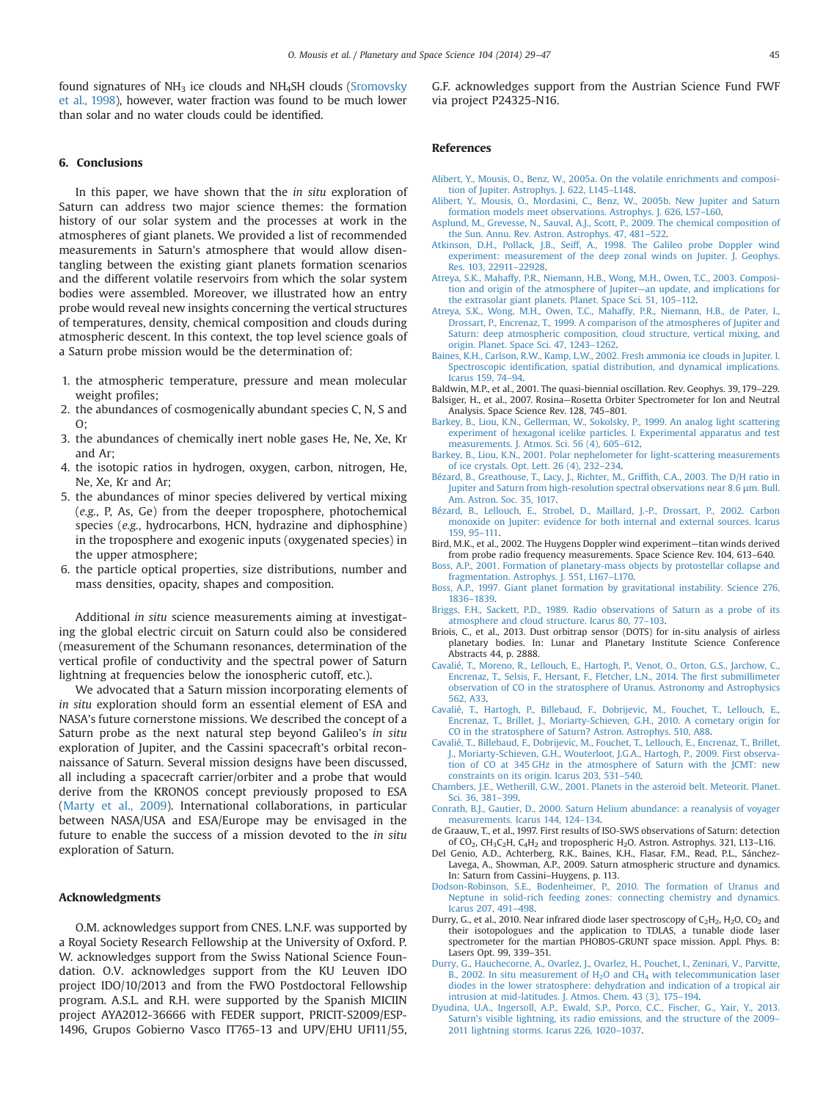<span id="page-16-0"></span>found signatures of NH<sub>3</sub> ice clouds and NH<sub>4</sub>SH clouds [\(Sromovsky](#page-18-0) [et al., 1998](#page-18-0)), however, water fraction was found to be much lower than solar and no water clouds could be identified.

# 6. Conclusions

In this paper, we have shown that the in situ exploration of Saturn can address two major science themes: the formation history of our solar system and the processes at work in the atmospheres of giant planets. We provided a list of recommended measurements in Saturn's atmosphere that would allow disentangling between the existing giant planets formation scenarios and the different volatile reservoirs from which the solar system bodies were assembled. Moreover, we illustrated how an entry probe would reveal new insights concerning the vertical structures of temperatures, density, chemical composition and clouds during atmospheric descent. In this context, the top level science goals of a Saturn probe mission would be the determination of:

- 1. the atmospheric temperature, pressure and mean molecular weight profiles;
- 2. the abundances of cosmogenically abundant species C, N, S and O;
- 3. the abundances of chemically inert noble gases He, Ne, Xe, Kr and Ar;
- 4. the isotopic ratios in hydrogen, oxygen, carbon, nitrogen, He, Ne, Xe, Kr and Ar;
- 5. the abundances of minor species delivered by vertical mixing (e.g., P, As, Ge) from the deeper troposphere, photochemical species (e.g., hydrocarbons, HCN, hydrazine and diphosphine) in the troposphere and exogenic inputs (oxygenated species) in the upper atmosphere;
- 6. the particle optical properties, size distributions, number and mass densities, opacity, shapes and composition.

Additional in situ science measurements aiming at investigating the global electric circuit on Saturn could also be considered (measurement of the Schumann resonances, determination of the vertical profile of conductivity and the spectral power of Saturn lightning at frequencies below the ionospheric cutoff, etc.).

We advocated that a Saturn mission incorporating elements of in situ exploration should form an essential element of ESA and NASA's future cornerstone missions. We described the concept of a Saturn probe as the next natural step beyond Galileo's in situ exploration of Jupiter, and the Cassini spacecraft's orbital reconnaissance of Saturn. Several mission designs have been discussed, all including a spacecraft carrier/orbiter and a probe that would derive from the KRONOS concept previously proposed to ESA ([Marty et al., 2009](#page-17-0)). International collaborations, in particular between NASA/USA and ESA/Europe may be envisaged in the future to enable the success of a mission devoted to the in situ exploration of Saturn.

## Acknowledgments

O.M. acknowledges support from CNES. L.N.F. was supported by a Royal Society Research Fellowship at the University of Oxford. P. W. acknowledges support from the Swiss National Science Foundation. O.V. acknowledges support from the KU Leuven IDO project IDO/10/2013 and from the FWO Postdoctoral Fellowship program. A.S.L. and R.H. were supported by the Spanish MICIIN project AYA2012-36666 with FEDER support, PRICIT-S2009/ESP-1496, Grupos Gobierno Vasco IT765-13 and UPV/EHU UFI11/55, G.F. acknowledges support from the Austrian Science Fund FWF via project P24325-N16.

## References

- [Alibert, Y., Mousis, O., Benz, W., 2005a. On the volatile enrichments and composi](http://refhub.elsevier.com/S0032-0633(14)00295-5/sbref1)[tion of Jupiter. Astrophys. J. 622, L145](http://refhub.elsevier.com/S0032-0633(14)00295-5/sbref1)–L148.
- [Alibert, Y., Mousis, O., Mordasini, C., Benz, W., 2005b. New Jupiter and Saturn](http://refhub.elsevier.com/S0032-0633(14)00295-5/sbref2) [formation models meet observations. Astrophys. J. 626, L57](http://refhub.elsevier.com/S0032-0633(14)00295-5/sbref2)–L60.
- [Asplund, M., Grevesse, N., Sauval, A.J., Scott, P., 2009. The chemical composition of](http://refhub.elsevier.com/S0032-0633(14)00295-5/sbref3) [the Sun. Annu. Rev. Astron. Astrophys. 47, 481](http://refhub.elsevier.com/S0032-0633(14)00295-5/sbref3)–522.
- [Atkinson, D.H., Pollack, J.B., Seiff, A., 1998. The Galileo probe Doppler wind](http://refhub.elsevier.com/S0032-0633(14)00295-5/sbref4) [experiment: measurement of the deep zonal winds on Jupiter. J. Geophys.](http://refhub.elsevier.com/S0032-0633(14)00295-5/sbref4) [Res. 103, 22911](http://refhub.elsevier.com/S0032-0633(14)00295-5/sbref4)–22928.
- [Atreya, S.K., Mahaffy, P.R., Niemann, H.B., Wong, M.H., Owen, T.C., 2003. Composi](http://refhub.elsevier.com/S0032-0633(14)00295-5/sbref5)[tion and origin of the atmosphere of Jupiter](http://refhub.elsevier.com/S0032-0633(14)00295-5/sbref5)—an update, and implications for [the extrasolar giant planets. Planet. Space Sci. 51, 105](http://refhub.elsevier.com/S0032-0633(14)00295-5/sbref5)–112.
- [Atreya, S.K., Wong, M.H., Owen, T.C., Mahaffy, P.R., Niemann, H.B., de Pater, I.,](http://refhub.elsevier.com/S0032-0633(14)00295-5/sbref6) [Drossart, P., Encrenaz, T., 1999. A comparison of the atmospheres of Jupiter and](http://refhub.elsevier.com/S0032-0633(14)00295-5/sbref6) [Saturn: deep atmospheric composition, cloud structure, vertical mixing, and](http://refhub.elsevier.com/S0032-0633(14)00295-5/sbref6) [origin. Planet. Space Sci. 47, 1243](http://refhub.elsevier.com/S0032-0633(14)00295-5/sbref6)–1262.
- [Baines, K.H., Carlson, R.W., Kamp, L.W., 2002. Fresh ammonia ice clouds in Jupiter. I.](http://refhub.elsevier.com/S0032-0633(14)00295-5/sbref7) Spectroscopic identifi[cation, spatial distribution, and dynamical implications.](http://refhub.elsevier.com/S0032-0633(14)00295-5/sbref7) [Icarus 159, 74](http://refhub.elsevier.com/S0032-0633(14)00295-5/sbref7)–94.
- Baldwin, M.P., et al., 2001. The quasi-biennial oscillation. Rev. Geophys. 39, 179–229. Balsiger, H., et al., 2007. Rosina—Rosetta Orbiter Spectrometer for Ion and Neutral Analysis. Space Science Rev. 128, 745–801.
- [Barkey, B., Liou, K.N., Gellerman, W., Sokolsky, P., 1999. An analog light scattering](http://refhub.elsevier.com/S0032-0633(14)00295-5/sbref10) [experiment of hexagonal icelike particles. I. Experimental apparatus and test](http://refhub.elsevier.com/S0032-0633(14)00295-5/sbref10) [measurements. J. Atmos. Sci. 56 \(4\), 605](http://refhub.elsevier.com/S0032-0633(14)00295-5/sbref10)–612.
- [Barkey, B., Liou, K.N., 2001. Polar nephelometer for light-scattering measurements](http://refhub.elsevier.com/S0032-0633(14)00295-5/sbref11) [of ice crystals. Opt. Lett. 26 \(4\), 232](http://refhub.elsevier.com/S0032-0633(14)00295-5/sbref11)–234.
- [Bézard, B., Greathouse, T., Lacy, J., Richter, M., Grif](http://refhub.elsevier.com/S0032-0633(14)00295-5/sbref12)fith, C.A., 2003. The D/H ratio in [Jupiter and Saturn from high-resolution spectral observations near](http://refhub.elsevier.com/S0032-0633(14)00295-5/sbref12) 8:6 μ[m. Bull.](http://refhub.elsevier.com/S0032-0633(14)00295-5/sbref12) [Am. Astron. Soc. 35, 1017.](http://refhub.elsevier.com/S0032-0633(14)00295-5/sbref12)
- [Bézard, B., Lellouch, E., Strobel, D., Maillard, J.-P., Drossart, P., 2002. Carbon](http://refhub.elsevier.com/S0032-0633(14)00295-5/sbref13) [monoxide on Jupiter: evidence for both internal and external sources. Icarus](http://refhub.elsevier.com/S0032-0633(14)00295-5/sbref13) [159, 95](http://refhub.elsevier.com/S0032-0633(14)00295-5/sbref13)–111.
- Bird, M.K., et al., 2002. The Huygens Doppler wind experiment—titan winds derived from probe radio frequency measurements. Space Science Rev. 104, 613–640.
- [Boss, A.P., 2001. Formation of planetary-mass objects by protostellar collapse and](http://refhub.elsevier.com/S0032-0633(14)00295-5/sbref15) [fragmentation. Astrophys. J. 551, L167](http://refhub.elsevier.com/S0032-0633(14)00295-5/sbref15)-L170.
- [Boss, A.P., 1997. Giant planet formation by gravitational instability. Science 276,](http://refhub.elsevier.com/S0032-0633(14)00295-5/sbref16) 1836–[1839.](http://refhub.elsevier.com/S0032-0633(14)00295-5/sbref16)
- [Briggs, F.H., Sackett, P.D., 1989. Radio observations of Saturn as a probe of its](http://refhub.elsevier.com/S0032-0633(14)00295-5/sbref17) [atmosphere and cloud structure. Icarus 80, 77](http://refhub.elsevier.com/S0032-0633(14)00295-5/sbref17)–103.
- Briois, C., et al., 2013. Dust orbitrap sensor (DOTS) for in-situ analysis of airless planetary bodies. In: Lunar and Planetary Institute Science Conference Abstracts 44, p. 2888.
- [Cavalié, T., Moreno, R., Lellouch, E., Hartogh, P., Venot, O., Orton, G.S., Jarchow, C.,](http://refhub.elsevier.com/S0032-0633(14)00295-5/sbref1611) [Encrenaz, T., Selsis, F., Hersant, F., Fletcher, L.N., 2014. The](http://refhub.elsevier.com/S0032-0633(14)00295-5/sbref1611) first submillimeter [observation of CO in the stratosphere of Uranus. Astronomy and Astrophysics](http://refhub.elsevier.com/S0032-0633(14)00295-5/sbref1611) [562, A33.](http://refhub.elsevier.com/S0032-0633(14)00295-5/sbref1611)
- [Cavalié, T., Hartogh, P., Billebaud, F., Dobrijevic, M., Fouchet, T., Lellouch, E.,](http://refhub.elsevier.com/S0032-0633(14)00295-5/sbref20) [Encrenaz, T., Brillet, J., Moriarty-Schieven, G.H., 2010. A cometary origin for](http://refhub.elsevier.com/S0032-0633(14)00295-5/sbref20) [CO in the stratosphere of Saturn? Astron. Astrophys. 510, A88.](http://refhub.elsevier.com/S0032-0633(14)00295-5/sbref20)
- [Cavalié, T., Billebaud, F., Dobrijevic, M., Fouchet, T., Lellouch, E., Encrenaz, T., Brillet,](http://refhub.elsevier.com/S0032-0633(14)00295-5/sbref21) [J., Moriarty-Schieven, G.H., Wouterloot, J.G.A., Hartogh, P., 2009. First observa](http://refhub.elsevier.com/S0032-0633(14)00295-5/sbref21)[tion of CO at 345 GHz in the atmosphere of Saturn with the JCMT: new](http://refhub.elsevier.com/S0032-0633(14)00295-5/sbref21) [constraints on its origin. Icarus 203, 531](http://refhub.elsevier.com/S0032-0633(14)00295-5/sbref21)–540.
- [Chambers, J.E., Wetherill, G.W., 2001. Planets in the asteroid belt. Meteorit. Planet.](http://refhub.elsevier.com/S0032-0633(14)00295-5/sbref22) [Sci. 36, 381](http://refhub.elsevier.com/S0032-0633(14)00295-5/sbref22)–399.
- [Conrath, B.J., Gautier, D., 2000. Saturn Helium abundance: a reanalysis of voyager](http://refhub.elsevier.com/S0032-0633(14)00295-5/sbref23) [measurements. Icarus 144, 124](http://refhub.elsevier.com/S0032-0633(14)00295-5/sbref23)–134.
- de Graauw, T., et al., 1997. First results of ISO-SWS observations of Saturn: detection of CO<sub>2</sub>, CH<sub>3</sub>C<sub>2</sub>H, C<sub>4</sub>H<sub>2</sub> and tropospheric H<sub>2</sub>O. Astron. Astrophys. 321, L13-L16.
- Del Genio, A.D., Achterberg, R.K., Baines, K.H., Flasar, F.M., Read, P.L., Sánchez-Lavega, A., Showman, A.P., 2009. Saturn atmospheric structure and dynamics. In: Saturn from Cassini–Huygens, p. 113.
- [Dodson-Robinson, S.E., Bodenheimer, P., 2010. The formation of Uranus and](http://refhub.elsevier.com/S0032-0633(14)00295-5/sbref26) [Neptune in solid-rich feeding zones: connecting chemistry and dynamics.](http://refhub.elsevier.com/S0032-0633(14)00295-5/sbref26) [Icarus 207, 491](http://refhub.elsevier.com/S0032-0633(14)00295-5/sbref26)–498.
- Durry, G., et al., 2010. Near infrared diode laser spectroscopy of  $C_2H_2$ ,  $H_2O$ ,  $CO_2$  and their isotopologues and the application to TDLAS, a tunable diode laser spectrometer for the martian PHOBOS-GRUNT space mission. Appl. Phys. B: Lasers Opt. 99, 339–351.
- [Durry, G., Hauchecorne, A., Ovarlez, J., Ovarlez, H., Pouchet, I., Zeninari, V., Parvitte,](http://refhub.elsevier.com/S0032-0633(14)00295-5/sbref28) B., 2002. In situ measurement of  $H<sub>2</sub>O$  and CH<sub>4</sub> [with telecommunication laser](http://refhub.elsevier.com/S0032-0633(14)00295-5/sbref28) [diodes in the lower stratosphere: dehydration and indication of a tropical air](http://refhub.elsevier.com/S0032-0633(14)00295-5/sbref28) [intrusion at mid-latitudes. J. Atmos. Chem. 43 \(3\), 175](http://refhub.elsevier.com/S0032-0633(14)00295-5/sbref28)–194.
- [Dyudina, U.A., Ingersoll, A.P., Ewald, S.P., Porco, C.C., Fischer, G., Yair, Y., 2013.](http://refhub.elsevier.com/S0032-0633(14)00295-5/sbref29) [Saturn's visible lightning, its radio emissions, and the structure of the 2009](http://refhub.elsevier.com/S0032-0633(14)00295-5/sbref29)– [2011 lightning storms. Icarus 226, 1020](http://refhub.elsevier.com/S0032-0633(14)00295-5/sbref29)–1037.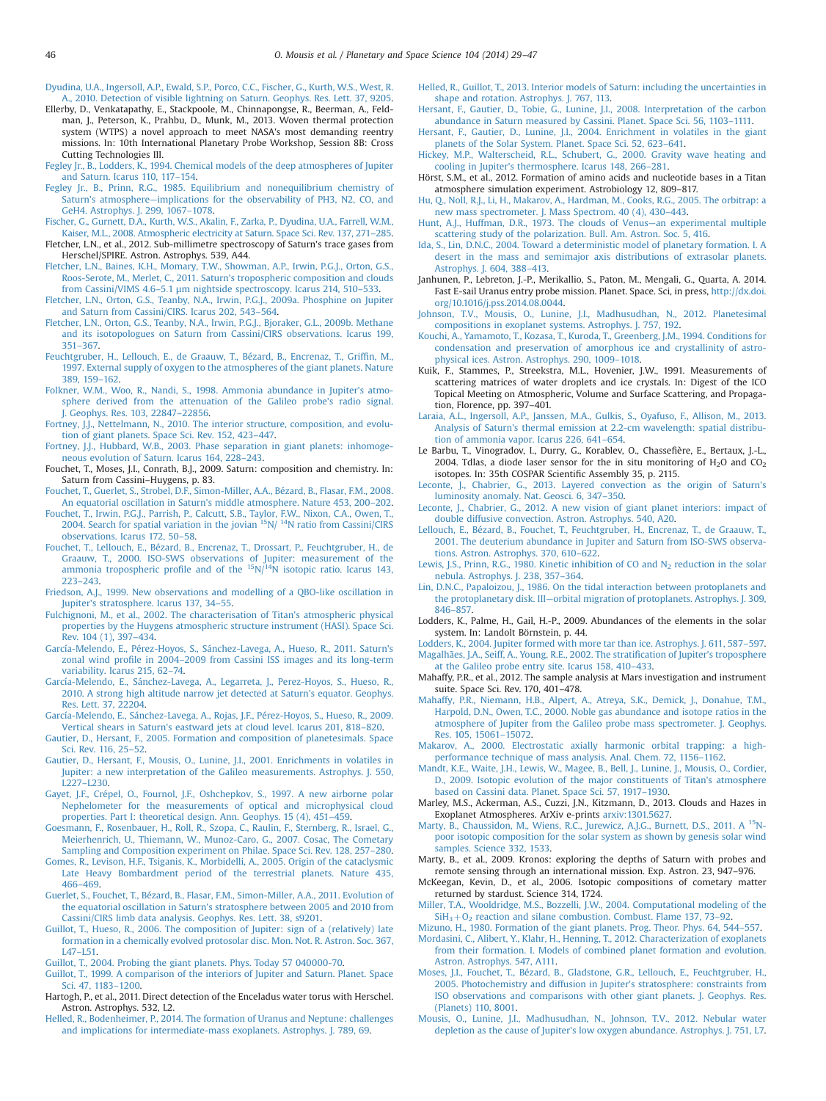<span id="page-17-0"></span>[Dyudina, U.A., Ingersoll, A.P., Ewald, S.P., Porco, C.C., Fischer, G., Kurth, W.S., West, R.](http://refhub.elsevier.com/S0032-0633(14)00295-5/sbref30) [A., 2010. Detection of visible lightning on Saturn. Geophys. Res. Lett. 37, 9205.](http://refhub.elsevier.com/S0032-0633(14)00295-5/sbref30)

- Ellerby, D., Venkatapathy, E., Stackpoole, M., Chinnapongse, R., Beerman, A., Feldman, J., Peterson, K., Prahbu, D., Munk, M., 2013. Woven thermal protection system (WTPS) a novel approach to meet NASA's most demanding reentry missions. In: 10th International Planetary Probe Workshop, Session 8B: Cross Cutting Technologies III.
- [Fegley Jr., B., Lodders, K., 1994. Chemical models of the deep atmospheres of Jupiter](http://refhub.elsevier.com/S0032-0633(14)00295-5/sbref32) [and Saturn. Icarus 110, 117](http://refhub.elsevier.com/S0032-0633(14)00295-5/sbref32)–154.
- [Fegley Jr., B., Prinn, R.G., 1985. Equilibrium and nonequilibrium chemistry of](http://refhub.elsevier.com/S0032-0633(14)00295-5/sbref33) Saturn's atmosphere—[implications for the observability of PH3, N2, CO, and](http://refhub.elsevier.com/S0032-0633(14)00295-5/sbref33) [GeH4. Astrophys. J. 299, 1067](http://refhub.elsevier.com/S0032-0633(14)00295-5/sbref33)–1078.
- [Fischer, G., Gurnett, D.A., Kurth, W.S., Akalin, F., Zarka, P., Dyudina, U.A., Farrell, W.M.,](http://refhub.elsevier.com/S0032-0633(14)00295-5/sbref34)
- [Kaiser, M.L., 2008. Atmospheric electricity at Saturn. Space Sci. Rev. 137, 271](http://refhub.elsevier.com/S0032-0633(14)00295-5/sbref34)–285. Fletcher, L.N., et al., 2012. Sub-millimetre spectroscopy of Saturn's trace gases from Herschel/SPIRE. Astron. Astrophys. 539, A44.
- [Fletcher, L.N., Baines, K.H., Momary, T.W., Showman, A.P., Irwin, P.G.J., Orton, G.S.,](http://refhub.elsevier.com/S0032-0633(14)00295-5/sbref36) [Roos-Serote, M., Merlet, C., 2011. Saturn's tropospheric composition and clouds](http://refhub.elsevier.com/S0032-0633(14)00295-5/sbref36) [from Cassini/VIMS 4](http://refhub.elsevier.com/S0032-0633(14)00295-5/sbref36):6–5:1 μ[m nightside spectroscopy. Icarus 214, 510](http://refhub.elsevier.com/S0032-0633(14)00295-5/sbref36)–533.
- [Fletcher, L.N., Orton, G.S., Teanby, N.A., Irwin, P.G.J., 2009a. Phosphine on Jupiter](http://refhub.elsevier.com/S0032-0633(14)00295-5/sbref37) [and Saturn from Cassini/CIRS. Icarus 202, 543](http://refhub.elsevier.com/S0032-0633(14)00295-5/sbref37)–564.
- [Fletcher, L.N., Orton, G.S., Teanby, N.A., Irwin, P.G.J., Bjoraker, G.L., 2009b. Methane](http://refhub.elsevier.com/S0032-0633(14)00295-5/sbref38) [and its isotopologues on Saturn from Cassini/CIRS observations. Icarus 199,](http://refhub.elsevier.com/S0032-0633(14)00295-5/sbref38) 351–[367.](http://refhub.elsevier.com/S0032-0633(14)00295-5/sbref38)
- [Feuchtgruber, H., Lellouch, E., de Graauw, T., Bézard, B., Encrenaz, T., Grif](http://refhub.elsevier.com/S0032-0633(14)00295-5/sbref39)fin, M., [1997. External supply of oxygen to the atmospheres of the giant planets. Nature](http://refhub.elsevier.com/S0032-0633(14)00295-5/sbref39) [389, 159](http://refhub.elsevier.com/S0032-0633(14)00295-5/sbref39)–162.
- [Folkner, W.M., Woo, R., Nandi, S., 1998. Ammonia abundance in Jupiter's atmo](http://refhub.elsevier.com/S0032-0633(14)00295-5/sbref40)[sphere derived from the attenuation of the Galileo probe's radio signal.](http://refhub.elsevier.com/S0032-0633(14)00295-5/sbref40) [J. Geophys. Res. 103, 22847](http://refhub.elsevier.com/S0032-0633(14)00295-5/sbref40)–22856.
- [Fortney, J.J., Nettelmann, N., 2010. The interior structure, composition, and evolu](http://refhub.elsevier.com/S0032-0633(14)00295-5/sbref41)[tion of giant planets. Space Sci. Rev. 152, 423](http://refhub.elsevier.com/S0032-0633(14)00295-5/sbref41)–447.
- [Fortney, J.J., Hubbard, W.B., 2003. Phase separation in giant planets: inhomoge](http://refhub.elsevier.com/S0032-0633(14)00295-5/sbref42)[neous evolution of Saturn. Icarus 164, 228](http://refhub.elsevier.com/S0032-0633(14)00295-5/sbref42)–243.
- Fouchet, T., Moses, J.I., Conrath, B.J., 2009. Saturn: composition and chemistry. In: Saturn from Cassini–Huygens, p. 83.
- [Fouchet, T., Guerlet, S., Strobel, D.F., Simon-Miller, A.A., Bézard, B., Flasar, F.M., 2008.](http://refhub.elsevier.com/S0032-0633(14)00295-5/sbref44) [An equatorial oscillation in Saturn's middle atmosphere. Nature 453, 200](http://refhub.elsevier.com/S0032-0633(14)00295-5/sbref44)–202.
- [Fouchet, T., Irwin, P.G.J., Parrish, P., Calcutt, S.B., Taylor, F.W., Nixon, C.A., Owen, T.,](http://refhub.elsevier.com/S0032-0633(14)00295-5/sbref45)<br>[2004. Search for spatial variation in the jovian](http://refhub.elsevier.com/S0032-0633(14)00295-5/sbref45) <sup>15</sup>N/ <sup>14</sup>N ratio from Cassini/CIRS [observations. Icarus 172, 50](http://refhub.elsevier.com/S0032-0633(14)00295-5/sbref45)–58.
- [Fouchet, T., Lellouch, E., Bézard, B., Encrenaz, T., Drossart, P., Feuchtgruber, H., de](http://refhub.elsevier.com/S0032-0633(14)00295-5/sbref46) [Graauw, T., 2000. ISO-SWS observations of Jupiter: measurement of the](http://refhub.elsevier.com/S0032-0633(14)00295-5/sbref46) [ammonia tropospheric pro](http://refhub.elsevier.com/S0032-0633(14)00295-5/sbref46)file and of the  $15N/14N$  isotopic ratio. Icarus 143, 223–[243.](http://refhub.elsevier.com/S0032-0633(14)00295-5/sbref46)
- [Friedson, A.J., 1999. New observations and modelling of a QBO-like oscillation in](http://refhub.elsevier.com/S0032-0633(14)00295-5/sbref47) [Jupiter's stratosphere. Icarus 137, 34](http://refhub.elsevier.com/S0032-0633(14)00295-5/sbref47)–55.
- [Fulchignoni, M., et al., 2002. The characterisation of Titan's atmospheric physical](http://refhub.elsevier.com/S0032-0633(14)00295-5/sbref48) [properties by the Huygens atmospheric structure instrument \(HASI\). Space Sci.](http://refhub.elsevier.com/S0032-0633(14)00295-5/sbref48) [Rev. 104 \(1\), 397](http://refhub.elsevier.com/S0032-0633(14)00295-5/sbref48)–434.
- [García-Melendo, E., Pérez-Hoyos, S., Sánchez-Lavega, A., Hueso, R., 2011. Saturn's](http://refhub.elsevier.com/S0032-0633(14)00295-5/sbref49) zonal wind profile in 2004–[2009 from Cassini ISS images and its long-term](http://refhub.elsevier.com/S0032-0633(14)00295-5/sbref49) [variability. Icarus 215, 62](http://refhub.elsevier.com/S0032-0633(14)00295-5/sbref49)–74.
- [García-Melendo, E., Sánchez-Lavega, A., Legarreta, J., Perez-Hoyos, S., Hueso, R.,](http://refhub.elsevier.com/S0032-0633(14)00295-5/sbref50) [2010. A strong high altitude narrow jet detected at Saturn's equator. Geophys.](http://refhub.elsevier.com/S0032-0633(14)00295-5/sbref50) [Res. Lett. 37, 22204.](http://refhub.elsevier.com/S0032-0633(14)00295-5/sbref50)
- [García-Melendo, E., Sánchez-Lavega, A., Rojas, J.F., Pérez-Hoyos, S., Hueso, R., 2009.](http://refhub.elsevier.com/S0032-0633(14)00295-5/sbref51) [Vertical shears in Saturn's eastward jets at cloud level. Icarus 201, 818](http://refhub.elsevier.com/S0032-0633(14)00295-5/sbref51)–820.
- [Gautier, D., Hersant, F., 2005. Formation and composition of planetesimals. Space](http://refhub.elsevier.com/S0032-0633(14)00295-5/sbref52) [Sci. Rev. 116, 25](http://refhub.elsevier.com/S0032-0633(14)00295-5/sbref52)–52.
- [Gautier, D., Hersant, F., Mousis, O., Lunine, J.I., 2001. Enrichments in volatiles in](http://refhub.elsevier.com/S0032-0633(14)00295-5/sbref53) [Jupiter: a new interpretation of the Galileo measurements. Astrophys. J. 550,](http://refhub.elsevier.com/S0032-0633(14)00295-5/sbref53) L227–[L230.](http://refhub.elsevier.com/S0032-0633(14)00295-5/sbref53)
- [Gayet, J.F., Crépel, O., Fournol, J.F., Oshchepkov, S., 1997. A new airborne polar](http://refhub.elsevier.com/S0032-0633(14)00295-5/sbref54) [Nephelometer for the measurements of optical and microphysical cloud](http://refhub.elsevier.com/S0032-0633(14)00295-5/sbref54) [properties. Part I: theoretical design. Ann. Geophys. 15 \(4\), 451](http://refhub.elsevier.com/S0032-0633(14)00295-5/sbref54)–459.
- [Goesmann, F., Rosenbauer, H., Roll, R., Szopa, C., Raulin, F., Sternberg, R., Israel, G.,](http://refhub.elsevier.com/S0032-0633(14)00295-5/sbref55) [Meierhenrich, U., Thiemann, W., Munoz-Caro, G., 2007. Cosac, The Cometary](http://refhub.elsevier.com/S0032-0633(14)00295-5/sbref55) [Sampling and Composition experiment on Philae. Space Sci. Rev. 128, 257](http://refhub.elsevier.com/S0032-0633(14)00295-5/sbref55)–280.
- [Gomes, R., Levison, H.F., Tsiganis, K., Morbidelli, A., 2005. Origin of the cataclysmic](http://refhub.elsevier.com/S0032-0633(14)00295-5/sbref56) [Late Heavy Bombardment period of the terrestrial planets. Nature 435,](http://refhub.elsevier.com/S0032-0633(14)00295-5/sbref56) 466–[469.](http://refhub.elsevier.com/S0032-0633(14)00295-5/sbref56)
- [Guerlet, S., Fouchet, T., Bézard, B., Flasar, F.M., Simon-Miller, A.A., 2011. Evolution of](http://refhub.elsevier.com/S0032-0633(14)00295-5/sbref57) [the equatorial oscillation in Saturn's stratosphere between 2005 and 2010 from](http://refhub.elsevier.com/S0032-0633(14)00295-5/sbref57) [Cassini/CIRS limb data analysis. Geophys. Res. Lett. 38, s9201.](http://refhub.elsevier.com/S0032-0633(14)00295-5/sbref57)
- [Guillot, T., Hueso, R., 2006. The composition of Jupiter: sign of a \(relatively\) late](http://refhub.elsevier.com/S0032-0633(14)00295-5/sbref58) [formation in a chemically evolved protosolar disc. Mon. Not. R. Astron. Soc. 367,](http://refhub.elsevier.com/S0032-0633(14)00295-5/sbref58)  $L47 - L51$
- [Guillot, T., 2004. Probing the giant planets. Phys. Today 57 040000-70.](http://refhub.elsevier.com/S0032-0633(14)00295-5/sbref59)
- [Guillot, T., 1999. A comparison of the interiors of Jupiter and Saturn. Planet. Space](http://refhub.elsevier.com/S0032-0633(14)00295-5/sbref60) [Sci. 47, 1183](http://refhub.elsevier.com/S0032-0633(14)00295-5/sbref60)–1200.
- Hartogh, P., et al., 2011. Direct detection of the Enceladus water torus with Herschel. Astron. Astrophys. 532, L2.
- [Helled, R., Bodenheimer, P., 2014. The formation of Uranus and Neptune: challenges](http://refhub.elsevier.com/S0032-0633(14)00295-5/sbref62) [and implications for intermediate-mass exoplanets. Astrophys. J. 789, 69.](http://refhub.elsevier.com/S0032-0633(14)00295-5/sbref62)
- [Helled, R., Guillot, T., 2013. Interior models of Saturn: including the uncertainties in](http://refhub.elsevier.com/S0032-0633(14)00295-5/sbref63) [shape and rotation. Astrophys. J. 767, 113.](http://refhub.elsevier.com/S0032-0633(14)00295-5/sbref63)
- [Hersant, F., Gautier, D., Tobie, G., Lunine, J.I., 2008. Interpretation of the carbon](http://refhub.elsevier.com/S0032-0633(14)00295-5/sbref64) [abundance in Saturn measured by Cassini. Planet. Space Sci. 56, 1103](http://refhub.elsevier.com/S0032-0633(14)00295-5/sbref64)–1111.
- [Hersant, F., Gautier, D., Lunine, J.I., 2004. Enrichment in volatiles in the giant](http://refhub.elsevier.com/S0032-0633(14)00295-5/sbref65) [planets of the Solar System. Planet. Space Sci. 52, 623](http://refhub.elsevier.com/S0032-0633(14)00295-5/sbref65)–641.
- [Hickey, M.P., Walterscheid, R.L., Schubert, G., 2000. Gravity wave heating and](http://refhub.elsevier.com/S0032-0633(14)00295-5/sbref66) [cooling in Jupiter's thermosphere. Icarus 148, 266](http://refhub.elsevier.com/S0032-0633(14)00295-5/sbref66)–281.
- Hörst, S.M., et al., 2012. Formation of amino acids and nucleotide bases in a Titan atmosphere simulation experiment. Astrobiology 12, 809–817.
- [Hu, Q., Noll, R.J., Li, H., Makarov, A., Hardman, M., Cooks, R.G., 2005. The orbitrap: a](http://refhub.elsevier.com/S0032-0633(14)00295-5/sbref68) [new mass spectrometer. J. Mass Spectrom. 40 \(4\), 430](http://refhub.elsevier.com/S0032-0633(14)00295-5/sbref68)–443.
- [Hunt, A.J., Huffman, D.R., 1973. The clouds of Venus](http://refhub.elsevier.com/S0032-0633(14)00295-5/sbref69)—an experimental multiple [scattering study of the polarization. Bull. Am. Astron. Soc. 5, 416.](http://refhub.elsevier.com/S0032-0633(14)00295-5/sbref69)
- [Ida, S., Lin, D.N.C., 2004. Toward a deterministic model of planetary formation. I. A](http://refhub.elsevier.com/S0032-0633(14)00295-5/sbref70) [desert in the mass and semimajor axis distributions of extrasolar planets.](http://refhub.elsevier.com/S0032-0633(14)00295-5/sbref70) [Astrophys. J. 604, 388](http://refhub.elsevier.com/S0032-0633(14)00295-5/sbref70)–413.
- Janhunen, P., Lebreton, J.-P., Merikallio, S., Paton, M., Mengali, G., Quarta, A. 2014. Fast E-sail Uranus entry probe mission. Planet. Space. Sci, in press, [http://dx.doi.](http://dx.doi.org/10.1016/j.pss.2014.08.0044) [org/10.1016/j.pss.2014.08.0044](http://dx.doi.org/10.1016/j.pss.2014.08.0044).
- [Johnson, T.V., Mousis, O., Lunine, J.I., Madhusudhan, N., 2012. Planetesimal](http://refhub.elsevier.com/S0032-0633(14)00295-5/sbref72) [compositions in exoplanet systems. Astrophys. J. 757, 192.](http://refhub.elsevier.com/S0032-0633(14)00295-5/sbref72)
- [Kouchi, A., Yamamoto, T., Kozasa, T., Kuroda, T., Greenberg, J.M., 1994. Conditions for](http://refhub.elsevier.com/S0032-0633(14)00295-5/sbref73) [condensation and preservation of amorphous ice and crystallinity of astro](http://refhub.elsevier.com/S0032-0633(14)00295-5/sbref73)[physical ices. Astron. Astrophys. 290, 1009](http://refhub.elsevier.com/S0032-0633(14)00295-5/sbref73)–1018.
- Kuik, F., Stammes, P., Streekstra, M.L., Hovenier, J.W., 1991. Measurements of scattering matrices of water droplets and ice crystals. In: Digest of the ICO Topical Meeting on Atmospheric, Volume and Surface Scattering, and Propagation, Florence, pp. 397–401.
- [Laraia, A.L., Ingersoll, A.P., Janssen, M.A., Gulkis, S., Oyafuso, F., Allison, M., 2013.](http://refhub.elsevier.com/S0032-0633(14)00295-5/sbref75) [Analysis of Saturn's thermal emission at 2.2-cm wavelength: spatial distribu](http://refhub.elsevier.com/S0032-0633(14)00295-5/sbref75)[tion of ammonia vapor. Icarus 226, 641](http://refhub.elsevier.com/S0032-0633(14)00295-5/sbref75)–654.
- Le Barbu, T., Vinogradov, I., Durry, G., Korablev, O., Chassefière, E., Bertaux, J.-L., 2004. Tdlas, a diode laser sensor for the in situ monitoring of  $H_2O$  and  $CO_2$ isotopes. In: 35th COSPAR Scientific Assembly 35, p. 2115.
- [Leconte, J., Chabrier, G., 2013. Layered convection as the origin of Saturn's](http://refhub.elsevier.com/S0032-0633(14)00295-5/sbref77) [luminosity anomaly. Nat. Geosci. 6, 347](http://refhub.elsevier.com/S0032-0633(14)00295-5/sbref77)–350.
- [Leconte, J., Chabrier, G., 2012. A new vision of giant planet interiors: impact of](http://refhub.elsevier.com/S0032-0633(14)00295-5/sbref78) [double diffusive convection. Astron. Astrophys. 540, A20.](http://refhub.elsevier.com/S0032-0633(14)00295-5/sbref78)
- [Lellouch, E., Bézard, B., Fouchet, T., Feuchtgruber, H., Encrenaz, T., de Graauw, T.,](http://refhub.elsevier.com/S0032-0633(14)00295-5/sbref79) [2001. The deuterium abundance in Jupiter and Saturn from ISO-SWS observa](http://refhub.elsevier.com/S0032-0633(14)00295-5/sbref79)[tions. Astron. Astrophys. 370, 610](http://refhub.elsevier.com/S0032-0633(14)00295-5/sbref79)–622.
- Lewis, J.S., Prinn, R.G., 1980. Kinetic inhibition of CO and  $N_2$  [reduction in the solar](http://refhub.elsevier.com/S0032-0633(14)00295-5/sbref80) [nebula. Astrophys. J. 238, 357](http://refhub.elsevier.com/S0032-0633(14)00295-5/sbref80)–364.
- [Lin, D.N.C., Papaloizou, J., 1986. On the tidal interaction between protoplanets and](http://refhub.elsevier.com/S0032-0633(14)00295-5/sbref81) the protoplanetary disk. III—[orbital migration of protoplanets. Astrophys. J. 309,](http://refhub.elsevier.com/S0032-0633(14)00295-5/sbref81) 846–[857.](http://refhub.elsevier.com/S0032-0633(14)00295-5/sbref81)
- Lodders, K., Palme, H., Gail, H.-P., 2009. Abundances of the elements in the solar system. In: Landolt Börnstein, p. 44.

[Lodders, K., 2004. Jupiter formed with more tar than ice. Astrophys. J. 611, 587](http://refhub.elsevier.com/S0032-0633(14)00295-5/sbref83)–597. [Magalhães, J.A., Seiff, A., Young, R.E., 2002. The strati](http://refhub.elsevier.com/S0032-0633(14)00295-5/sbref84)fication of Jupiter's troposphere

[at the Galileo probe entry site. Icarus 158, 410](http://refhub.elsevier.com/S0032-0633(14)00295-5/sbref84)–433.

- Mahaffy, P.R., et al., 2012. The sample analysis at Mars investigation and instrument suite. Space Sci. Rev. 170, 401–478.
- [Mahaffy, P.R., Niemann, H.B., Alpert, A., Atreya, S.K., Demick, J., Donahue, T.M.,](http://refhub.elsevier.com/S0032-0633(14)00295-5/sbref86) [Harpold, D.N., Owen, T.C., 2000. Noble gas abundance and isotope ratios in the](http://refhub.elsevier.com/S0032-0633(14)00295-5/sbref86) [atmosphere of Jupiter from the Galileo probe mass spectrometer. J. Geophys.](http://refhub.elsevier.com/S0032-0633(14)00295-5/sbref86) [Res. 105, 15061](http://refhub.elsevier.com/S0032-0633(14)00295-5/sbref86)–15072.
- [Makarov, A., 2000. Electrostatic axially harmonic orbital trapping: a high](http://refhub.elsevier.com/S0032-0633(14)00295-5/sbref87)[performance technique of mass analysis. Anal. Chem. 72, 1156](http://refhub.elsevier.com/S0032-0633(14)00295-5/sbref87)–1162.
- [Mandt, K.E., Waite, J.H., Lewis, W., Magee, B., Bell, J., Lunine, J., Mousis, O., Cordier,](http://refhub.elsevier.com/S0032-0633(14)00295-5/sbref88) [D., 2009. Isotopic evolution of the major constituents of Titan's atmosphere](http://refhub.elsevier.com/S0032-0633(14)00295-5/sbref88) [based on Cassini data. Planet. Space Sci. 57, 1917](http://refhub.elsevier.com/S0032-0633(14)00295-5/sbref88)–1930.
- Marley, M.S., Ackerman, A.S., Cuzzi, J.N., Kitzmann, D., 2013. Clouds and Hazes in Exoplanet Atmospheres. ArXiv e-prints [arxiv:1301.5627.](http://arxiv:1301.5627)
- [Marty, B., Chaussidon, M., Wiens, R.C., Jurewicz, A.J.G., Burnett, D.S., 2011. A](http://refhub.elsevier.com/S0032-0633(14)00295-5/sbref90) <sup>15</sup>N[poor isotopic composition for the solar system as shown by genesis solar wind](http://refhub.elsevier.com/S0032-0633(14)00295-5/sbref90) [samples. Science 332, 1533.](http://refhub.elsevier.com/S0032-0633(14)00295-5/sbref90)
- Marty, B., et al., 2009. Kronos: exploring the depths of Saturn with probes and remote sensing through an international mission. Exp. Astron. 23, 947–976.
- McKeegan, Kevin, D., et al., 2006. Isotopic compositions of cometary matter returned by stardust. Science 314, 1724.
- [Miller, T.A., Wooldridge, M.S., Bozzelli, J.W., 2004. Computational modeling of the](http://refhub.elsevier.com/S0032-0633(14)00295-5/sbref93)  $SiH<sub>3</sub>+O<sub>2</sub>$  [reaction and silane combustion. Combust. Flame 137, 73](http://refhub.elsevier.com/S0032-0633(14)00295-5/sbref93)–92.
- [Mizuno, H., 1980. Formation of the giant planets. Prog. Theor. Phys. 64, 544](http://refhub.elsevier.com/S0032-0633(14)00295-5/sbref94)–557.
- [Mordasini, C., Alibert, Y., Klahr, H., Henning, T., 2012. Characterization of exoplanets](http://refhub.elsevier.com/S0032-0633(14)00295-5/sbref95) [from their formation. I. Models of combined planet formation and evolution.](http://refhub.elsevier.com/S0032-0633(14)00295-5/sbref95) [Astron. Astrophys. 547, A111.](http://refhub.elsevier.com/S0032-0633(14)00295-5/sbref95)
- [Moses, J.I., Fouchet, T., Bézard, B., Gladstone, G.R., Lellouch, E., Feuchtgruber, H.,](http://refhub.elsevier.com/S0032-0633(14)00295-5/sbref96) [2005. Photochemistry and diffusion in Jupiter's stratosphere: constraints from](http://refhub.elsevier.com/S0032-0633(14)00295-5/sbref96) [ISO observations and comparisons with other giant planets. J. Geophys. Res.](http://refhub.elsevier.com/S0032-0633(14)00295-5/sbref96) [\(Planets\) 110, 8001.](http://refhub.elsevier.com/S0032-0633(14)00295-5/sbref96)
- [Mousis, O., Lunine, J.I., Madhusudhan, N., Johnson, T.V., 2012. Nebular water](http://refhub.elsevier.com/S0032-0633(14)00295-5/sbref97) [depletion as the cause of Jupiter's low oxygen abundance. Astrophys. J. 751, L7.](http://refhub.elsevier.com/S0032-0633(14)00295-5/sbref97)